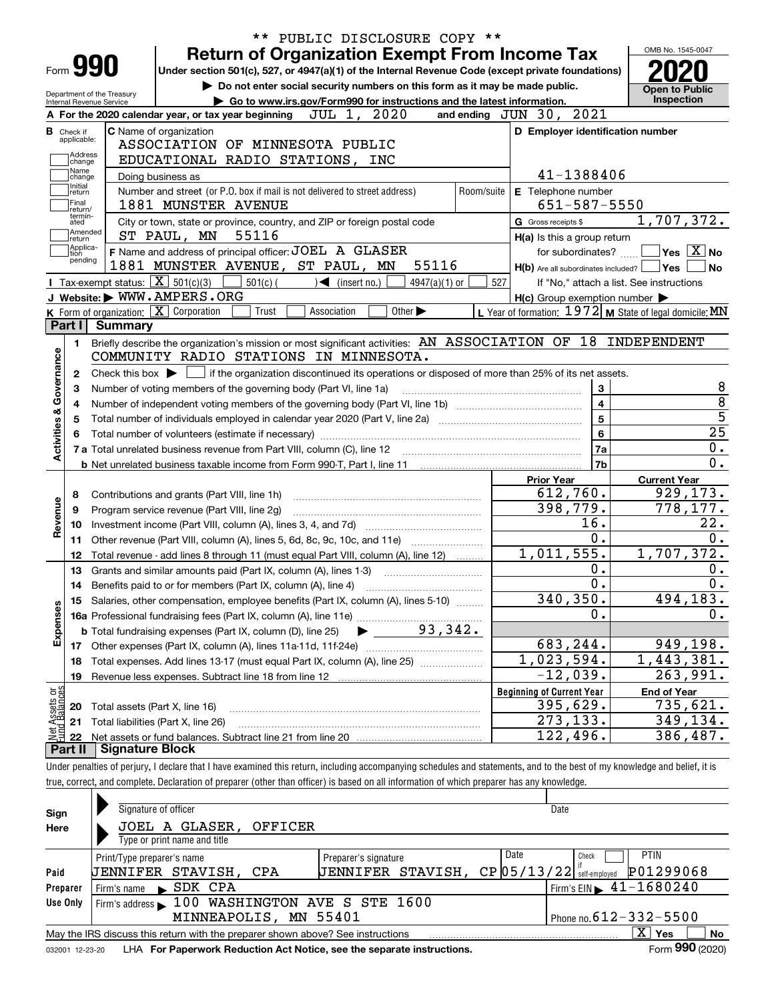| <b>Return of Organization Exempt From Income Tax</b><br>Under section 501(c), 527, or 4947(a)(1) of the Internal Revenue Code (except private foundations)                 |                                                                                                                                                                                                                                                                                                                                              |                                                                                                                                                                                                                                                                                                                                                                                                                                                                                                                                                                                                                                                                                                                                                                                                                                                                                                                                                              |
|----------------------------------------------------------------------------------------------------------------------------------------------------------------------------|----------------------------------------------------------------------------------------------------------------------------------------------------------------------------------------------------------------------------------------------------------------------------------------------------------------------------------------------|--------------------------------------------------------------------------------------------------------------------------------------------------------------------------------------------------------------------------------------------------------------------------------------------------------------------------------------------------------------------------------------------------------------------------------------------------------------------------------------------------------------------------------------------------------------------------------------------------------------------------------------------------------------------------------------------------------------------------------------------------------------------------------------------------------------------------------------------------------------------------------------------------------------------------------------------------------------|
|                                                                                                                                                                            |                                                                                                                                                                                                                                                                                                                                              | OMB No. 1545-0047                                                                                                                                                                                                                                                                                                                                                                                                                                                                                                                                                                                                                                                                                                                                                                                                                                                                                                                                            |
|                                                                                                                                                                            |                                                                                                                                                                                                                                                                                                                                              |                                                                                                                                                                                                                                                                                                                                                                                                                                                                                                                                                                                                                                                                                                                                                                                                                                                                                                                                                              |
| Do not enter social security numbers on this form as it may be made public.                                                                                                |                                                                                                                                                                                                                                                                                                                                              | <b>Open to Public</b>                                                                                                                                                                                                                                                                                                                                                                                                                                                                                                                                                                                                                                                                                                                                                                                                                                                                                                                                        |
| Go to www.irs.gov/Form990 for instructions and the latest information.<br>and ending JUN 30, 2021                                                                          |                                                                                                                                                                                                                                                                                                                                              | Inspection                                                                                                                                                                                                                                                                                                                                                                                                                                                                                                                                                                                                                                                                                                                                                                                                                                                                                                                                                   |
|                                                                                                                                                                            |                                                                                                                                                                                                                                                                                                                                              |                                                                                                                                                                                                                                                                                                                                                                                                                                                                                                                                                                                                                                                                                                                                                                                                                                                                                                                                                              |
|                                                                                                                                                                            |                                                                                                                                                                                                                                                                                                                                              |                                                                                                                                                                                                                                                                                                                                                                                                                                                                                                                                                                                                                                                                                                                                                                                                                                                                                                                                                              |
|                                                                                                                                                                            |                                                                                                                                                                                                                                                                                                                                              |                                                                                                                                                                                                                                                                                                                                                                                                                                                                                                                                                                                                                                                                                                                                                                                                                                                                                                                                                              |
|                                                                                                                                                                            |                                                                                                                                                                                                                                                                                                                                              |                                                                                                                                                                                                                                                                                                                                                                                                                                                                                                                                                                                                                                                                                                                                                                                                                                                                                                                                                              |
|                                                                                                                                                                            |                                                                                                                                                                                                                                                                                                                                              |                                                                                                                                                                                                                                                                                                                                                                                                                                                                                                                                                                                                                                                                                                                                                                                                                                                                                                                                                              |
|                                                                                                                                                                            |                                                                                                                                                                                                                                                                                                                                              |                                                                                                                                                                                                                                                                                                                                                                                                                                                                                                                                                                                                                                                                                                                                                                                                                                                                                                                                                              |
|                                                                                                                                                                            |                                                                                                                                                                                                                                                                                                                                              | 1,707,372.                                                                                                                                                                                                                                                                                                                                                                                                                                                                                                                                                                                                                                                                                                                                                                                                                                                                                                                                                   |
|                                                                                                                                                                            |                                                                                                                                                                                                                                                                                                                                              |                                                                                                                                                                                                                                                                                                                                                                                                                                                                                                                                                                                                                                                                                                                                                                                                                                                                                                                                                              |
|                                                                                                                                                                            |                                                                                                                                                                                                                                                                                                                                              | $\sqrt{}$ Yes $\sqrt{}$ X $\sqrt{}$ No                                                                                                                                                                                                                                                                                                                                                                                                                                                                                                                                                                                                                                                                                                                                                                                                                                                                                                                       |
|                                                                                                                                                                            |                                                                                                                                                                                                                                                                                                                                              | Yes<br>No                                                                                                                                                                                                                                                                                                                                                                                                                                                                                                                                                                                                                                                                                                                                                                                                                                                                                                                                                    |
|                                                                                                                                                                            |                                                                                                                                                                                                                                                                                                                                              |                                                                                                                                                                                                                                                                                                                                                                                                                                                                                                                                                                                                                                                                                                                                                                                                                                                                                                                                                              |
|                                                                                                                                                                            |                                                                                                                                                                                                                                                                                                                                              |                                                                                                                                                                                                                                                                                                                                                                                                                                                                                                                                                                                                                                                                                                                                                                                                                                                                                                                                                              |
|                                                                                                                                                                            |                                                                                                                                                                                                                                                                                                                                              |                                                                                                                                                                                                                                                                                                                                                                                                                                                                                                                                                                                                                                                                                                                                                                                                                                                                                                                                                              |
|                                                                                                                                                                            |                                                                                                                                                                                                                                                                                                                                              |                                                                                                                                                                                                                                                                                                                                                                                                                                                                                                                                                                                                                                                                                                                                                                                                                                                                                                                                                              |
|                                                                                                                                                                            |                                                                                                                                                                                                                                                                                                                                              |                                                                                                                                                                                                                                                                                                                                                                                                                                                                                                                                                                                                                                                                                                                                                                                                                                                                                                                                                              |
|                                                                                                                                                                            |                                                                                                                                                                                                                                                                                                                                              |                                                                                                                                                                                                                                                                                                                                                                                                                                                                                                                                                                                                                                                                                                                                                                                                                                                                                                                                                              |
|                                                                                                                                                                            |                                                                                                                                                                                                                                                                                                                                              |                                                                                                                                                                                                                                                                                                                                                                                                                                                                                                                                                                                                                                                                                                                                                                                                                                                                                                                                                              |
|                                                                                                                                                                            | 3                                                                                                                                                                                                                                                                                                                                            |                                                                                                                                                                                                                                                                                                                                                                                                                                                                                                                                                                                                                                                                                                                                                                                                                                                                                                                                                              |
|                                                                                                                                                                            |                                                                                                                                                                                                                                                                                                                                              |                                                                                                                                                                                                                                                                                                                                                                                                                                                                                                                                                                                                                                                                                                                                                                                                                                                                                                                                                              |
|                                                                                                                                                                            |                                                                                                                                                                                                                                                                                                                                              |                                                                                                                                                                                                                                                                                                                                                                                                                                                                                                                                                                                                                                                                                                                                                                                                                                                                                                                                                              |
|                                                                                                                                                                            |                                                                                                                                                                                                                                                                                                                                              | $\overline{25}$                                                                                                                                                                                                                                                                                                                                                                                                                                                                                                                                                                                                                                                                                                                                                                                                                                                                                                                                              |
|                                                                                                                                                                            |                                                                                                                                                                                                                                                                                                                                              | 0.                                                                                                                                                                                                                                                                                                                                                                                                                                                                                                                                                                                                                                                                                                                                                                                                                                                                                                                                                           |
|                                                                                                                                                                            |                                                                                                                                                                                                                                                                                                                                              | 0.                                                                                                                                                                                                                                                                                                                                                                                                                                                                                                                                                                                                                                                                                                                                                                                                                                                                                                                                                           |
|                                                                                                                                                                            |                                                                                                                                                                                                                                                                                                                                              | <b>Current Year</b>                                                                                                                                                                                                                                                                                                                                                                                                                                                                                                                                                                                                                                                                                                                                                                                                                                                                                                                                          |
|                                                                                                                                                                            |                                                                                                                                                                                                                                                                                                                                              | 929, 173.                                                                                                                                                                                                                                                                                                                                                                                                                                                                                                                                                                                                                                                                                                                                                                                                                                                                                                                                                    |
|                                                                                                                                                                            |                                                                                                                                                                                                                                                                                                                                              | 778, 177.                                                                                                                                                                                                                                                                                                                                                                                                                                                                                                                                                                                                                                                                                                                                                                                                                                                                                                                                                    |
|                                                                                                                                                                            |                                                                                                                                                                                                                                                                                                                                              | 22.                                                                                                                                                                                                                                                                                                                                                                                                                                                                                                                                                                                                                                                                                                                                                                                                                                                                                                                                                          |
|                                                                                                                                                                            |                                                                                                                                                                                                                                                                                                                                              | 0.                                                                                                                                                                                                                                                                                                                                                                                                                                                                                                                                                                                                                                                                                                                                                                                                                                                                                                                                                           |
|                                                                                                                                                                            |                                                                                                                                                                                                                                                                                                                                              | 1,707,372.                                                                                                                                                                                                                                                                                                                                                                                                                                                                                                                                                                                                                                                                                                                                                                                                                                                                                                                                                   |
|                                                                                                                                                                            |                                                                                                                                                                                                                                                                                                                                              | 0.                                                                                                                                                                                                                                                                                                                                                                                                                                                                                                                                                                                                                                                                                                                                                                                                                                                                                                                                                           |
|                                                                                                                                                                            |                                                                                                                                                                                                                                                                                                                                              | 0.<br>494,183.                                                                                                                                                                                                                                                                                                                                                                                                                                                                                                                                                                                                                                                                                                                                                                                                                                                                                                                                               |
|                                                                                                                                                                            |                                                                                                                                                                                                                                                                                                                                              |                                                                                                                                                                                                                                                                                                                                                                                                                                                                                                                                                                                                                                                                                                                                                                                                                                                                                                                                                              |
|                                                                                                                                                                            |                                                                                                                                                                                                                                                                                                                                              | 0.                                                                                                                                                                                                                                                                                                                                                                                                                                                                                                                                                                                                                                                                                                                                                                                                                                                                                                                                                           |
|                                                                                                                                                                            |                                                                                                                                                                                                                                                                                                                                              | 949,198.                                                                                                                                                                                                                                                                                                                                                                                                                                                                                                                                                                                                                                                                                                                                                                                                                                                                                                                                                     |
|                                                                                                                                                                            |                                                                                                                                                                                                                                                                                                                                              | 1,443,381.                                                                                                                                                                                                                                                                                                                                                                                                                                                                                                                                                                                                                                                                                                                                                                                                                                                                                                                                                   |
| 683,244.                                                                                                                                                                   |                                                                                                                                                                                                                                                                                                                                              |                                                                                                                                                                                                                                                                                                                                                                                                                                                                                                                                                                                                                                                                                                                                                                                                                                                                                                                                                              |
| 1,023,594.<br>Total expenses. Add lines 13-17 (must equal Part IX, column (A), line 25)                                                                                    |                                                                                                                                                                                                                                                                                                                                              |                                                                                                                                                                                                                                                                                                                                                                                                                                                                                                                                                                                                                                                                                                                                                                                                                                                                                                                                                              |
| $-12,039.$                                                                                                                                                                 |                                                                                                                                                                                                                                                                                                                                              |                                                                                                                                                                                                                                                                                                                                                                                                                                                                                                                                                                                                                                                                                                                                                                                                                                                                                                                                                              |
| <b>Beginning of Current Year</b>                                                                                                                                           |                                                                                                                                                                                                                                                                                                                                              | <b>End of Year</b>                                                                                                                                                                                                                                                                                                                                                                                                                                                                                                                                                                                                                                                                                                                                                                                                                                                                                                                                           |
| 395,629.                                                                                                                                                                   |                                                                                                                                                                                                                                                                                                                                              |                                                                                                                                                                                                                                                                                                                                                                                                                                                                                                                                                                                                                                                                                                                                                                                                                                                                                                                                                              |
| 273,133.                                                                                                                                                                   |                                                                                                                                                                                                                                                                                                                                              |                                                                                                                                                                                                                                                                                                                                                                                                                                                                                                                                                                                                                                                                                                                                                                                                                                                                                                                                                              |
| 122,496.                                                                                                                                                                   |                                                                                                                                                                                                                                                                                                                                              |                                                                                                                                                                                                                                                                                                                                                                                                                                                                                                                                                                                                                                                                                                                                                                                                                                                                                                                                                              |
|                                                                                                                                                                            |                                                                                                                                                                                                                                                                                                                                              |                                                                                                                                                                                                                                                                                                                                                                                                                                                                                                                                                                                                                                                                                                                                                                                                                                                                                                                                                              |
| Under penalties of perjury, I declare that I have examined this return, including accompanying schedules and statements, and to the best of my knowledge and belief, it is |                                                                                                                                                                                                                                                                                                                                              |                                                                                                                                                                                                                                                                                                                                                                                                                                                                                                                                                                                                                                                                                                                                                                                                                                                                                                                                                              |
| true, correct, and complete. Declaration of preparer (other than officer) is based on all information of which preparer has any knowledge.                                 |                                                                                                                                                                                                                                                                                                                                              |                                                                                                                                                                                                                                                                                                                                                                                                                                                                                                                                                                                                                                                                                                                                                                                                                                                                                                                                                              |
| Date                                                                                                                                                                       |                                                                                                                                                                                                                                                                                                                                              |                                                                                                                                                                                                                                                                                                                                                                                                                                                                                                                                                                                                                                                                                                                                                                                                                                                                                                                                                              |
|                                                                                                                                                                            |                                                                                                                                                                                                                                                                                                                                              | 263,991.<br>735,621.<br>349,134.<br>386,487.                                                                                                                                                                                                                                                                                                                                                                                                                                                                                                                                                                                                                                                                                                                                                                                                                                                                                                                 |
|                                                                                                                                                                            | Room/suite<br>527<br>Other revenue (Part VIII, column (A), lines 5, 6d, 8c, 9c, 10c, and 11e)<br>Total revenue - add lines 8 through 11 (must equal Part VIII, column (A), line 12)<br>Grants and similar amounts paid (Part IX, column (A), lines 1-3)<br>Salaries, other compensation, employee benefits (Part IX, column (A), lines 5-10) | D Employer identification number<br>41-1388406<br>E Telephone number<br>651-587-5550<br>G Gross receipts \$<br>H(a) Is this a group return<br>for subordinates?<br>$H(b)$ Are all subordinates included?<br>If "No," attach a list. See instructions<br>$H(c)$ Group exemption number $\blacktriangleright$<br>L Year of formation: $1972$ M State of legal domicile: MN<br>Briefly describe the organization's mission or most significant activities: AN ASSOCIATION OF 18 INDEPENDENT<br>Check this box $\triangleright$ $\blacksquare$ if the organization discontinued its operations or disposed of more than 25% of its net assets.<br>$\overline{4}$<br>$\overline{5}$<br>$6\phantom{a}$<br><b>7a</b><br>7b<br><b>b</b> Net unrelated business taxable income from Form 990-T, Part I, line 11 <b>manual constructs</b> contains the value of<br><b>Prior Year</b><br>612,760.<br>398,779.<br>16.<br>0.<br>1,011,555.<br>0.<br>0.<br>340, 350.<br>0. |

| Here                                                                                                     | JOEL A GLASEK, OFFICEK                                                                                       |                                               |      |                                                 |  |  |  |  |  |  |
|----------------------------------------------------------------------------------------------------------|--------------------------------------------------------------------------------------------------------------|-----------------------------------------------|------|-------------------------------------------------|--|--|--|--|--|--|
|                                                                                                          | Type or print name and title                                                                                 |                                               |      |                                                 |  |  |  |  |  |  |
|                                                                                                          | Print/Type preparer's name                                                                                   | Preparer's signature                          | Date | <b>PTIN</b><br>Check                            |  |  |  |  |  |  |
| Paid                                                                                                     | <b>JENNIFER STAVISH,</b><br>CPA                                                                              | JENNIFER STAVISH, $CP$ 05/13/22 self-employed |      | P01299068                                       |  |  |  |  |  |  |
| Preparer                                                                                                 | SDK CPA<br>Firm's name                                                                                       |                                               |      | $'$ Firm's EIN $\blacktriangleright$ 41-1680240 |  |  |  |  |  |  |
| Use Only                                                                                                 | Firm's address 100 WASHINGTON AVE S STE 1600                                                                 |                                               |      |                                                 |  |  |  |  |  |  |
|                                                                                                          | MINNEAPOLIS, MN 55401                                                                                        |                                               |      | Phone no. $612 - 332 - 5500$                    |  |  |  |  |  |  |
| x<br><b>No</b><br>Yes<br>May the IRS discuss this return with the preparer shown above? See instructions |                                                                                                              |                                               |      |                                                 |  |  |  |  |  |  |
|                                                                                                          | Form 990 (2020)<br>LHA For Paperwork Reduction Act Notice, see the separate instructions.<br>032001 12-23-20 |                                               |      |                                                 |  |  |  |  |  |  |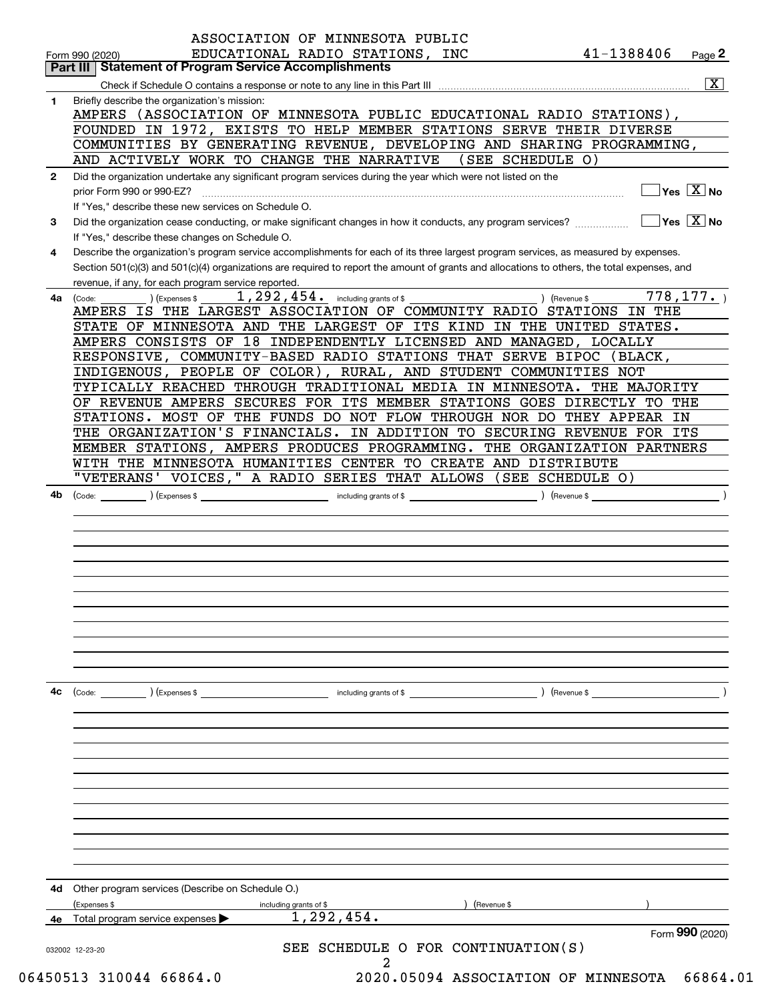|              | <b>Part III   Statement of Program Service Accomplishments</b>                                                                               |
|--------------|----------------------------------------------------------------------------------------------------------------------------------------------|
|              | $\overline{\mathbf{X}}$                                                                                                                      |
| 1.           | Briefly describe the organization's mission:                                                                                                 |
|              | AMPERS (ASSOCIATION OF MINNESOTA PUBLIC EDUCATIONAL RADIO STATIONS),                                                                         |
|              | FOUNDED IN 1972, EXISTS TO HELP MEMBER STATIONS SERVE THEIR DIVERSE                                                                          |
|              | COMMUNITIES BY GENERATING REVENUE, DEVELOPING AND SHARING PROGRAMMING,                                                                       |
|              | AND ACTIVELY WORK TO CHANGE THE NARRATIVE (SEE SCHEDULE O)                                                                                   |
| $\mathbf{2}$ | Did the organization undertake any significant program services during the year which were not listed on the                                 |
|              | $\blacksquare$ Yes $\boxed{\text{X}}$ No<br>prior Form 990 or 990-EZ?                                                                        |
|              | If "Yes," describe these new services on Schedule O.                                                                                         |
| 3            |                                                                                                                                              |
|              | If "Yes," describe these changes on Schedule O.                                                                                              |
| 4            | Describe the organization's program service accomplishments for each of its three largest program services, as measured by expenses.         |
|              | Section 501(c)(3) and 501(c)(4) organizations are required to report the amount of grants and allocations to others, the total expenses, and |
|              | revenue, if any, for each program service reported.                                                                                          |
| 4a l         | 778, 177.<br>$1$ , $292$ , $454$ or including grants of \$<br>) (Revenue \$<br>$\overline{\phantom{a}}$ ) (Expenses \$<br>(Code:             |
|              | AMPERS IS THE LARGEST ASSOCIATION OF COMMUNITY RADIO STATIONS IN THE                                                                         |
|              | STATE OF MINNESOTA AND THE LARGEST OF ITS KIND IN THE UNITED STATES.                                                                         |
|              | AMPERS CONSISTS OF 18 INDEPENDENTLY LICENSED AND MANAGED, LOCALLY                                                                            |
|              | RESPONSIVE, COMMUNITY-BASED RADIO STATIONS THAT SERVE BIPOC (BLACK,                                                                          |
|              | INDIGENOUS, PEOPLE OF COLOR), RURAL, AND STUDENT COMMUNITIES NOT                                                                             |
|              | TYPICALLY REACHED THROUGH TRADITIONAL MEDIA IN MINNESOTA. THE MAJORITY                                                                       |
|              | OF REVENUE AMPERS SECURES FOR ITS MEMBER STATIONS GOES DIRECTLY TO THE                                                                       |
|              | STATIONS. MOST OF THE FUNDS DO NOT FLOW THROUGH NOR DO THEY APPEAR IN                                                                        |
|              | THE ORGANIZATION'S FINANCIALS. IN ADDITION TO SECURING REVENUE FOR ITS                                                                       |
|              | MEMBER STATIONS, AMPERS PRODUCES PROGRAMMING. THE ORGANIZATION PARTNERS                                                                      |
|              | WITH THE MINNESOTA HUMANITIES CENTER TO CREATE AND DISTRIBUTE                                                                                |
|              | "VETERANS' VOICES, " A RADIO SERIES THAT ALLOWS (SEE SCHEDULE O)                                                                             |
| 4b           |                                                                                                                                              |
|              |                                                                                                                                              |
|              |                                                                                                                                              |
|              |                                                                                                                                              |
|              |                                                                                                                                              |
|              |                                                                                                                                              |
|              |                                                                                                                                              |
|              |                                                                                                                                              |
|              |                                                                                                                                              |
|              |                                                                                                                                              |
|              |                                                                                                                                              |
|              |                                                                                                                                              |
|              |                                                                                                                                              |
|              |                                                                                                                                              |
| 4c           | (Expenses \$<br>(Revenue \$<br>(Code:<br>including grants of \$                                                                              |
|              |                                                                                                                                              |
|              |                                                                                                                                              |
|              |                                                                                                                                              |
|              |                                                                                                                                              |
|              |                                                                                                                                              |
|              |                                                                                                                                              |
|              |                                                                                                                                              |
|              |                                                                                                                                              |
|              |                                                                                                                                              |
|              |                                                                                                                                              |
|              |                                                                                                                                              |
|              |                                                                                                                                              |
| 4d           | Other program services (Describe on Schedule O.)                                                                                             |
|              | (Expenses \$<br>including grants of \$<br>Revenue \$                                                                                         |
|              |                                                                                                                                              |
| 4е           | Total program service expenses ▶                                                                                                             |
|              | 1, 292, 454.<br>Form 990 (2020)                                                                                                              |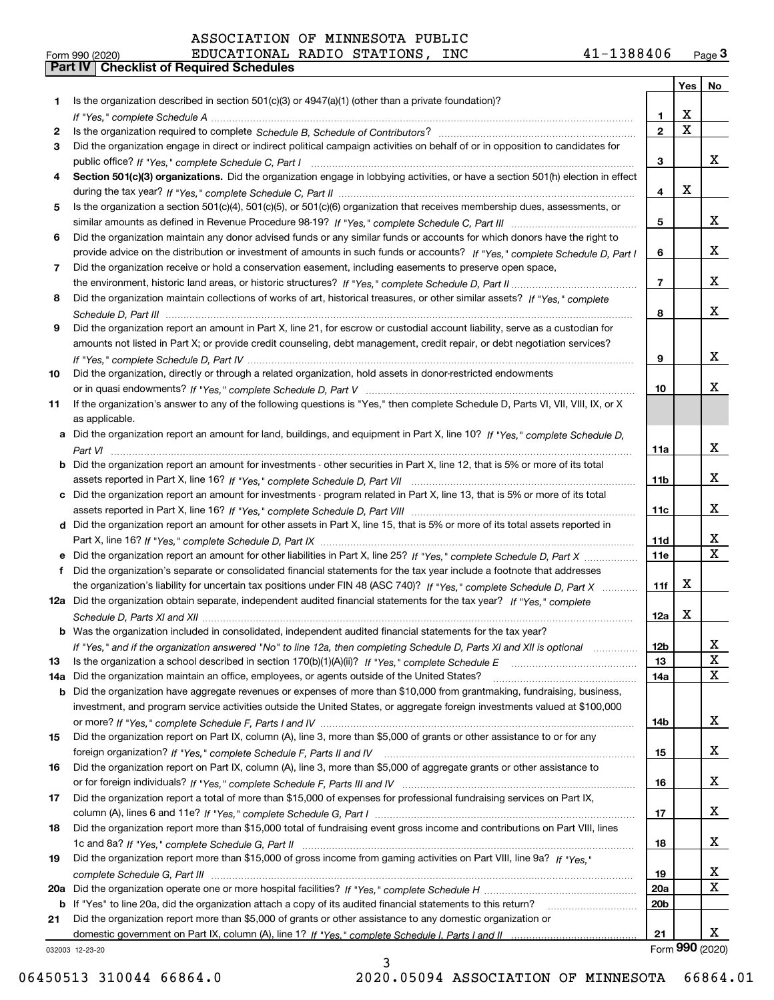| ASSOCIATION OF MINNESOTA PUBLIC |
|---------------------------------|
|                                 |

|     |                                                                                                                                       |                 | Yes   No                |                         |
|-----|---------------------------------------------------------------------------------------------------------------------------------------|-----------------|-------------------------|-------------------------|
| 1.  | Is the organization described in section 501(c)(3) or $4947(a)(1)$ (other than a private foundation)?                                 |                 |                         |                         |
|     |                                                                                                                                       | 1               | X                       |                         |
| 2   |                                                                                                                                       | $\overline{2}$  | $\overline{\mathbf{x}}$ |                         |
| 3   | Did the organization engage in direct or indirect political campaign activities on behalf of or in opposition to candidates for       |                 |                         |                         |
|     |                                                                                                                                       | 3               |                         | x                       |
| 4   | Section 501(c)(3) organizations. Did the organization engage in lobbying activities, or have a section 501(h) election in effect      |                 | X                       |                         |
|     |                                                                                                                                       | 4               |                         |                         |
| 5   | Is the organization a section 501(c)(4), 501(c)(5), or 501(c)(6) organization that receives membership dues, assessments, or          | 5               |                         | x                       |
| 6   | Did the organization maintain any donor advised funds or any similar funds or accounts for which donors have the right to             |                 |                         |                         |
|     | provide advice on the distribution or investment of amounts in such funds or accounts? If "Yes," complete Schedule D, Part I          | 6               |                         | X                       |
| 7   | Did the organization receive or hold a conservation easement, including easements to preserve open space,                             |                 |                         |                         |
|     |                                                                                                                                       | $\overline{7}$  |                         | X                       |
| 8   | Did the organization maintain collections of works of art, historical treasures, or other similar assets? If "Yes," complete          |                 |                         |                         |
|     |                                                                                                                                       | 8               |                         | X                       |
| 9   | Did the organization report an amount in Part X, line 21, for escrow or custodial account liability, serve as a custodian for         |                 |                         |                         |
|     | amounts not listed in Part X; or provide credit counseling, debt management, credit repair, or debt negotiation services?             |                 |                         |                         |
|     |                                                                                                                                       | 9               |                         | x                       |
| 10  | Did the organization, directly or through a related organization, hold assets in donor-restricted endowments                          |                 |                         |                         |
|     |                                                                                                                                       | 10              |                         | x                       |
| 11  | If the organization's answer to any of the following questions is "Yes," then complete Schedule D, Parts VI, VII, VIII, IX, or X      |                 |                         |                         |
|     | as applicable.                                                                                                                        |                 |                         |                         |
|     | a Did the organization report an amount for land, buildings, and equipment in Part X, line 10? If "Yes," complete Schedule D,         |                 |                         |                         |
|     |                                                                                                                                       | 11a             |                         | X                       |
|     | <b>b</b> Did the organization report an amount for investments - other securities in Part X, line 12, that is 5% or more of its total |                 |                         |                         |
|     |                                                                                                                                       | 11 <sub>b</sub> |                         | x                       |
|     | c Did the organization report an amount for investments - program related in Part X, line 13, that is 5% or more of its total         |                 |                         |                         |
|     |                                                                                                                                       | 11c             |                         | x                       |
|     | d Did the organization report an amount for other assets in Part X, line 15, that is 5% or more of its total assets reported in       |                 |                         |                         |
|     |                                                                                                                                       | 11d             |                         | х                       |
|     | e Did the organization report an amount for other liabilities in Part X, line 25? If "Yes," complete Schedule D, Part X               | 11e             |                         | $\overline{\mathbf{x}}$ |
| f   | Did the organization's separate or consolidated financial statements for the tax year include a footnote that addresses               |                 |                         |                         |
|     | the organization's liability for uncertain tax positions under FIN 48 (ASC 740)? If "Yes," complete Schedule D, Part X                | 11f             | Χ                       |                         |
|     | 12a Did the organization obtain separate, independent audited financial statements for the tax year? If "Yes," complete               |                 |                         |                         |
|     |                                                                                                                                       | 12a             | Х                       |                         |
|     | <b>b</b> Was the organization included in consolidated, independent audited financial statements for the tax year?                    |                 |                         |                         |
|     | If "Yes," and if the organization answered "No" to line 12a, then completing Schedule D, Parts XI and XII is optional                 | 12b<br>13       |                         | 4<br>X                  |
| 13  | Did the organization maintain an office, employees, or agents outside of the United States?                                           | 14a             |                         | X                       |
| 14a | <b>b</b> Did the organization have aggregate revenues or expenses of more than \$10,000 from grantmaking, fundraising, business,      |                 |                         |                         |
|     | investment, and program service activities outside the United States, or aggregate foreign investments valued at \$100,000            |                 |                         |                         |
|     |                                                                                                                                       | 14b             |                         | x                       |
| 15  | Did the organization report on Part IX, column (A), line 3, more than \$5,000 of grants or other assistance to or for any             |                 |                         |                         |
|     |                                                                                                                                       | 15              |                         | X                       |
| 16  | Did the organization report on Part IX, column (A), line 3, more than \$5,000 of aggregate grants or other assistance to              |                 |                         |                         |
|     |                                                                                                                                       | 16              |                         | X                       |
| 17  | Did the organization report a total of more than \$15,000 of expenses for professional fundraising services on Part IX,               |                 |                         |                         |
|     |                                                                                                                                       | 17              |                         | X                       |
| 18  | Did the organization report more than \$15,000 total of fundraising event gross income and contributions on Part VIII, lines          |                 |                         |                         |
|     |                                                                                                                                       | 18              |                         | x                       |
| 19  | Did the organization report more than \$15,000 of gross income from gaming activities on Part VIII, line 9a? If "Yes."                |                 |                         |                         |
|     |                                                                                                                                       | 19              |                         | X                       |
| 20a |                                                                                                                                       | <b>20a</b>      |                         | $\mathbf X$             |
|     | b If "Yes" to line 20a, did the organization attach a copy of its audited financial statements to this return?                        | 20 <sub>b</sub> |                         |                         |
| 21  | Did the organization report more than \$5,000 of grants or other assistance to any domestic organization or                           |                 |                         |                         |
|     |                                                                                                                                       | 21              |                         | x                       |
|     | 032003 12-23-20                                                                                                                       |                 |                         | Form 990 (2020)         |

032003 12-23-20

3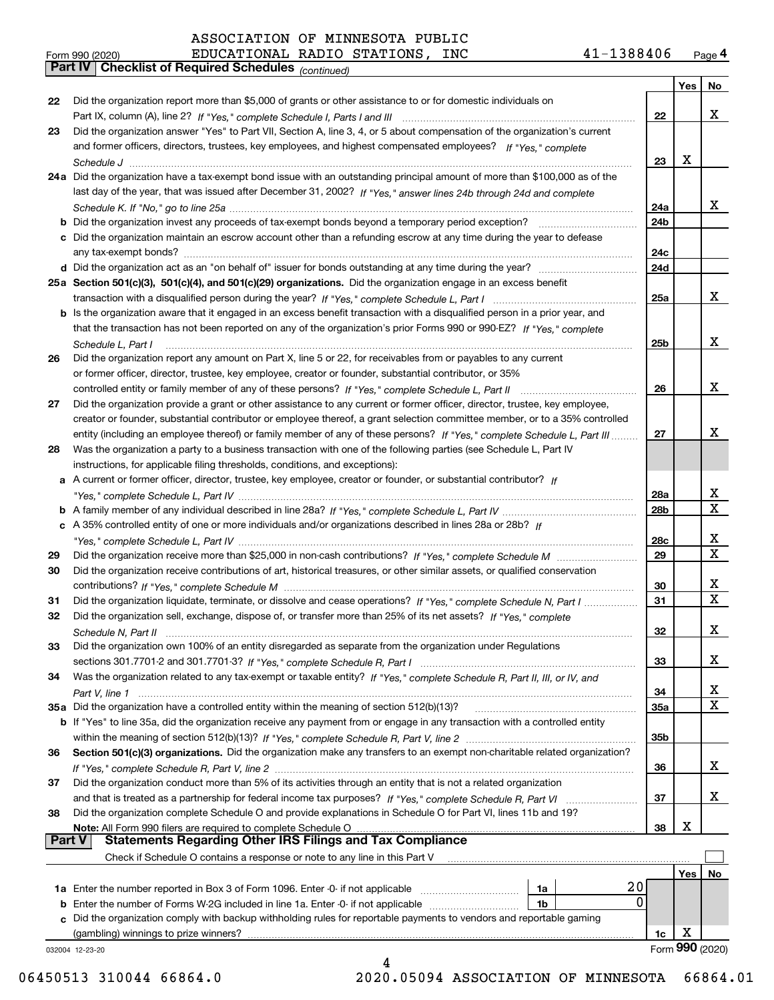| Form 990 (2020) | EDUCATIONAL                                           | RADIO STATIONS | INC | 1388406 | Page 4 |
|-----------------|-------------------------------------------------------|----------------|-----|---------|--------|
|                 | Part IV   Checklist of Required Schedules (continued) |                |     |         |        |

|          |                                                                                                                                                                                                                                |                 | Yes | No                           |
|----------|--------------------------------------------------------------------------------------------------------------------------------------------------------------------------------------------------------------------------------|-----------------|-----|------------------------------|
| 22       | Did the organization report more than \$5,000 of grants or other assistance to or for domestic individuals on                                                                                                                  |                 |     |                              |
|          |                                                                                                                                                                                                                                | 22              |     | x                            |
| 23       | Did the organization answer "Yes" to Part VII, Section A, line 3, 4, or 5 about compensation of the organization's current                                                                                                     |                 |     |                              |
|          | and former officers, directors, trustees, key employees, and highest compensated employees? If "Yes," complete                                                                                                                 |                 |     |                              |
|          |                                                                                                                                                                                                                                | 23              | Х   |                              |
|          | 24a Did the organization have a tax-exempt bond issue with an outstanding principal amount of more than \$100,000 as of the                                                                                                    |                 |     |                              |
|          | last day of the year, that was issued after December 31, 2002? If "Yes," answer lines 24b through 24d and complete                                                                                                             |                 |     |                              |
|          |                                                                                                                                                                                                                                | 24a             |     | X                            |
|          | <b>b</b> Did the organization invest any proceeds of tax-exempt bonds beyond a temporary period exception?                                                                                                                     | 24b             |     |                              |
|          | c Did the organization maintain an escrow account other than a refunding escrow at any time during the year to defease                                                                                                         |                 |     |                              |
|          |                                                                                                                                                                                                                                | 24c             |     |                              |
|          |                                                                                                                                                                                                                                | 24d             |     |                              |
|          | 25a Section 501(c)(3), 501(c)(4), and 501(c)(29) organizations. Did the organization engage in an excess benefit                                                                                                               |                 |     |                              |
|          |                                                                                                                                                                                                                                | 25a             |     | x                            |
|          | b Is the organization aware that it engaged in an excess benefit transaction with a disqualified person in a prior year, and                                                                                                   |                 |     |                              |
|          | that the transaction has not been reported on any of the organization's prior Forms 990 or 990-EZ? If "Yes." complete                                                                                                          |                 |     |                              |
|          | Schedule L, Part I                                                                                                                                                                                                             | 25b             |     | x                            |
| 26       | Did the organization report any amount on Part X, line 5 or 22, for receivables from or payables to any current                                                                                                                |                 |     |                              |
|          | or former officer, director, trustee, key employee, creator or founder, substantial contributor, or 35%                                                                                                                        |                 |     |                              |
|          |                                                                                                                                                                                                                                | 26              |     | х                            |
| 27       | Did the organization provide a grant or other assistance to any current or former officer, director, trustee, key employee,                                                                                                    |                 |     |                              |
|          | creator or founder, substantial contributor or employee thereof, a grant selection committee member, or to a 35% controlled                                                                                                    |                 |     |                              |
|          | entity (including an employee thereof) or family member of any of these persons? If "Yes," complete Schedule L, Part III                                                                                                       | 27              |     | x                            |
| 28       | Was the organization a party to a business transaction with one of the following parties (see Schedule L, Part IV                                                                                                              |                 |     |                              |
|          | instructions, for applicable filing thresholds, conditions, and exceptions):                                                                                                                                                   |                 |     |                              |
|          | a A current or former officer, director, trustee, key employee, creator or founder, or substantial contributor? If                                                                                                             |                 |     |                              |
|          |                                                                                                                                                                                                                                | 28a             |     | X<br>$\overline{\mathtt{x}}$ |
|          |                                                                                                                                                                                                                                | 28 <sub>b</sub> |     |                              |
|          | c A 35% controlled entity of one or more individuals and/or organizations described in lines 28a or 28b? If                                                                                                                    |                 |     |                              |
|          |                                                                                                                                                                                                                                | 28c             |     | X<br>$\overline{\mathbf{x}}$ |
| 29       |                                                                                                                                                                                                                                | 29              |     |                              |
| 30       | Did the organization receive contributions of art, historical treasures, or other similar assets, or qualified conservation                                                                                                    |                 |     |                              |
|          |                                                                                                                                                                                                                                | 30              |     | x<br>$\overline{\mathbf{X}}$ |
| 31       | Did the organization liquidate, terminate, or dissolve and cease operations? If "Yes," complete Schedule N, Part I                                                                                                             | 31              |     |                              |
| 32       | Did the organization sell, exchange, dispose of, or transfer more than 25% of its net assets? If "Yes." complete                                                                                                               |                 |     |                              |
|          |                                                                                                                                                                                                                                | 32              |     | x                            |
| 33       | Did the organization own 100% of an entity disregarded as separate from the organization under Regulations                                                                                                                     |                 |     |                              |
|          |                                                                                                                                                                                                                                | 33              |     | X                            |
| 34       | Was the organization related to any tax-exempt or taxable entity? If "Yes," complete Schedule R, Part II, III, or IV, and                                                                                                      |                 |     |                              |
|          |                                                                                                                                                                                                                                | 34              |     | x<br>$\overline{\mathbf{X}}$ |
|          | 35a Did the organization have a controlled entity within the meaning of section 512(b)(13)?                                                                                                                                    | 35a             |     |                              |
|          | b If "Yes" to line 35a, did the organization receive any payment from or engage in any transaction with a controlled entity                                                                                                    |                 |     |                              |
|          |                                                                                                                                                                                                                                | 35b             |     |                              |
| 36       | Section 501(c)(3) organizations. Did the organization make any transfers to an exempt non-charitable related organization?                                                                                                     | 36              |     | x                            |
| 37       | Did the organization conduct more than 5% of its activities through an entity that is not a related organization                                                                                                               |                 |     |                              |
|          |                                                                                                                                                                                                                                | 37              |     | x                            |
| 38       | and that is treated as a partnership for federal income tax purposes? If "Yes," complete Schedule R, Part VI<br>Did the organization complete Schedule O and provide explanations in Schedule O for Part VI, lines 11b and 19? |                 |     |                              |
|          | Note: All Form 990 filers are required to complete Schedule O                                                                                                                                                                  | 38              | х   |                              |
| ∣ Part V | <b>Statements Regarding Other IRS Filings and Tax Compliance</b>                                                                                                                                                               |                 |     |                              |
|          | Check if Schedule O contains a response or note to any line in this Part V                                                                                                                                                     |                 |     |                              |
|          |                                                                                                                                                                                                                                |                 | Yes | No                           |
|          | 20<br>1a<br>1a Enter the number reported in Box 3 of Form 1096. Enter -0- if not applicable                                                                                                                                    |                 |     |                              |
|          | 0<br><b>b</b> Enter the number of Forms W-2G included in line 1a. Enter -0- if not applicable<br>1b                                                                                                                            |                 |     |                              |
| с        | Did the organization comply with backup withholding rules for reportable payments to vendors and reportable gaming                                                                                                             |                 |     |                              |
|          | (gambling) winnings to prize winners?                                                                                                                                                                                          | 1c              | X   |                              |
|          | 032004 12-23-20                                                                                                                                                                                                                |                 |     | Form 990 (2020)              |
|          | 4                                                                                                                                                                                                                              |                 |     |                              |

06450513 310044 66864.0 2020.05094 ASSOCIATION OF MINNESOTA 66864.01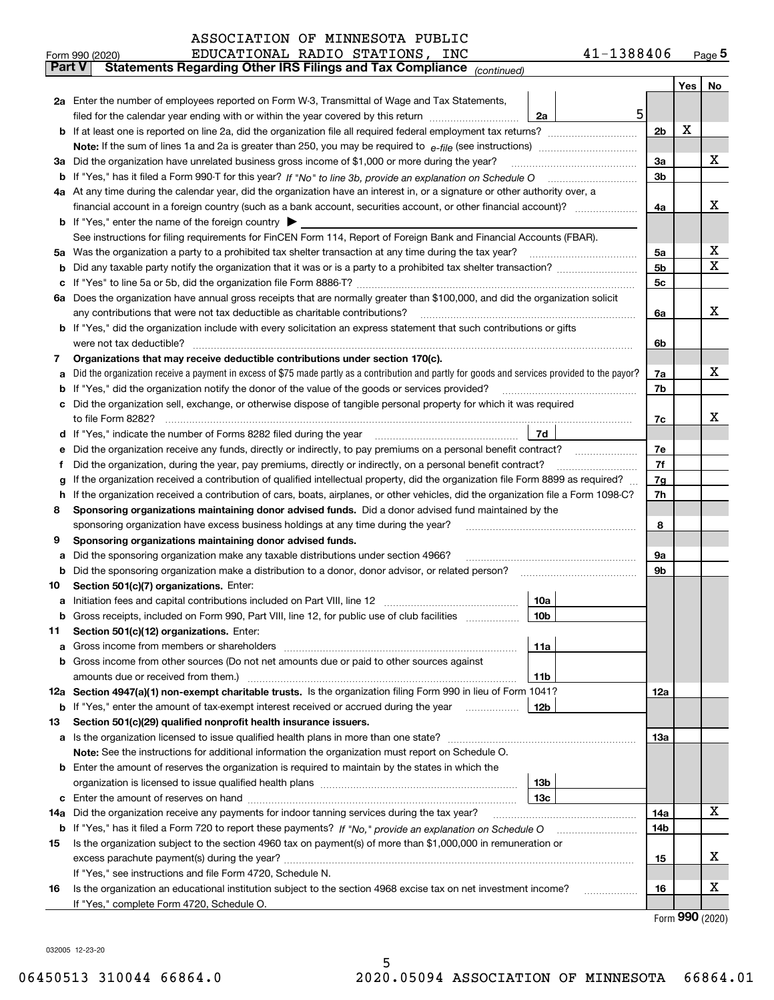|               | EDUCATIONAL RADIO STATIONS, INC<br>41-1388406<br>Form 990 (2020)                                                                                |                |         | $Page$ <sup>5</sup> |
|---------------|-------------------------------------------------------------------------------------------------------------------------------------------------|----------------|---------|---------------------|
| <b>Part V</b> | Statements Regarding Other IRS Filings and Tax Compliance (continued)                                                                           |                |         |                     |
|               |                                                                                                                                                 |                | Yes $ $ | No                  |
|               | 2a Enter the number of employees reported on Form W-3, Transmittal of Wage and Tax Statements,                                                  |                |         |                     |
|               | 5<br>filed for the calendar year ending with or within the year covered by this return <i>manumumumum</i><br>2a                                 |                |         |                     |
|               |                                                                                                                                                 | 2 <sub>b</sub> | Х       |                     |
|               |                                                                                                                                                 |                |         |                     |
| За            | Did the organization have unrelated business gross income of \$1,000 or more during the year?                                                   | 3a             |         | х                   |
|               |                                                                                                                                                 | 3b             |         |                     |
|               | 4a At any time during the calendar year, did the organization have an interest in, or a signature or other authority over, a                    |                |         |                     |
|               |                                                                                                                                                 | 4a             |         | x                   |
|               | <b>b</b> If "Yes," enter the name of the foreign country $\blacktriangleright$                                                                  |                |         |                     |
|               | See instructions for filing requirements for FinCEN Form 114, Report of Foreign Bank and Financial Accounts (FBAR).                             |                |         |                     |
|               |                                                                                                                                                 | 5a             |         | х                   |
|               |                                                                                                                                                 | 5 <sub>b</sub> |         | х                   |
|               |                                                                                                                                                 | 5c             |         |                     |
|               | 6a Does the organization have annual gross receipts that are normally greater than \$100,000, and did the organization solicit                  |                |         |                     |
|               |                                                                                                                                                 | 6a             |         | х                   |
|               | <b>b</b> If "Yes," did the organization include with every solicitation an express statement that such contributions or gifts                   |                |         |                     |
|               |                                                                                                                                                 | 6b             |         |                     |
| 7             | Organizations that may receive deductible contributions under section 170(c).                                                                   |                |         |                     |
| а             | Did the organization receive a payment in excess of \$75 made partly as a contribution and partly for goods and services provided to the payor? | 7a             |         | х                   |
|               | <b>b</b> If "Yes," did the organization notify the donor of the value of the goods or services provided?                                        | 7b             |         |                     |
|               | c Did the organization sell, exchange, or otherwise dispose of tangible personal property for which it was required                             |                |         |                     |
|               |                                                                                                                                                 | 7c             |         | x                   |
|               | 7d                                                                                                                                              |                |         |                     |
| е             | Did the organization receive any funds, directly or indirectly, to pay premiums on a personal benefit contract?                                 | 7e             |         |                     |
| f             | Did the organization, during the year, pay premiums, directly or indirectly, on a personal benefit contract?                                    | 7f             |         |                     |
| g             | If the organization received a contribution of qualified intellectual property, did the organization file Form 8899 as required?                | 7g             |         |                     |
| h.            | If the organization received a contribution of cars, boats, airplanes, or other vehicles, did the organization file a Form 1098-C?              | 7h             |         |                     |
| 8             | Sponsoring organizations maintaining donor advised funds. Did a donor advised fund maintained by the                                            |                |         |                     |
|               | sponsoring organization have excess business holdings at any time during the year?                                                              | 8              |         |                     |
| 9             | Sponsoring organizations maintaining donor advised funds.                                                                                       |                |         |                     |
| а             | Did the sponsoring organization make any taxable distributions under section 4966?                                                              | 9а             |         |                     |
|               | <b>b</b> Did the sponsoring organization make a distribution to a donor, donor advisor, or related person?                                      | 9b             |         |                     |
| 10            | Section 501(c)(7) organizations. Enter:                                                                                                         |                |         |                     |
|               | 10a<br>10 <sub>b</sub>                                                                                                                          |                |         |                     |
|               | Gross receipts, included on Form 990, Part VIII, line 12, for public use of club facilities                                                     |                |         |                     |
| 11            | Section 501(c)(12) organizations. Enter:                                                                                                        |                |         |                     |
|               | 11a<br>b Gross income from other sources (Do not net amounts due or paid to other sources against                                               |                |         |                     |
|               | 11b                                                                                                                                             |                |         |                     |
|               | 12a Section 4947(a)(1) non-exempt charitable trusts. Is the organization filing Form 990 in lieu of Form 1041?                                  | 12a            |         |                     |
|               | 12b<br><b>b</b> If "Yes," enter the amount of tax-exempt interest received or accrued during the year <i>manument</i>                           |                |         |                     |
| 13            | Section 501(c)(29) qualified nonprofit health insurance issuers.                                                                                |                |         |                     |
|               | <b>a</b> Is the organization licensed to issue qualified health plans in more than one state?                                                   | 13а            |         |                     |
|               | Note: See the instructions for additional information the organization must report on Schedule O.                                               |                |         |                     |
|               | <b>b</b> Enter the amount of reserves the organization is required to maintain by the states in which the                                       |                |         |                     |
|               | 13b                                                                                                                                             |                |         |                     |
|               | 13с                                                                                                                                             |                |         |                     |
| 14a           | Did the organization receive any payments for indoor tanning services during the tax year?                                                      | 14a            |         | х                   |
|               | <b>b</b> If "Yes," has it filed a Form 720 to report these payments? If "No," provide an explanation on Schedule O                              | 14b            |         |                     |
| 15            | Is the organization subject to the section 4960 tax on payment(s) of more than \$1,000,000 in remuneration or                                   |                |         |                     |
|               |                                                                                                                                                 | 15             |         | X                   |
|               | If "Yes," see instructions and file Form 4720, Schedule N.                                                                                      |                |         |                     |
| 16            | Is the organization an educational institution subject to the section 4968 excise tax on net investment income?                                 | 16             |         | X                   |
|               | If "Yes," complete Form 4720, Schedule O.                                                                                                       |                |         |                     |

Form (2020) **990**

032005 12-23-20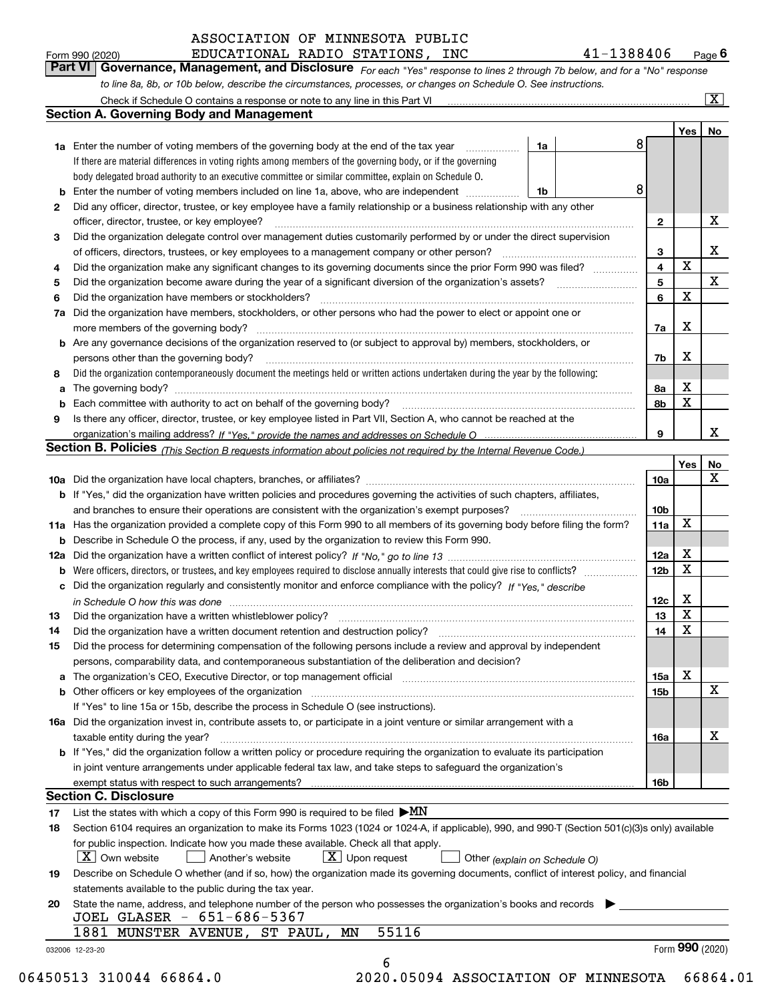## Form 990 (2020) **COVICE BE RALE AT ACT AT A PAGE 1989 12-1388406** Page 6<br>**Part VI Governance, Management, and Disclosure** For each "Yes" response to lines 2 through 7b below, and for a "No" response EDUCATIONAL RADIO STATIONS, INC 41-1388406 ASSOCIATION OF MINNESOTA PUBLIC

## *to line 8a, 8b, or 10b below, describe the circumstances, processes, or changes on Schedule O. See instructions.* Check if Schedule O contains a response or note to any line in this Part VI **Section A. Governing Body and Management**

 $\boxed{\text{X}}$ 

**No**

**Yes**

- 6

*For each "Yes" response to lines 2 through 7b below, and for a "No" response*

 $\mathbf{I}$ 

 $\mathbf{I}$ 

|    | 8<br>1a Enter the number of voting members of the governing body at the end of the tax year<br>1a                                                                                                                              |                        |                 |    |
|----|--------------------------------------------------------------------------------------------------------------------------------------------------------------------------------------------------------------------------------|------------------------|-----------------|----|
|    | If there are material differences in voting rights among members of the governing body, or if the governing                                                                                                                    |                        |                 |    |
|    | body delegated broad authority to an executive committee or similar committee, explain on Schedule O.                                                                                                                          |                        |                 |    |
|    | 8<br>Enter the number of voting members included on line 1a, above, who are independent<br>1b                                                                                                                                  |                        |                 |    |
| 2  | Did any officer, director, trustee, or key employee have a family relationship or a business relationship with any other                                                                                                       |                        |                 |    |
|    | officer, director, trustee, or key employee?                                                                                                                                                                                   | $\mathbf{2}$           |                 | X  |
| З  | Did the organization delegate control over management duties customarily performed by or under the direct supervision                                                                                                          |                        |                 |    |
|    | of officers, directors, trustees, or key employees to a management company or other person?                                                                                                                                    | 3                      |                 | X  |
| 4  | Did the organization make any significant changes to its governing documents since the prior Form 990 was filed?                                                                                                               | 4                      | $\mathbf X$     |    |
| 5  |                                                                                                                                                                                                                                | 5                      |                 | X  |
| 6  | Did the organization have members or stockholders?                                                                                                                                                                             | 6                      | X               |    |
| 7a | Did the organization have members, stockholders, or other persons who had the power to elect or appoint one or                                                                                                                 |                        |                 |    |
|    |                                                                                                                                                                                                                                | 7a                     | х               |    |
|    | <b>b</b> Are any governance decisions of the organization reserved to (or subject to approval by) members, stockholders, or                                                                                                    |                        |                 |    |
|    | persons other than the governing body?                                                                                                                                                                                         | 7b                     | x               |    |
| 8  | Did the organization contemporaneously document the meetings held or written actions undertaken during the year by the following:                                                                                              |                        |                 |    |
| а  |                                                                                                                                                                                                                                | 8а                     | x               |    |
| b  | Each committee with authority to act on behalf of the governing body? [11] manufacture manufacture with authority to act on behalf of the governing body? [11] manufacture manufacture with authority of the state with an int | 8b                     | X               |    |
| 9  | Is there any officer, director, trustee, or key employee listed in Part VII, Section A, who cannot be reached at the                                                                                                           |                        |                 |    |
|    |                                                                                                                                                                                                                                | 9                      |                 | x  |
|    | Section B. Policies (This Section B requests information about policies not required by the Internal Revenue Code.)                                                                                                            |                        |                 |    |
|    |                                                                                                                                                                                                                                |                        | Yes             | No |
|    |                                                                                                                                                                                                                                | 10a                    |                 | X  |
|    | <b>b</b> If "Yes," did the organization have written policies and procedures governing the activities of such chapters, affiliates,                                                                                            |                        |                 |    |
|    |                                                                                                                                                                                                                                |                        |                 |    |
|    |                                                                                                                                                                                                                                | 10 <sub>b</sub><br>11a | x               |    |
|    | 11a Has the organization provided a complete copy of this Form 990 to all members of its governing body before filing the form?                                                                                                |                        |                 |    |
|    | <b>b</b> Describe in Schedule O the process, if any, used by the organization to review this Form 990.                                                                                                                         |                        | X               |    |
|    |                                                                                                                                                                                                                                | 12a                    | X               |    |
| b  |                                                                                                                                                                                                                                | 12 <sub>b</sub>        |                 |    |
|    | c Did the organization regularly and consistently monitor and enforce compliance with the policy? If "Yes." describe                                                                                                           |                        | X               |    |
|    | in Schedule O how this was done manufactured and continuum control of the Schedule O how this was done manufactured and continuum control of the Schedule O how this was done                                                  | 12c<br>13              | X               |    |
| 13 |                                                                                                                                                                                                                                |                        | X               |    |
| 14 | Did the organization have a written document retention and destruction policy? manufactured and the organization have a written document retention and destruction policy?                                                     | 14                     |                 |    |
| 15 | Did the process for determining compensation of the following persons include a review and approval by independent                                                                                                             |                        |                 |    |
|    | persons, comparability data, and contemporaneous substantiation of the deliberation and decision?                                                                                                                              |                        |                 |    |
| a  | The organization's CEO, Executive Director, or top management official manufactured content content of the organization's CEO, Executive Director, or top management official manufactured content of the original content of  | 15a                    | х               |    |
|    |                                                                                                                                                                                                                                | 15b                    |                 | X  |
|    | If "Yes" to line 15a or 15b, describe the process in Schedule O (see instructions).                                                                                                                                            |                        |                 |    |
|    | 16a Did the organization invest in, contribute assets to, or participate in a joint venture or similar arrangement with a                                                                                                      |                        |                 |    |
|    | taxable entity during the year?                                                                                                                                                                                                | 16a                    |                 | х  |
|    | <b>b</b> If "Yes," did the organization follow a written policy or procedure requiring the organization to evaluate its participation                                                                                          |                        |                 |    |
|    | in joint venture arrangements under applicable federal tax law, and take steps to safeguard the organization's                                                                                                                 |                        |                 |    |
|    |                                                                                                                                                                                                                                | 16b                    |                 |    |
|    | <b>Section C. Disclosure</b>                                                                                                                                                                                                   |                        |                 |    |
|    | List the states with which a copy of this Form 990 is required to be filed $\blacktriangleright MN$                                                                                                                            |                        |                 |    |
| 17 |                                                                                                                                                                                                                                |                        |                 |    |
|    | Section 6104 requires an organization to make its Forms 1023 (1024 or 1024-A, if applicable), 990, and 990-T (Section 501(c)(3)s only) available                                                                               |                        |                 |    |
|    | for public inspection. Indicate how you made these available. Check all that apply.                                                                                                                                            |                        |                 |    |
| 18 | $X$ Upon request<br>$\mid$ $\rm X\mid$ Own website<br>Another's website<br>Other (explain on Schedule O)                                                                                                                       |                        |                 |    |
|    | Describe on Schedule O whether (and if so, how) the organization made its governing documents, conflict of interest policy, and financial                                                                                      |                        |                 |    |
| 19 | statements available to the public during the tax year.                                                                                                                                                                        |                        |                 |    |
| 20 | State the name, address, and telephone number of the person who possesses the organization's books and records                                                                                                                 |                        |                 |    |
|    | JOEL GLASER - 651-686-5367                                                                                                                                                                                                     |                        |                 |    |
|    | 55116<br>1881 MUNSTER AVENUE, ST PAUL,<br>MN                                                                                                                                                                                   |                        | Form 990 (2020) |    |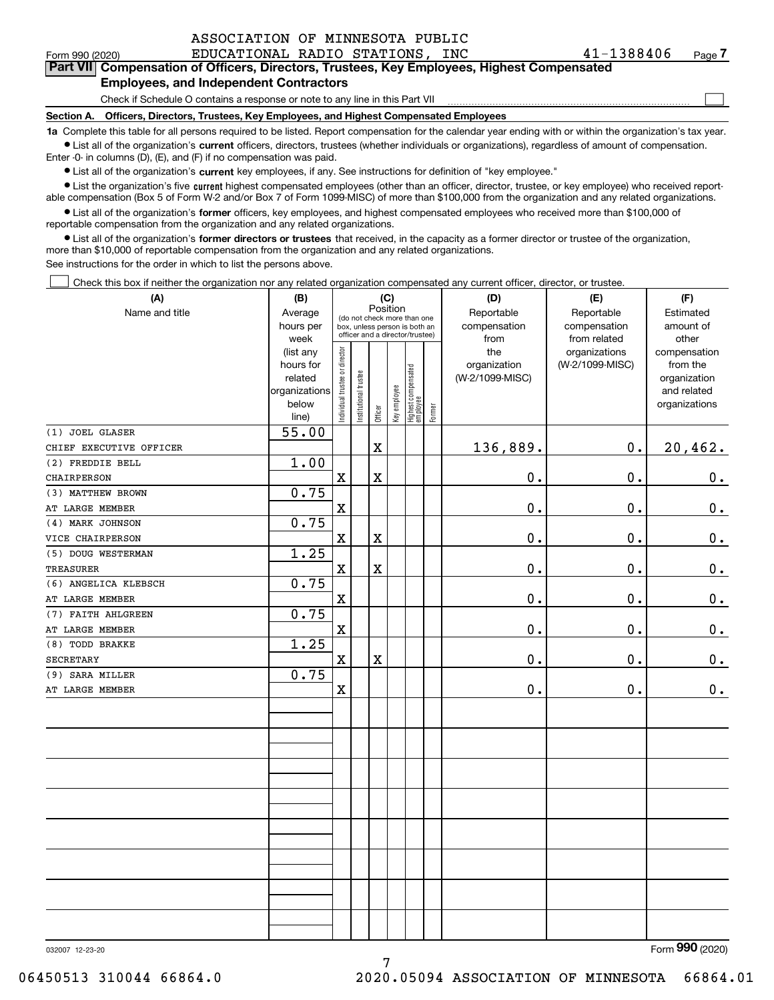$\mathcal{L}^{\text{max}}$ 

| Form 990 (2020) |                                                                                            | EDUCATIONAL RADIO STATIONS, | INC | 41-1388406 | Page 7 |
|-----------------|--------------------------------------------------------------------------------------------|-----------------------------|-----|------------|--------|
|                 | Part VII Compensation of Officers, Directors, Trustees, Key Employees, Highest Compensated |                             |     |            |        |
|                 | <b>Employees, and Independent Contractors</b>                                              |                             |     |            |        |

Check if Schedule O contains a response or note to any line in this Part VII

**Section A. Officers, Directors, Trustees, Key Employees, and Highest Compensated Employees**

**1a**  Complete this table for all persons required to be listed. Report compensation for the calendar year ending with or within the organization's tax year. **•** List all of the organization's current officers, directors, trustees (whether individuals or organizations), regardless of amount of compensation.

Enter -0- in columns (D), (E), and (F) if no compensation was paid.

 $\bullet$  List all of the organization's  $\,$ current key employees, if any. See instructions for definition of "key employee."

**•** List the organization's five current highest compensated employees (other than an officer, director, trustee, or key employee) who received reportable compensation (Box 5 of Form W-2 and/or Box 7 of Form 1099-MISC) of more than \$100,000 from the organization and any related organizations.

**•** List all of the organization's former officers, key employees, and highest compensated employees who received more than \$100,000 of reportable compensation from the organization and any related organizations.

**former directors or trustees**  ¥ List all of the organization's that received, in the capacity as a former director or trustee of the organization, more than \$10,000 of reportable compensation from the organization and any related organizations.

See instructions for the order in which to list the persons above.

Check this box if neither the organization nor any related organization compensated any current officer, director, or trustee.  $\mathcal{L}^{\text{max}}$ 

| (A)                     | (B)                    | (C)                           |                                 |             |              |                                  | (D)    | (E)             | (F)             |                              |
|-------------------------|------------------------|-------------------------------|---------------------------------|-------------|--------------|----------------------------------|--------|-----------------|-----------------|------------------------------|
| Name and title          | Average                |                               | (do not check more than one     | Position    |              |                                  |        | Reportable      | Reportable      | Estimated                    |
|                         | hours per              |                               | box, unless person is both an   |             |              |                                  |        | compensation    | compensation    | amount of                    |
|                         | week                   |                               | officer and a director/trustee) |             |              |                                  |        | from            | from related    | other                        |
|                         | (list any              |                               |                                 |             |              |                                  |        | the             | organizations   | compensation                 |
|                         | hours for              |                               |                                 |             |              |                                  |        | organization    | (W-2/1099-MISC) | from the                     |
|                         | related                |                               |                                 |             |              |                                  |        | (W-2/1099-MISC) |                 | organization                 |
|                         | organizations<br>below |                               |                                 |             |              |                                  |        |                 |                 | and related<br>organizations |
|                         | line)                  | ndividual trustee or director | Institutional trustee           | Officer     | Key employee | Highest compensated<br> employee | Former |                 |                 |                              |
| (1) JOEL GLASER         | $\overline{55.00}$     |                               |                                 |             |              |                                  |        |                 |                 |                              |
| CHIEF EXECUTIVE OFFICER |                        |                               |                                 | $\mathbf X$ |              |                                  |        | 136,889.        | $0$ .           | 20,462.                      |
| (2) FREDDIE BELL        | 1.00                   |                               |                                 |             |              |                                  |        |                 |                 |                              |
| CHAIRPERSON             |                        | $\mathbf X$                   |                                 | $\mathbf X$ |              |                                  |        | $0$ .           | $0$ .           | $0_{.}$                      |
| (3) MATTHEW BROWN       | 0.75                   |                               |                                 |             |              |                                  |        |                 |                 |                              |
| AT LARGE MEMBER         |                        | $\mathbf X$                   |                                 |             |              |                                  |        | 0.              | 0.              | $\mathbf 0$ .                |
| (4) MARK JOHNSON        | 0.75                   |                               |                                 |             |              |                                  |        |                 |                 |                              |
| VICE CHAIRPERSON        |                        | $\mathbf X$                   |                                 | $\mathbf X$ |              |                                  |        | 0.              | 0.              | 0.                           |
| (5) DOUG WESTERMAN      | 1.25                   |                               |                                 |             |              |                                  |        |                 |                 |                              |
| <b>TREASURER</b>        |                        | $\mathbf X$                   |                                 | $\mathbf X$ |              |                                  |        | 0.              | 0.              | $0_{.}$                      |
| (6) ANGELICA KLEBSCH    | 0.75                   |                               |                                 |             |              |                                  |        |                 |                 |                              |
| AT LARGE MEMBER         |                        | $\mathbf X$                   |                                 |             |              |                                  |        | 0.              | 0.              | $0_{.}$                      |
| (7) FAITH AHLGREEN      | 0.75                   |                               |                                 |             |              |                                  |        |                 |                 |                              |
| AT LARGE MEMBER         |                        | $\mathbf X$                   |                                 |             |              |                                  |        | 0.              | 0.              | $\mathbf 0$ .                |
| (8) TODD BRAKKE         | 1.25                   |                               |                                 |             |              |                                  |        |                 |                 |                              |
| <b>SECRETARY</b>        |                        | $\mathbf X$                   |                                 | $\mathbf X$ |              |                                  |        | 0.              | 0.              | 0.                           |
| (9) SARA MILLER         | 0.75                   |                               |                                 |             |              |                                  |        |                 |                 |                              |
| AT LARGE MEMBER         |                        | $\mathbf X$                   |                                 |             |              |                                  |        | 0.              | 0.              | $0$ .                        |
|                         |                        |                               |                                 |             |              |                                  |        |                 |                 |                              |
|                         |                        |                               |                                 |             |              |                                  |        |                 |                 |                              |
|                         |                        |                               |                                 |             |              |                                  |        |                 |                 |                              |
|                         |                        |                               |                                 |             |              |                                  |        |                 |                 |                              |
|                         |                        |                               |                                 |             |              |                                  |        |                 |                 |                              |
|                         |                        |                               |                                 |             |              |                                  |        |                 |                 |                              |
|                         |                        |                               |                                 |             |              |                                  |        |                 |                 |                              |
|                         |                        |                               |                                 |             |              |                                  |        |                 |                 |                              |
|                         |                        |                               |                                 |             |              |                                  |        |                 |                 |                              |
|                         |                        |                               |                                 |             |              |                                  |        |                 |                 |                              |
|                         |                        |                               |                                 |             |              |                                  |        |                 |                 |                              |
|                         |                        |                               |                                 |             |              |                                  |        |                 |                 |                              |
|                         |                        |                               |                                 |             |              |                                  |        |                 |                 |                              |
|                         |                        |                               |                                 |             |              |                                  |        |                 |                 |                              |
|                         |                        |                               |                                 |             |              |                                  |        |                 |                 |                              |

7

032007 12-23-20

Form (2020) **990**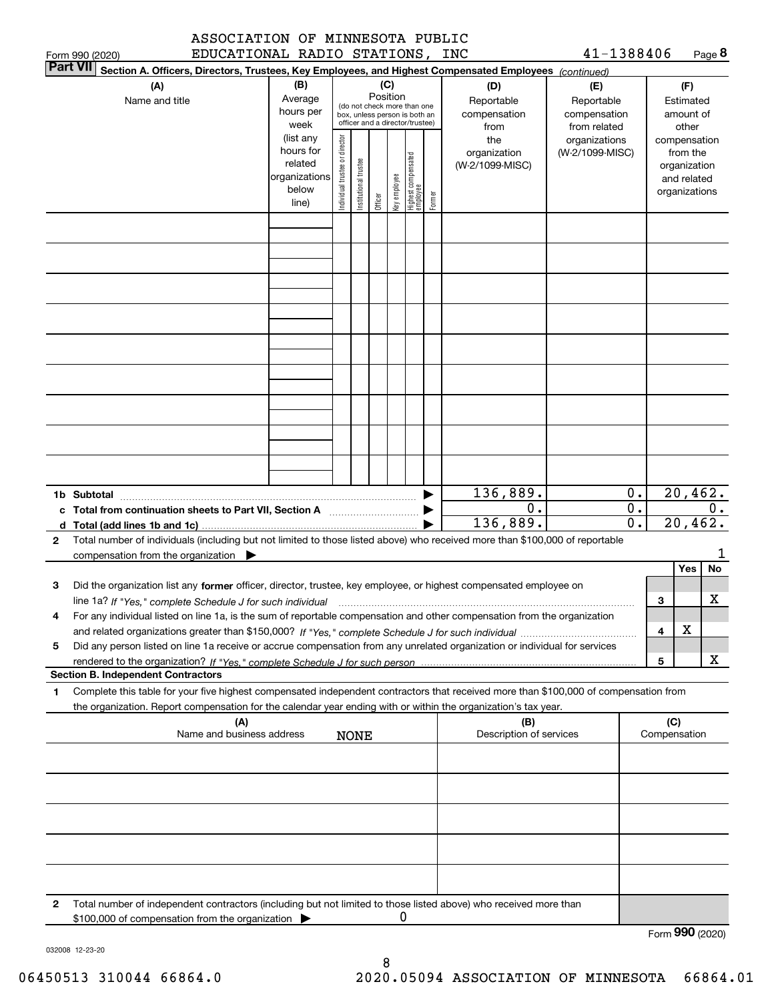| ASSOCIATION OF MINNESOTA PUBLIC |  |  |     |
|---------------------------------|--|--|-----|
| EDUCATIONAL RADIO STATIONS,     |  |  | INC |

| 41-1388406 | Page 8 |
|------------|--------|
|------------|--------|

|              | EDUCATIONAL RADIO STATIONS,<br>Form 990 (2020)                                                                                                       |               |                                |                       |         |              |                                                              |        | TMC                     | 41-1388406      |                  |                        |               | Page <b>ö</b> |
|--------------|------------------------------------------------------------------------------------------------------------------------------------------------------|---------------|--------------------------------|-----------------------|---------|--------------|--------------------------------------------------------------|--------|-------------------------|-----------------|------------------|------------------------|---------------|---------------|
|              | <b>Part VII</b><br>Section A. Officers, Directors, Trustees, Key Employees, and Highest Compensated Employees (continued)                            |               |                                |                       |         |              |                                                              |        |                         |                 |                  |                        |               |               |
|              | (A)                                                                                                                                                  | (B)           |                                |                       |         | (C)          |                                                              |        | (D)                     | (E)             |                  |                        | (F)           |               |
|              | Name and title                                                                                                                                       | Average       |                                |                       |         | Position     |                                                              |        | Reportable              | Reportable      |                  |                        | Estimated     |               |
|              |                                                                                                                                                      | hours per     |                                |                       |         |              | (do not check more than one<br>box, unless person is both an |        | compensation            | compensation    |                  |                        | amount of     |               |
|              |                                                                                                                                                      | week          |                                |                       |         |              | officer and a director/trustee)                              |        | from                    | from related    |                  |                        | other         |               |
|              |                                                                                                                                                      | (list any     |                                |                       |         |              |                                                              |        | the                     | organizations   |                  |                        | compensation  |               |
|              |                                                                                                                                                      | hours for     | Individual trustee or director |                       |         |              |                                                              |        | organization            | (W-2/1099-MISC) |                  |                        | from the      |               |
|              |                                                                                                                                                      | related       |                                | Institutional trustee |         |              |                                                              |        | (W-2/1099-MISC)         |                 |                  |                        | organization  |               |
|              |                                                                                                                                                      | organizations |                                |                       |         |              |                                                              |        |                         |                 |                  |                        | and related   |               |
|              |                                                                                                                                                      | below         |                                |                       |         | key employee |                                                              |        |                         |                 |                  |                        | organizations |               |
|              |                                                                                                                                                      | line)         |                                |                       | Officer |              | Highest compensated<br> employee                             | Former |                         |                 |                  |                        |               |               |
|              |                                                                                                                                                      |               |                                |                       |         |              |                                                              |        |                         |                 |                  |                        |               |               |
|              |                                                                                                                                                      |               |                                |                       |         |              |                                                              |        |                         |                 |                  |                        |               |               |
|              |                                                                                                                                                      |               |                                |                       |         |              |                                                              |        |                         |                 |                  |                        |               |               |
|              |                                                                                                                                                      |               |                                |                       |         |              |                                                              |        |                         |                 |                  |                        |               |               |
|              |                                                                                                                                                      |               |                                |                       |         |              |                                                              |        |                         |                 |                  |                        |               |               |
|              |                                                                                                                                                      |               |                                |                       |         |              |                                                              |        |                         |                 |                  |                        |               |               |
|              |                                                                                                                                                      |               |                                |                       |         |              |                                                              |        |                         |                 |                  |                        |               |               |
|              |                                                                                                                                                      |               |                                |                       |         |              |                                                              |        |                         |                 |                  |                        |               |               |
|              |                                                                                                                                                      |               |                                |                       |         |              |                                                              |        |                         |                 |                  |                        |               |               |
|              |                                                                                                                                                      |               |                                |                       |         |              |                                                              |        |                         |                 |                  |                        |               |               |
|              |                                                                                                                                                      |               |                                |                       |         |              |                                                              |        |                         |                 |                  |                        |               |               |
|              |                                                                                                                                                      |               |                                |                       |         |              |                                                              |        |                         |                 |                  |                        |               |               |
|              |                                                                                                                                                      |               |                                |                       |         |              |                                                              |        |                         |                 |                  |                        |               |               |
|              |                                                                                                                                                      |               |                                |                       |         |              |                                                              |        |                         |                 |                  |                        |               |               |
|              |                                                                                                                                                      |               |                                |                       |         |              |                                                              |        |                         |                 |                  |                        |               |               |
|              |                                                                                                                                                      |               |                                |                       |         |              |                                                              |        |                         |                 |                  |                        |               |               |
|              |                                                                                                                                                      |               |                                |                       |         |              |                                                              |        |                         |                 |                  |                        |               |               |
|              |                                                                                                                                                      |               |                                |                       |         |              |                                                              |        |                         |                 |                  |                        |               |               |
|              |                                                                                                                                                      |               |                                |                       |         |              |                                                              |        |                         |                 |                  |                        |               |               |
|              |                                                                                                                                                      |               |                                |                       |         |              |                                                              |        |                         |                 |                  |                        |               |               |
|              |                                                                                                                                                      |               |                                |                       |         |              |                                                              |        |                         |                 |                  |                        |               |               |
|              |                                                                                                                                                      |               |                                |                       |         |              |                                                              |        | 136,889.                |                 | 0.               |                        |               | 20,462.       |
|              | c Total from continuation sheets to Part VII, Section A manufactured by                                                                              |               |                                |                       |         |              |                                                              |        | 0.                      |                 | $\overline{0}$ . | $20, 46\overline{2}$ . |               | 0.            |
| d            |                                                                                                                                                      |               |                                |                       |         |              |                                                              |        | 136,889.                |                 | $\overline{0}$ . |                        |               |               |
| $\mathbf{2}$ | Total number of individuals (including but not limited to those listed above) who received more than \$100,000 of reportable                         |               |                                |                       |         |              |                                                              |        |                         |                 |                  |                        |               |               |
|              | compensation from the organization $\blacktriangleright$                                                                                             |               |                                |                       |         |              |                                                              |        |                         |                 |                  |                        |               | 1             |
|              |                                                                                                                                                      |               |                                |                       |         |              |                                                              |        |                         |                 |                  |                        | Yes           | No            |
| 3            | Did the organization list any former officer, director, trustee, key employee, or highest compensated employee on                                    |               |                                |                       |         |              |                                                              |        |                         |                 |                  |                        |               |               |
|              |                                                                                                                                                      |               |                                |                       |         |              |                                                              |        |                         |                 |                  |                        |               | х             |
|              | line 1a? If "Yes," complete Schedule J for such individual manufactured contained and the line 1a? If "Yes," complete Schedule J for such individual |               |                                |                       |         |              |                                                              |        |                         |                 |                  | 3                      |               |               |
|              | For any individual listed on line 1a, is the sum of reportable compensation and other compensation from the organization                             |               |                                |                       |         |              |                                                              |        |                         |                 |                  |                        |               |               |
|              |                                                                                                                                                      |               |                                |                       |         |              |                                                              |        |                         |                 |                  | 4                      | X             |               |
| 5            | Did any person listed on line 1a receive or accrue compensation from any unrelated organization or individual for services                           |               |                                |                       |         |              |                                                              |        |                         |                 |                  |                        |               |               |
|              |                                                                                                                                                      |               |                                |                       |         |              |                                                              |        |                         |                 |                  | 5                      |               | x             |
|              | <b>Section B. Independent Contractors</b>                                                                                                            |               |                                |                       |         |              |                                                              |        |                         |                 |                  |                        |               |               |
| 1            | Complete this table for your five highest compensated independent contractors that received more than \$100,000 of compensation from                 |               |                                |                       |         |              |                                                              |        |                         |                 |                  |                        |               |               |
|              | the organization. Report compensation for the calendar year ending with or within the organization's tax year.                                       |               |                                |                       |         |              |                                                              |        |                         |                 |                  |                        |               |               |
|              |                                                                                                                                                      |               |                                |                       |         |              |                                                              |        |                         |                 |                  |                        |               |               |
|              | (A)<br>Name and business address                                                                                                                     |               |                                |                       |         |              |                                                              |        | (B)                     |                 |                  | (C)                    |               |               |
|              |                                                                                                                                                      |               |                                | <b>NONE</b>           |         |              |                                                              |        | Description of services |                 |                  | Compensation           |               |               |
|              |                                                                                                                                                      |               |                                |                       |         |              |                                                              |        |                         |                 |                  |                        |               |               |
|              |                                                                                                                                                      |               |                                |                       |         |              |                                                              |        |                         |                 |                  |                        |               |               |
|              |                                                                                                                                                      |               |                                |                       |         |              |                                                              |        |                         |                 |                  |                        |               |               |
|              |                                                                                                                                                      |               |                                |                       |         |              |                                                              |        |                         |                 |                  |                        |               |               |
|              |                                                                                                                                                      |               |                                |                       |         |              |                                                              |        |                         |                 |                  |                        |               |               |
|              |                                                                                                                                                      |               |                                |                       |         |              |                                                              |        |                         |                 |                  |                        |               |               |
|              |                                                                                                                                                      |               |                                |                       |         |              |                                                              |        |                         |                 |                  |                        |               |               |
|              |                                                                                                                                                      |               |                                |                       |         |              |                                                              |        |                         |                 |                  |                        |               |               |
|              |                                                                                                                                                      |               |                                |                       |         |              |                                                              |        |                         |                 |                  |                        |               |               |
|              |                                                                                                                                                      |               |                                |                       |         |              |                                                              |        |                         |                 |                  |                        |               |               |
|              |                                                                                                                                                      |               |                                |                       |         |              |                                                              |        |                         |                 |                  |                        |               |               |
| 2            | Total number of independent contractors (including but not limited to those listed above) who received more than                                     |               |                                |                       |         |              |                                                              |        |                         |                 |                  |                        |               |               |
|              | \$100,000 of compensation from the organization                                                                                                      |               |                                |                       |         | U            |                                                              |        |                         |                 |                  |                        |               |               |

Form (2020) **990**

032008 12-23-20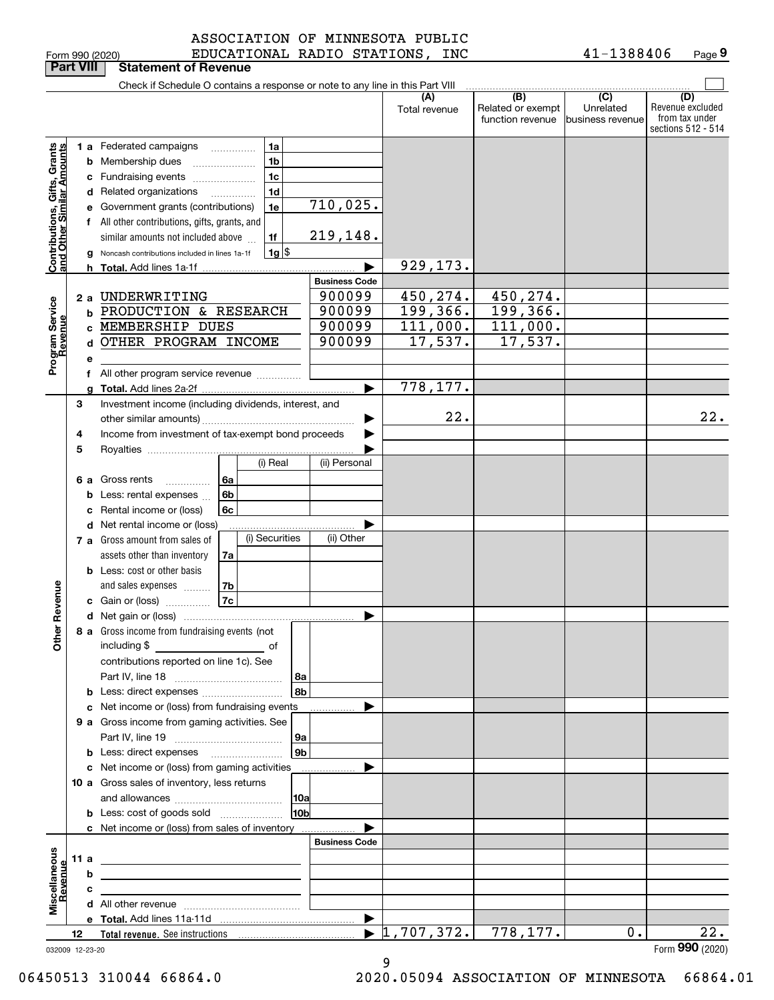| Form 990 (2020) | <b>EDUCATI</b>                        |
|-----------------|---------------------------------------|
|                 | <b>Part VIII Statement of Revenue</b> |

|                                                           |      | Check if Schedule O contains a response or note to any line in this Part VIII                                                                                                                                                             |                      |                                  |                                              |                                      |                                                                 |
|-----------------------------------------------------------|------|-------------------------------------------------------------------------------------------------------------------------------------------------------------------------------------------------------------------------------------------|----------------------|----------------------------------|----------------------------------------------|--------------------------------------|-----------------------------------------------------------------|
|                                                           |      |                                                                                                                                                                                                                                           |                      | Total revenue                    | (B)<br>Related or exempt<br>function revenue | (C)<br>Unrelated<br>business revenue | (D)<br>Revenue excluded<br>from tax under<br>sections 512 - 514 |
|                                                           |      | 1 a Federated campaigns<br>1a                                                                                                                                                                                                             |                      |                                  |                                              |                                      |                                                                 |
| Contributions, Gifts, Grants<br>and Other Similar Amounts |      | 1 <sub>b</sub><br><b>b</b> Membership dues                                                                                                                                                                                                |                      |                                  |                                              |                                      |                                                                 |
|                                                           |      | 1 <sub>c</sub><br>c Fundraising events                                                                                                                                                                                                    |                      |                                  |                                              |                                      |                                                                 |
|                                                           |      | 1d<br>d Related organizations<br>.                                                                                                                                                                                                        |                      |                                  |                                              |                                      |                                                                 |
|                                                           |      | e Government grants (contributions)<br>1e                                                                                                                                                                                                 | 710,025.             |                                  |                                              |                                      |                                                                 |
|                                                           |      | f All other contributions, gifts, grants, and                                                                                                                                                                                             |                      |                                  |                                              |                                      |                                                                 |
|                                                           |      | similar amounts not included above<br>1f                                                                                                                                                                                                  | 219,148.             |                                  |                                              |                                      |                                                                 |
|                                                           |      | $1g$ \$<br><b>g</b> Noncash contributions included in lines 1a-1f                                                                                                                                                                         |                      |                                  |                                              |                                      |                                                                 |
|                                                           |      |                                                                                                                                                                                                                                           |                      | 929,173.                         |                                              |                                      |                                                                 |
|                                                           |      |                                                                                                                                                                                                                                           | <b>Business Code</b> |                                  |                                              |                                      |                                                                 |
|                                                           | 2a   | UNDERWRITING                                                                                                                                                                                                                              | 900099               | 450,274.                         | 450,274.                                     |                                      |                                                                 |
|                                                           |      | PRODUCTION & RESEARCH<br>b                                                                                                                                                                                                                | 900099               | 199, 366.                        | 199,366.                                     |                                      |                                                                 |
|                                                           |      | MEMBERSHIP DUES<br>C.                                                                                                                                                                                                                     | 900099               | 111,000.                         | 111,000.                                     |                                      |                                                                 |
|                                                           |      | d OTHER PROGRAM INCOME                                                                                                                                                                                                                    | 900099               | 17,537.                          | 17,537.                                      |                                      |                                                                 |
|                                                           |      | е                                                                                                                                                                                                                                         |                      |                                  |                                              |                                      |                                                                 |
| Program Service<br>Revenue                                |      | f All other program service revenue                                                                                                                                                                                                       |                      |                                  |                                              |                                      |                                                                 |
|                                                           |      | g                                                                                                                                                                                                                                         |                      | 778,177.                         |                                              |                                      |                                                                 |
|                                                           | 3    | Investment income (including dividends, interest, and                                                                                                                                                                                     |                      |                                  |                                              |                                      |                                                                 |
|                                                           |      |                                                                                                                                                                                                                                           | ▶                    | 22.                              |                                              |                                      | 22.                                                             |
|                                                           | 4    | Income from investment of tax-exempt bond proceeds                                                                                                                                                                                        |                      |                                  |                                              |                                      |                                                                 |
|                                                           | 5    |                                                                                                                                                                                                                                           |                      |                                  |                                              |                                      |                                                                 |
|                                                           |      | (i) Real                                                                                                                                                                                                                                  | (ii) Personal        |                                  |                                              |                                      |                                                                 |
|                                                           |      | 6 a Gross rents<br>6a                                                                                                                                                                                                                     |                      |                                  |                                              |                                      |                                                                 |
|                                                           |      | 6b<br><b>b</b> Less: rental expenses                                                                                                                                                                                                      |                      |                                  |                                              |                                      |                                                                 |
|                                                           |      | c Rental income or (loss)<br>6c                                                                                                                                                                                                           |                      |                                  |                                              |                                      |                                                                 |
|                                                           |      | d Net rental income or (loss)                                                                                                                                                                                                             |                      |                                  |                                              |                                      |                                                                 |
|                                                           |      | (i) Securities<br>7 a Gross amount from sales of                                                                                                                                                                                          | (ii) Other           |                                  |                                              |                                      |                                                                 |
|                                                           |      | assets other than inventory<br>7a                                                                                                                                                                                                         |                      |                                  |                                              |                                      |                                                                 |
|                                                           |      | <b>b</b> Less: cost or other basis                                                                                                                                                                                                        |                      |                                  |                                              |                                      |                                                                 |
|                                                           |      | 7b<br>and sales expenses                                                                                                                                                                                                                  |                      |                                  |                                              |                                      |                                                                 |
| Other Revenue                                             |      | 7c<br><b>c</b> Gain or (loss)                                                                                                                                                                                                             |                      |                                  |                                              |                                      |                                                                 |
|                                                           |      |                                                                                                                                                                                                                                           |                      |                                  |                                              |                                      |                                                                 |
|                                                           |      | 8 a Gross income from fundraising events (not                                                                                                                                                                                             |                      |                                  |                                              |                                      |                                                                 |
|                                                           |      |                                                                                                                                                                                                                                           |                      |                                  |                                              |                                      |                                                                 |
|                                                           |      | contributions reported on line 1c). See                                                                                                                                                                                                   |                      |                                  |                                              |                                      |                                                                 |
|                                                           |      | 8a                                                                                                                                                                                                                                        |                      |                                  |                                              |                                      |                                                                 |
|                                                           |      | 8b<br><b>b</b> Less: direct expenses                                                                                                                                                                                                      |                      |                                  |                                              |                                      |                                                                 |
|                                                           |      | c Net income or (loss) from fundraising events                                                                                                                                                                                            |                      |                                  |                                              |                                      |                                                                 |
|                                                           |      | 9 a Gross income from gaming activities. See                                                                                                                                                                                              |                      |                                  |                                              |                                      |                                                                 |
|                                                           |      | 9a                                                                                                                                                                                                                                        |                      |                                  |                                              |                                      |                                                                 |
|                                                           |      | 9 <sub>b</sub><br><b>b</b> Less: direct expenses <b>manually</b>                                                                                                                                                                          |                      |                                  |                                              |                                      |                                                                 |
|                                                           |      | c Net income or (loss) from gaming activities                                                                                                                                                                                             | .                    |                                  |                                              |                                      |                                                                 |
|                                                           |      | 10 a Gross sales of inventory, less returns                                                                                                                                                                                               |                      |                                  |                                              |                                      |                                                                 |
|                                                           |      | 10a                                                                                                                                                                                                                                       |                      |                                  |                                              |                                      |                                                                 |
|                                                           |      | 10 <sub>b</sub>                                                                                                                                                                                                                           |                      |                                  |                                              |                                      |                                                                 |
|                                                           |      | <b>c</b> Net income or (loss) from sales of inventory                                                                                                                                                                                     |                      |                                  |                                              |                                      |                                                                 |
|                                                           |      |                                                                                                                                                                                                                                           | <b>Business Code</b> |                                  |                                              |                                      |                                                                 |
|                                                           | 11 a | <u> 1989 - Johann Barbara, martin amerikan basar dan berasal dalam basar dalam basar dalam basar dalam basar dala</u>                                                                                                                     |                      |                                  |                                              |                                      |                                                                 |
|                                                           |      | b<br><u>state and the state of the state of the state of the state of the state of the state of the state of the state of the state of the state of the state of the state of the state of the state of the state of the state of the</u> |                      |                                  |                                              |                                      |                                                                 |
|                                                           |      | с<br><u> 1989 - Johann Barbara, martxa alemaniar a</u>                                                                                                                                                                                    |                      |                                  |                                              |                                      |                                                                 |
| Miscellaneous<br>Revenue                                  |      |                                                                                                                                                                                                                                           |                      |                                  |                                              |                                      |                                                                 |
|                                                           |      |                                                                                                                                                                                                                                           | ▶                    |                                  |                                              |                                      |                                                                 |
|                                                           | 12   |                                                                                                                                                                                                                                           |                      | $\blacktriangleright$ 1,707,372. | 778,177.                                     | 0.                                   | 22.                                                             |
| 032009 12-23-20                                           |      |                                                                                                                                                                                                                                           |                      |                                  |                                              |                                      | Form 990 (2020)                                                 |

9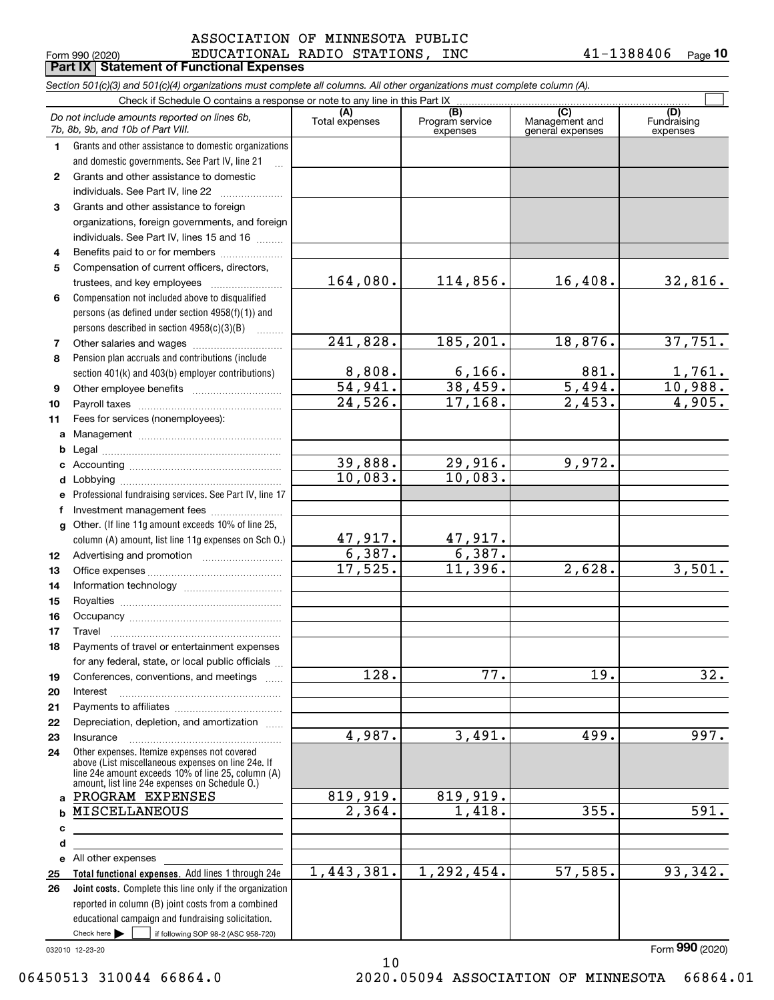## <code>Form</code> 990 (2020) <code>EDUCATIONAL RADIO STATIONS</code> , <code>INC</code> 4 $1\text{--}1388406$   $\,$  <code>Page</code> ASSOCIATION OF MINNESOTA PUBLIC

**Part IX Statement of Functional Expenses**

**10**

|              | Section 501(c)(3) and 501(c)(4) organizations must complete all columns. All other organizations must complete column (A).                                                                                 |                          |                                     |                                    |                         |
|--------------|------------------------------------------------------------------------------------------------------------------------------------------------------------------------------------------------------------|--------------------------|-------------------------------------|------------------------------------|-------------------------|
|              | Check if Schedule O contains a response or note to any line in this Part IX                                                                                                                                |                          | (B)                                 | (C)                                | (D)                     |
|              | Do not include amounts reported on lines 6b,<br>7b, 8b, 9b, and 10b of Part VIII.                                                                                                                          | (A)<br>Total expenses    | Program service<br>expenses         | Management and<br>general expenses | Fundraising<br>expenses |
| 1.           | Grants and other assistance to domestic organizations                                                                                                                                                      |                          |                                     |                                    |                         |
|              | and domestic governments. See Part IV, line 21                                                                                                                                                             |                          |                                     |                                    |                         |
| $\mathbf{2}$ | Grants and other assistance to domestic                                                                                                                                                                    |                          |                                     |                                    |                         |
|              | individuals. See Part IV, line 22                                                                                                                                                                          |                          |                                     |                                    |                         |
| 3            | Grants and other assistance to foreign                                                                                                                                                                     |                          |                                     |                                    |                         |
|              | organizations, foreign governments, and foreign                                                                                                                                                            |                          |                                     |                                    |                         |
|              | individuals. See Part IV, lines 15 and 16                                                                                                                                                                  |                          |                                     |                                    |                         |
| 4            | Benefits paid to or for members                                                                                                                                                                            |                          |                                     |                                    |                         |
| 5            | Compensation of current officers, directors,                                                                                                                                                               |                          |                                     |                                    |                         |
|              | trustees, and key employees                                                                                                                                                                                | 164,080.                 | 114,856.                            | 16,408.                            | 32,816.                 |
| 6            | Compensation not included above to disqualified                                                                                                                                                            |                          |                                     |                                    |                         |
|              | persons (as defined under section 4958(f)(1)) and                                                                                                                                                          |                          |                                     |                                    |                         |
|              | persons described in section 4958(c)(3)(B)                                                                                                                                                                 |                          |                                     |                                    |                         |
| 7            |                                                                                                                                                                                                            | 241,828.                 | 185,201.                            | 18,876.                            | 37,751.                 |
| 8            | Pension plan accruals and contributions (include                                                                                                                                                           |                          |                                     |                                    |                         |
|              | section 401(k) and 403(b) employer contributions)                                                                                                                                                          | 8,808.                   |                                     | 881.                               | $\frac{1,761}{10,988}$  |
| 9            |                                                                                                                                                                                                            | 54,941.                  | $\frac{6,166.}{38,459.}$<br>17,168. | 5,494.<br>$\overline{2,453}$ .     | 4,905.                  |
| 10           |                                                                                                                                                                                                            | 24,526.                  |                                     |                                    |                         |
| 11           | Fees for services (nonemployees):                                                                                                                                                                          |                          |                                     |                                    |                         |
| a            |                                                                                                                                                                                                            |                          |                                     |                                    |                         |
| b            |                                                                                                                                                                                                            |                          |                                     |                                    |                         |
| c            |                                                                                                                                                                                                            | 39,888.                  | <u>29,916.</u><br>10,083.           | 9,972.                             |                         |
| d            |                                                                                                                                                                                                            | 10,083.                  |                                     |                                    |                         |
| е            | Professional fundraising services. See Part IV, line 17                                                                                                                                                    |                          |                                     |                                    |                         |
| f            | Investment management fees                                                                                                                                                                                 |                          |                                     |                                    |                         |
| g            | Other. (If line 11g amount exceeds 10% of line 25,                                                                                                                                                         |                          |                                     |                                    |                         |
|              | column (A) amount, list line 11g expenses on Sch O.)                                                                                                                                                       | $\frac{47,917.}{6,387.}$ | $\frac{47,917.}{6,387.}$            |                                    |                         |
| 12           |                                                                                                                                                                                                            |                          | 11,396.                             |                                    |                         |
| 13           |                                                                                                                                                                                                            | 17,525.                  |                                     | 2,628.                             | 3,501.                  |
| 14           |                                                                                                                                                                                                            |                          |                                     |                                    |                         |
| 15           |                                                                                                                                                                                                            |                          |                                     |                                    |                         |
| 16           |                                                                                                                                                                                                            |                          |                                     |                                    |                         |
| 17           | Travel                                                                                                                                                                                                     |                          |                                     |                                    |                         |
| 18           | Payments of travel or entertainment expenses                                                                                                                                                               |                          |                                     |                                    |                         |
|              | for any federal, state, or local public officials                                                                                                                                                          | $\overline{128}$ .       |                                     |                                    |                         |
| 19           | Conferences, conventions, and meetings                                                                                                                                                                     |                          | $\overline{77}$ .                   | 19.                                | 32.                     |
| 20           | Interest                                                                                                                                                                                                   |                          |                                     |                                    |                         |
| 21           |                                                                                                                                                                                                            |                          |                                     |                                    |                         |
| 22           | Depreciation, depletion, and amortization                                                                                                                                                                  | 4,987.                   | 3,491.                              | 499.                               | 997.                    |
| 23           | Insurance                                                                                                                                                                                                  |                          |                                     |                                    |                         |
| 24           | Other expenses. Itemize expenses not covered<br>above (List miscellaneous expenses on line 24e. If<br>line 24e amount exceeds 10% of line 25, column (A)<br>amount, list line 24e expenses on Schedule O.) |                          |                                     |                                    |                         |
|              | PROGRAM EXPENSES                                                                                                                                                                                           | 819,919.                 | 819,919.                            |                                    |                         |
| b            | <b>MISCELLANEOUS</b>                                                                                                                                                                                       | 2,364.                   | 1,418.                              | 355.                               | 591.                    |
| c            |                                                                                                                                                                                                            |                          |                                     |                                    |                         |
| d            |                                                                                                                                                                                                            |                          |                                     |                                    |                         |
|              | e All other expenses                                                                                                                                                                                       |                          |                                     |                                    |                         |
| 25           | Total functional expenses. Add lines 1 through 24e                                                                                                                                                         | 1,443,381.               | 1,292,454.                          | 57,585.                            | 93,342.                 |
| 26           | Joint costs. Complete this line only if the organization                                                                                                                                                   |                          |                                     |                                    |                         |
|              | reported in column (B) joint costs from a combined                                                                                                                                                         |                          |                                     |                                    |                         |
|              | educational campaign and fundraising solicitation.                                                                                                                                                         |                          |                                     |                                    |                         |
|              | Check here<br>if following SOP 98-2 (ASC 958-720)                                                                                                                                                          |                          |                                     |                                    |                         |
|              | 032010 12-23-20                                                                                                                                                                                            |                          |                                     |                                    | Form 990 (2020)         |

032010 12-23-20

06450513 310044 66864.0 2020.05094 ASSOCIATION OF MINNESOTA 66864.01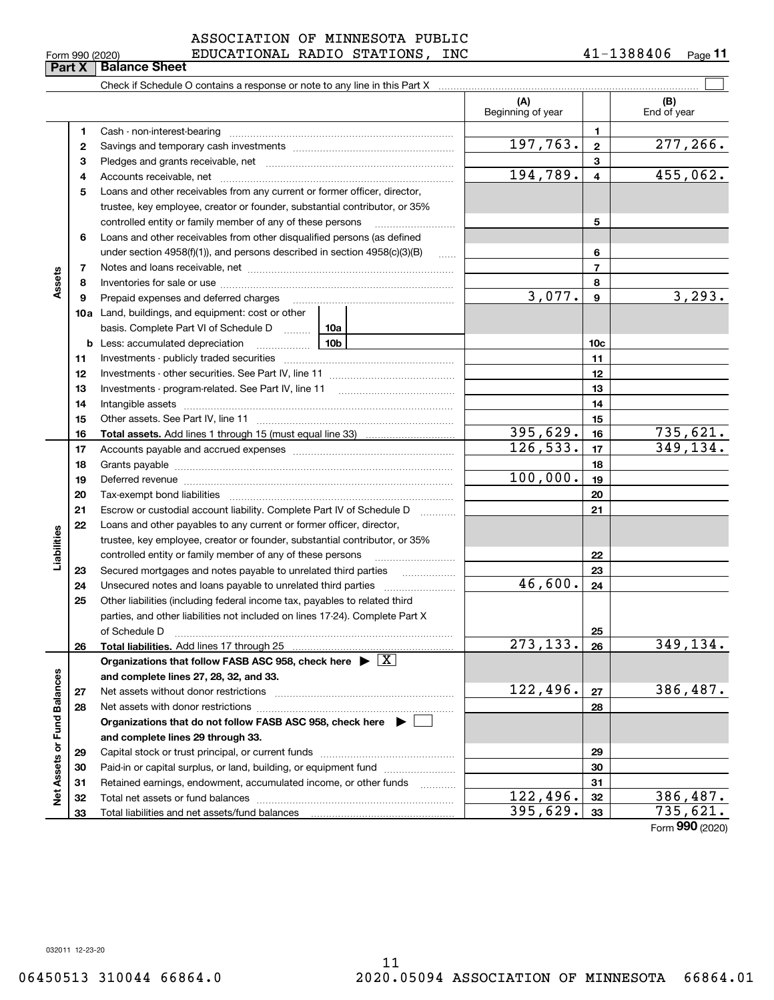|                 | ASSOCIATION OF MINNESOTA PUBLIC |  |     |            |         |
|-----------------|---------------------------------|--|-----|------------|---------|
| Form 990 (2020) | EDUCATIONAL RADIO STATIONS,     |  | INC | 41-1388406 | Page 11 |

|                             |    |                                                                                                                 |                | (A)<br>Beginning of year |                         | (B)<br>End of year     |
|-----------------------------|----|-----------------------------------------------------------------------------------------------------------------|----------------|--------------------------|-------------------------|------------------------|
|                             | 1  |                                                                                                                 |                |                          | 1                       |                        |
|                             | 2  |                                                                                                                 |                | 197,763.                 | $\overline{\mathbf{2}}$ | 277,266.               |
|                             | З  |                                                                                                                 |                |                          | 3                       |                        |
|                             | 4  |                                                                                                                 |                | 194,789.                 | $\overline{4}$          | 455,062.               |
|                             | 5  | Loans and other receivables from any current or former officer, director,                                       |                |                          |                         |                        |
|                             |    | trustee, key employee, creator or founder, substantial contributor, or 35%                                      |                |                          |                         |                        |
|                             |    | controlled entity or family member of any of these persons                                                      |                |                          | 5                       |                        |
|                             | 6  | Loans and other receivables from other disqualified persons (as defined                                         |                |                          |                         |                        |
|                             |    | under section 4958(f)(1)), and persons described in section 4958(c)(3)(B)                                       | <b>Section</b> |                          | 6                       |                        |
|                             | 7  |                                                                                                                 |                |                          | $\overline{7}$          |                        |
| Assets                      | 8  |                                                                                                                 |                |                          | 8                       |                        |
|                             | 9  | Prepaid expenses and deferred charges                                                                           |                | 3,077.                   | 9                       | 3, 293.                |
|                             |    | 10a Land, buildings, and equipment: cost or other                                                               |                |                          |                         |                        |
|                             |    | basis. Complete Part VI of Schedule D  10a                                                                      |                |                          |                         |                        |
|                             |    | <b>b</b> Less: accumulated depreciation                                                                         |                |                          | 10 <sub>c</sub>         |                        |
|                             | 11 |                                                                                                                 |                |                          | 11                      |                        |
|                             | 12 |                                                                                                                 |                |                          | 12                      |                        |
|                             | 13 |                                                                                                                 |                |                          | 13                      |                        |
|                             | 14 |                                                                                                                 |                |                          | 14                      |                        |
|                             | 15 |                                                                                                                 |                |                          | 15                      |                        |
|                             | 16 |                                                                                                                 |                | 395,629.                 | 16                      | 735,621.               |
|                             | 17 |                                                                                                                 |                | 126,533.                 | 17                      | 349,134.               |
|                             | 18 |                                                                                                                 |                |                          | 18                      |                        |
|                             | 19 |                                                                                                                 |                | 100,000.                 | 19                      |                        |
|                             | 20 |                                                                                                                 |                | 20                       |                         |                        |
|                             | 21 | Escrow or custodial account liability. Complete Part IV of Schedule D                                           |                |                          | 21                      |                        |
|                             | 22 | Loans and other payables to any current or former officer, director,                                            |                |                          |                         |                        |
| Liabilities                 |    | trustee, key employee, creator or founder, substantial contributor, or 35%                                      |                |                          |                         |                        |
|                             |    | controlled entity or family member of any of these persons                                                      |                |                          | 22                      |                        |
|                             | 23 | Secured mortgages and notes payable to unrelated third parties                                                  |                |                          | 23                      |                        |
|                             | 24 |                                                                                                                 |                | 46,600.                  | 24                      |                        |
|                             | 25 | Other liabilities (including federal income tax, payables to related third                                      |                |                          |                         |                        |
|                             |    | parties, and other liabilities not included on lines 17-24). Complete Part X                                    |                |                          |                         |                        |
|                             |    | of Schedule D <b>contract the contract of Schedule D</b>                                                        |                |                          | 25                      |                        |
|                             | 26 |                                                                                                                 |                | $\overline{273,133.}$    | 26                      | $\overline{349,134}$ . |
|                             |    | Organizations that follow FASB ASC 958, check here $\triangleright \lfloor X \rfloor$                           |                |                          |                         |                        |
|                             |    | and complete lines 27, 28, 32, and 33.                                                                          |                |                          |                         |                        |
|                             | 27 | Net assets without donor restrictions [111] Net assets without donor restrictions [11] Net assets without donor |                | 122,496.                 | 27                      | 386,487.               |
|                             | 28 |                                                                                                                 |                |                          | 28                      |                        |
|                             |    | Organizations that do not follow FASB ASC 958, check here $\blacktriangleright \lfloor$                         |                |                          |                         |                        |
|                             |    | and complete lines 29 through 33.                                                                               |                |                          |                         |                        |
|                             | 29 |                                                                                                                 |                |                          | 29                      |                        |
|                             | 30 | Paid-in or capital surplus, or land, building, or equipment fund                                                |                |                          | 30                      |                        |
|                             | 31 | Retained earnings, endowment, accumulated income, or other funds                                                |                |                          | 31                      |                        |
| Net Assets or Fund Balances | 32 |                                                                                                                 |                | 122,496.                 | 32                      | 386,487.               |
|                             | 33 |                                                                                                                 |                | 395,629.                 | 33                      | 735,621.               |

Form (2020) **990**

**Part X Balance Sheet**

 $\overline{\phantom{a}}$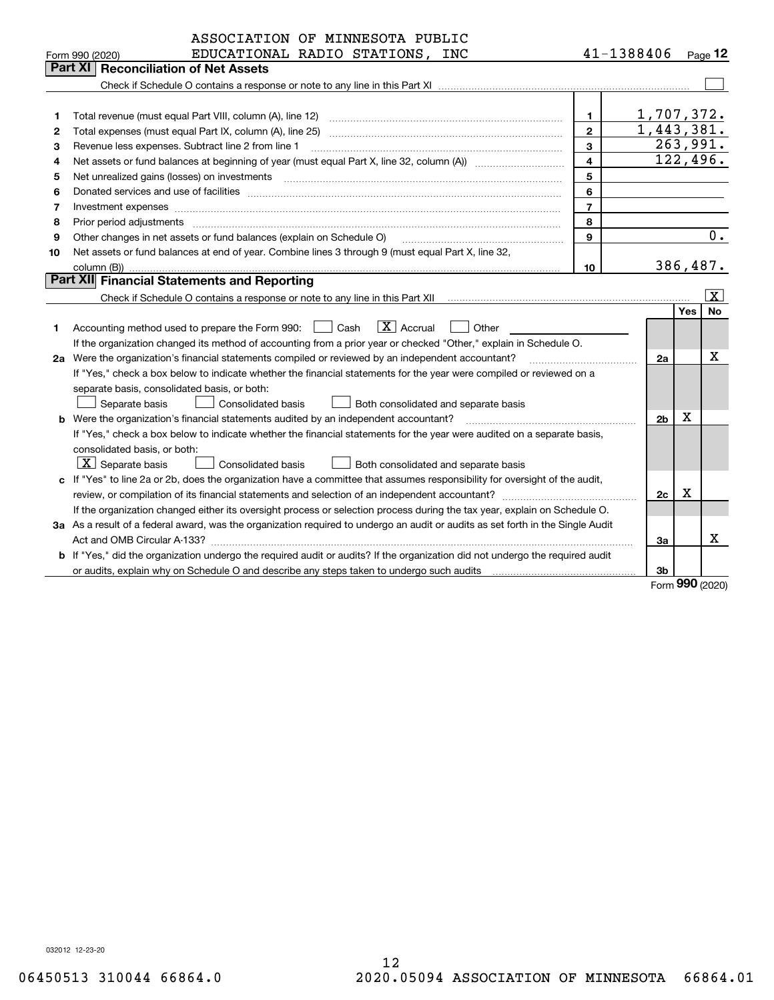|    | ASSOCIATION OF MINNESOTA PUBLIC                                                                                                 |                                                    |                             |            |                  |
|----|---------------------------------------------------------------------------------------------------------------------------------|----------------------------------------------------|-----------------------------|------------|------------------|
|    | EDUCATIONAL RADIO STATIONS, INC<br>Form 990 (2020)                                                                              | 41-1388406                                         |                             |            | Page 12          |
|    | Part XI<br><b>Reconciliation of Net Assets</b>                                                                                  |                                                    |                             |            |                  |
|    |                                                                                                                                 |                                                    |                             |            |                  |
|    |                                                                                                                                 |                                                    |                             |            |                  |
| 1  | Total revenue (must equal Part VIII, column (A), line 12)                                                                       | 1                                                  | 1,707,372.                  |            |                  |
| 2  | Total expenses (must equal Part IX, column (A), line 25)                                                                        | $\mathbf{2}$                                       | 1,443,381.                  |            |                  |
| з  | Revenue less expenses. Subtract line 2 from line 1                                                                              | 3                                                  | 263,991.                    |            |                  |
| 4  |                                                                                                                                 | $\overline{\mathbf{4}}$                            | 122,496.                    |            |                  |
| 5  |                                                                                                                                 | 5                                                  |                             |            |                  |
| 6  |                                                                                                                                 | 6                                                  |                             |            |                  |
| 7  | Investment expenses www.communication.com/www.communication.com/www.communication.com/www.com                                   | $\overline{7}$                                     |                             |            |                  |
| 8  | Prior period adjustments                                                                                                        | 8                                                  |                             |            |                  |
| 9  | Other changes in net assets or fund balances (explain on Schedule O)                                                            | 9                                                  |                             |            | $\overline{0}$ . |
| 10 | Net assets or fund balances at end of year. Combine lines 3 through 9 (must equal Part X, line 32,                              |                                                    |                             |            |                  |
|    |                                                                                                                                 | 10                                                 | 386,487.                    |            |                  |
|    | Part XII Financial Statements and Reporting                                                                                     |                                                    |                             |            |                  |
|    |                                                                                                                                 |                                                    |                             |            | $\mathbf{X}$     |
|    |                                                                                                                                 |                                                    |                             | <b>Yes</b> | <b>No</b>        |
| 1  | $ X $ Accrual<br>Accounting method used to prepare the Form 990: <u>I</u> Cash<br>Other                                         |                                                    |                             |            |                  |
|    | If the organization changed its method of accounting from a prior year or checked "Other," explain in Schedule O.               |                                                    |                             |            |                  |
|    | 2a Were the organization's financial statements compiled or reviewed by an independent accountant?                              | <u> 1986 - Jan Berlin, Amerikaansk politiker (</u> | 2a                          |            | $\mathbf X$      |
|    | If "Yes," check a box below to indicate whether the financial statements for the year were compiled or reviewed on a            |                                                    |                             |            |                  |
|    | separate basis, consolidated basis, or both:                                                                                    |                                                    |                             |            |                  |
|    | Separate basis<br><b>Consolidated basis</b><br>Both consolidated and separate basis                                             |                                                    |                             |            |                  |
|    | <b>b</b> Were the organization's financial statements audited by an independent accountant?                                     |                                                    | 2 <sub>b</sub>              | X          |                  |
|    | If "Yes," check a box below to indicate whether the financial statements for the year were audited on a separate basis,         |                                                    |                             |            |                  |
|    | consolidated basis, or both:                                                                                                    |                                                    |                             |            |                  |
|    | $\lfloor x \rfloor$ Separate basis<br>Consolidated basis<br>Both consolidated and separate basis                                |                                                    |                             |            |                  |
|    | c If "Yes" to line 2a or 2b, does the organization have a committee that assumes responsibility for oversight of the audit,     |                                                    |                             |            |                  |
|    |                                                                                                                                 |                                                    | 2c                          | Х          |                  |
|    | If the organization changed either its oversight process or selection process during the tax year, explain on Schedule O.       |                                                    |                             |            |                  |
|    | 3a As a result of a federal award, was the organization required to undergo an audit or audits as set forth in the Single Audit |                                                    |                             |            |                  |
|    |                                                                                                                                 |                                                    | За                          |            | х                |
|    | b If "Yes," did the organization undergo the required audit or audits? If the organization did not undergo the required audit   |                                                    |                             |            |                  |
|    |                                                                                                                                 |                                                    | 3b                          |            |                  |
|    |                                                                                                                                 |                                                    | $F_{\text{Orm}}$ 990 (2020) |            |                  |

Form (2020) **990**

032012 12-23-20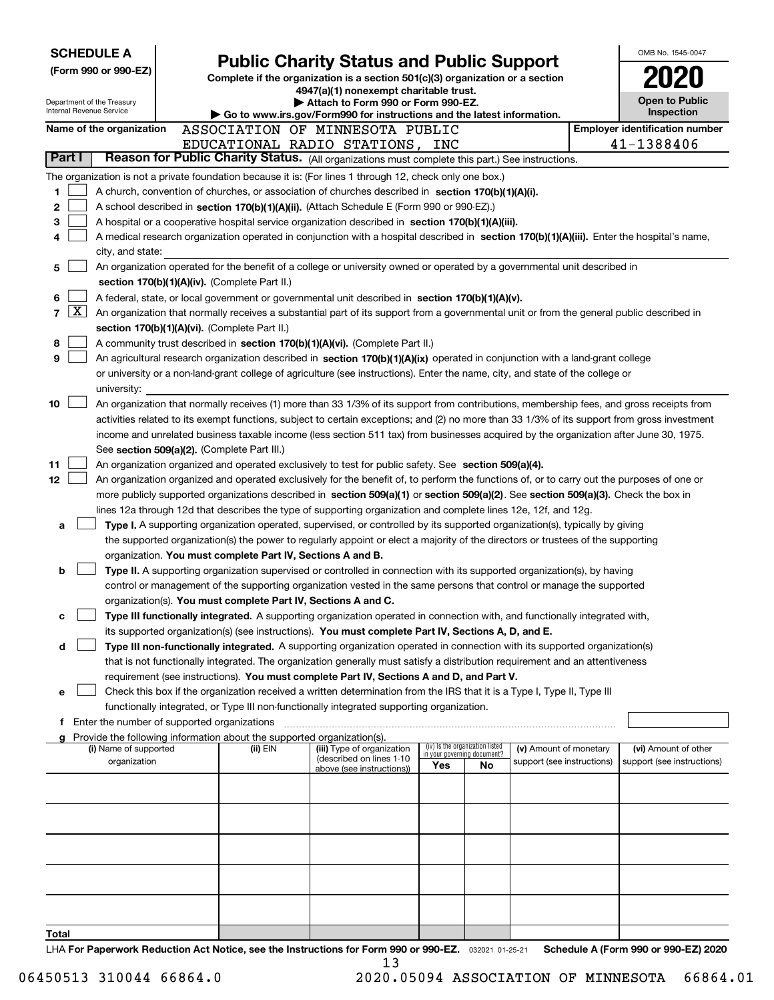|          | <b>SCHEDULE A</b>                                                                                                                                                                                                            |  |                                                            |                                                                                                                                                                                                                                                                                  |     |                                 |                                                      |  | OMB No. 1545-0047                                  |  |  |  |  |
|----------|------------------------------------------------------------------------------------------------------------------------------------------------------------------------------------------------------------------------------|--|------------------------------------------------------------|----------------------------------------------------------------------------------------------------------------------------------------------------------------------------------------------------------------------------------------------------------------------------------|-----|---------------------------------|------------------------------------------------------|--|----------------------------------------------------|--|--|--|--|
|          | (Form 990 or 990-EZ)                                                                                                                                                                                                         |  |                                                            | <b>Public Charity Status and Public Support</b><br>Complete if the organization is a section 501(c)(3) organization or a section                                                                                                                                                 |     |                                 |                                                      |  |                                                    |  |  |  |  |
|          |                                                                                                                                                                                                                              |  |                                                            | 4947(a)(1) nonexempt charitable trust.                                                                                                                                                                                                                                           |     |                                 |                                                      |  |                                                    |  |  |  |  |
|          | Department of the Treasury<br>Internal Revenue Service                                                                                                                                                                       |  |                                                            | Attach to Form 990 or Form 990-EZ.                                                                                                                                                                                                                                               |     |                                 |                                                      |  | Open to Public<br>Inspection                       |  |  |  |  |
|          | Name of the organization                                                                                                                                                                                                     |  |                                                            | Go to www.irs.gov/Form990 for instructions and the latest information.<br>ASSOCIATION OF MINNESOTA PUBLIC                                                                                                                                                                        |     |                                 |                                                      |  | <b>Employer identification number</b>              |  |  |  |  |
|          |                                                                                                                                                                                                                              |  |                                                            | EDUCATIONAL RADIO STATIONS, INC                                                                                                                                                                                                                                                  |     |                                 |                                                      |  | 41-1388406                                         |  |  |  |  |
| Part I   |                                                                                                                                                                                                                              |  |                                                            | Reason for Public Charity Status. (All organizations must complete this part.) See instructions.                                                                                                                                                                                 |     |                                 |                                                      |  |                                                    |  |  |  |  |
|          |                                                                                                                                                                                                                              |  |                                                            | The organization is not a private foundation because it is: (For lines 1 through 12, check only one box.)                                                                                                                                                                        |     |                                 |                                                      |  |                                                    |  |  |  |  |
| 1.       |                                                                                                                                                                                                                              |  |                                                            | A church, convention of churches, or association of churches described in section 170(b)(1)(A)(i).                                                                                                                                                                               |     |                                 |                                                      |  |                                                    |  |  |  |  |
| 2        |                                                                                                                                                                                                                              |  |                                                            | A school described in section 170(b)(1)(A)(ii). (Attach Schedule E (Form 990 or 990-EZ).)                                                                                                                                                                                        |     |                                 |                                                      |  |                                                    |  |  |  |  |
| 3        |                                                                                                                                                                                                                              |  |                                                            | A hospital or a cooperative hospital service organization described in section 170(b)(1)(A)(iii).                                                                                                                                                                                |     |                                 |                                                      |  |                                                    |  |  |  |  |
| 4        |                                                                                                                                                                                                                              |  |                                                            | A medical research organization operated in conjunction with a hospital described in section 170(b)(1)(A)(iii). Enter the hospital's name,                                                                                                                                       |     |                                 |                                                      |  |                                                    |  |  |  |  |
|          | city, and state:                                                                                                                                                                                                             |  |                                                            |                                                                                                                                                                                                                                                                                  |     |                                 |                                                      |  |                                                    |  |  |  |  |
| 5        |                                                                                                                                                                                                                              |  |                                                            | An organization operated for the benefit of a college or university owned or operated by a governmental unit described in                                                                                                                                                        |     |                                 |                                                      |  |                                                    |  |  |  |  |
|          | section 170(b)(1)(A)(iv). (Complete Part II.)<br>A federal, state, or local government or governmental unit described in section 170(b)(1)(A)(v).                                                                            |  |                                                            |                                                                                                                                                                                                                                                                                  |     |                                 |                                                      |  |                                                    |  |  |  |  |
| 6        |                                                                                                                                                                                                                              |  |                                                            |                                                                                                                                                                                                                                                                                  |     |                                 |                                                      |  |                                                    |  |  |  |  |
|          | $\mathbf{X}$<br>$\overline{7}$<br>An organization that normally receives a substantial part of its support from a governmental unit or from the general public described in<br>section 170(b)(1)(A)(vi). (Complete Part II.) |  |                                                            |                                                                                                                                                                                                                                                                                  |     |                                 |                                                      |  |                                                    |  |  |  |  |
| 8        |                                                                                                                                                                                                                              |  |                                                            | A community trust described in section 170(b)(1)(A)(vi). (Complete Part II.)                                                                                                                                                                                                     |     |                                 |                                                      |  |                                                    |  |  |  |  |
| 9        |                                                                                                                                                                                                                              |  |                                                            | An agricultural research organization described in section 170(b)(1)(A)(ix) operated in conjunction with a land-grant college                                                                                                                                                    |     |                                 |                                                      |  |                                                    |  |  |  |  |
|          |                                                                                                                                                                                                                              |  |                                                            | or university or a non-land-grant college of agriculture (see instructions). Enter the name, city, and state of the college or                                                                                                                                                   |     |                                 |                                                      |  |                                                    |  |  |  |  |
|          | university:                                                                                                                                                                                                                  |  |                                                            |                                                                                                                                                                                                                                                                                  |     |                                 |                                                      |  |                                                    |  |  |  |  |
| 10       |                                                                                                                                                                                                                              |  |                                                            | An organization that normally receives (1) more than 33 1/3% of its support from contributions, membership fees, and gross receipts from                                                                                                                                         |     |                                 |                                                      |  |                                                    |  |  |  |  |
|          | activities related to its exempt functions, subject to certain exceptions; and (2) no more than 33 1/3% of its support from gross investment                                                                                 |  |                                                            |                                                                                                                                                                                                                                                                                  |     |                                 |                                                      |  |                                                    |  |  |  |  |
|          | income and unrelated business taxable income (less section 511 tax) from businesses acquired by the organization after June 30, 1975.                                                                                        |  |                                                            |                                                                                                                                                                                                                                                                                  |     |                                 |                                                      |  |                                                    |  |  |  |  |
|          | See section 509(a)(2). (Complete Part III.)                                                                                                                                                                                  |  |                                                            |                                                                                                                                                                                                                                                                                  |     |                                 |                                                      |  |                                                    |  |  |  |  |
| 11<br>12 |                                                                                                                                                                                                                              |  |                                                            | An organization organized and operated exclusively to test for public safety. See section 509(a)(4).                                                                                                                                                                             |     |                                 |                                                      |  |                                                    |  |  |  |  |
|          |                                                                                                                                                                                                                              |  |                                                            | An organization organized and operated exclusively for the benefit of, to perform the functions of, or to carry out the purposes of one or<br>more publicly supported organizations described in section 509(a)(1) or section 509(a)(2). See section 509(a)(3). Check the box in |     |                                 |                                                      |  |                                                    |  |  |  |  |
|          |                                                                                                                                                                                                                              |  |                                                            | lines 12a through 12d that describes the type of supporting organization and complete lines 12e, 12f, and 12g.                                                                                                                                                                   |     |                                 |                                                      |  |                                                    |  |  |  |  |
| а        |                                                                                                                                                                                                                              |  |                                                            | Type I. A supporting organization operated, supervised, or controlled by its supported organization(s), typically by giving                                                                                                                                                      |     |                                 |                                                      |  |                                                    |  |  |  |  |
|          |                                                                                                                                                                                                                              |  |                                                            | the supported organization(s) the power to regularly appoint or elect a majority of the directors or trustees of the supporting                                                                                                                                                  |     |                                 |                                                      |  |                                                    |  |  |  |  |
|          |                                                                                                                                                                                                                              |  | organization. You must complete Part IV, Sections A and B. |                                                                                                                                                                                                                                                                                  |     |                                 |                                                      |  |                                                    |  |  |  |  |
| b        |                                                                                                                                                                                                                              |  |                                                            | Type II. A supporting organization supervised or controlled in connection with its supported organization(s), by having                                                                                                                                                          |     |                                 |                                                      |  |                                                    |  |  |  |  |
|          |                                                                                                                                                                                                                              |  |                                                            | control or management of the supporting organization vested in the same persons that control or manage the supported                                                                                                                                                             |     |                                 |                                                      |  |                                                    |  |  |  |  |
|          |                                                                                                                                                                                                                              |  |                                                            | organization(s). You must complete Part IV, Sections A and C.                                                                                                                                                                                                                    |     |                                 |                                                      |  |                                                    |  |  |  |  |
| с        |                                                                                                                                                                                                                              |  |                                                            | Type III functionally integrated. A supporting organization operated in connection with, and functionally integrated with,                                                                                                                                                       |     |                                 |                                                      |  |                                                    |  |  |  |  |
| d        |                                                                                                                                                                                                                              |  |                                                            | its supported organization(s) (see instructions). You must complete Part IV, Sections A, D, and E.<br>Type III non-functionally integrated. A supporting organization operated in connection with its supported organization(s)                                                  |     |                                 |                                                      |  |                                                    |  |  |  |  |
|          |                                                                                                                                                                                                                              |  |                                                            | that is not functionally integrated. The organization generally must satisfy a distribution requirement and an attentiveness                                                                                                                                                     |     |                                 |                                                      |  |                                                    |  |  |  |  |
|          |                                                                                                                                                                                                                              |  |                                                            | requirement (see instructions). You must complete Part IV, Sections A and D, and Part V.                                                                                                                                                                                         |     |                                 |                                                      |  |                                                    |  |  |  |  |
| е        |                                                                                                                                                                                                                              |  |                                                            | Check this box if the organization received a written determination from the IRS that it is a Type I, Type II, Type III                                                                                                                                                          |     |                                 |                                                      |  |                                                    |  |  |  |  |
|          |                                                                                                                                                                                                                              |  |                                                            | functionally integrated, or Type III non-functionally integrated supporting organization.                                                                                                                                                                                        |     |                                 |                                                      |  |                                                    |  |  |  |  |
| f        | Enter the number of supported organizations                                                                                                                                                                                  |  |                                                            |                                                                                                                                                                                                                                                                                  |     |                                 |                                                      |  |                                                    |  |  |  |  |
| g        |                                                                                                                                                                                                                              |  |                                                            | Provide the following information about the supported organization(s).                                                                                                                                                                                                           |     | (iv) Is the organization listed |                                                      |  |                                                    |  |  |  |  |
|          | (i) Name of supported<br>organization                                                                                                                                                                                        |  | (ii) EIN                                                   | (iii) Type of organization<br>(described on lines 1-10)                                                                                                                                                                                                                          |     | in your governing document?     | (v) Amount of monetary<br>support (see instructions) |  | (vi) Amount of other<br>support (see instructions) |  |  |  |  |
|          |                                                                                                                                                                                                                              |  |                                                            | above (see instructions))                                                                                                                                                                                                                                                        | Yes | No                              |                                                      |  |                                                    |  |  |  |  |
|          |                                                                                                                                                                                                                              |  |                                                            |                                                                                                                                                                                                                                                                                  |     |                                 |                                                      |  |                                                    |  |  |  |  |
|          |                                                                                                                                                                                                                              |  |                                                            |                                                                                                                                                                                                                                                                                  |     |                                 |                                                      |  |                                                    |  |  |  |  |
|          |                                                                                                                                                                                                                              |  |                                                            |                                                                                                                                                                                                                                                                                  |     |                                 |                                                      |  |                                                    |  |  |  |  |
|          |                                                                                                                                                                                                                              |  |                                                            |                                                                                                                                                                                                                                                                                  |     |                                 |                                                      |  |                                                    |  |  |  |  |
|          |                                                                                                                                                                                                                              |  |                                                            |                                                                                                                                                                                                                                                                                  |     |                                 |                                                      |  |                                                    |  |  |  |  |
|          |                                                                                                                                                                                                                              |  |                                                            |                                                                                                                                                                                                                                                                                  |     |                                 |                                                      |  |                                                    |  |  |  |  |
|          |                                                                                                                                                                                                                              |  |                                                            |                                                                                                                                                                                                                                                                                  |     |                                 |                                                      |  |                                                    |  |  |  |  |
|          |                                                                                                                                                                                                                              |  |                                                            |                                                                                                                                                                                                                                                                                  |     |                                 |                                                      |  |                                                    |  |  |  |  |
|          |                                                                                                                                                                                                                              |  |                                                            |                                                                                                                                                                                                                                                                                  |     |                                 |                                                      |  |                                                    |  |  |  |  |
| Total    |                                                                                                                                                                                                                              |  |                                                            | Departuark Beduction Act Notice, and the Instructions for Form 000 or 000 FZ, access at as at                                                                                                                                                                                    |     |                                 |                                                      |  | Schodule A (Form 000 or 000 F7) 2020               |  |  |  |  |

LHA For Paperwork Reduction Act Notice, see the Instructions for Form 990 or 990-EZ. <sub>032021</sub> o1-25-21 Schedule A (Form 990 or 990-EZ) 2020 13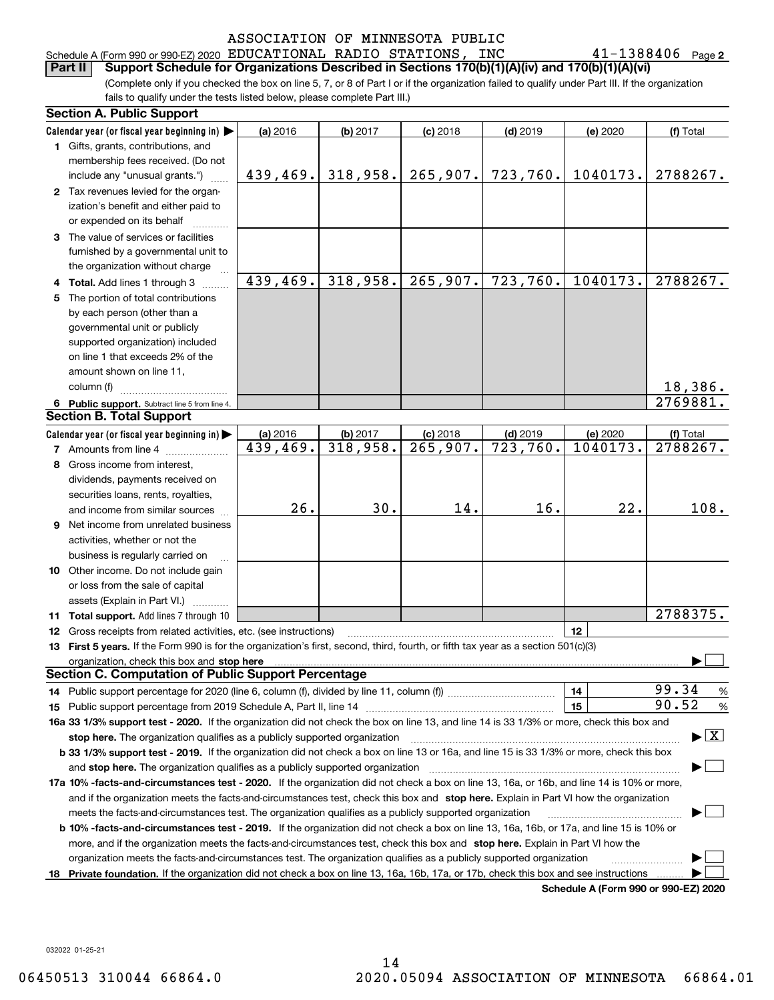# Schedule A (Form 990 or 990-EZ) 2020 Page EDUCATIONAL RADIO STATIONS, INC 41-1388406

**Part II** Support Schedule for Organizations Described in Sections 170(b)(1)(A)(iv) and 170(b)(1)(A)(vi)

(Complete only if you checked the box on line 5, 7, or 8 of Part I or if the organization failed to qualify under Part III. If the organization fails to qualify under the tests listed below, please complete Part III.)

|    | <b>Section A. Public Support</b>                                                                                                               |           |          |                        |            |                                      |                                         |
|----|------------------------------------------------------------------------------------------------------------------------------------------------|-----------|----------|------------------------|------------|--------------------------------------|-----------------------------------------|
|    | Calendar year (or fiscal year beginning in) $\blacktriangleright$                                                                              | (a) 2016  | (b) 2017 | $(c)$ 2018             | $(d)$ 2019 | (e) 2020                             | (f) Total                               |
|    | 1 Gifts, grants, contributions, and                                                                                                            |           |          |                        |            |                                      |                                         |
|    | membership fees received. (Do not                                                                                                              |           |          |                        |            |                                      |                                         |
|    | include any "unusual grants.")                                                                                                                 | 439, 469. | 318,958. | 265,907.               | 723,760.   | 1040173.                             | 2788267.                                |
|    | 2 Tax revenues levied for the organ-                                                                                                           |           |          |                        |            |                                      |                                         |
|    | ization's benefit and either paid to                                                                                                           |           |          |                        |            |                                      |                                         |
|    | or expended on its behalf                                                                                                                      |           |          |                        |            |                                      |                                         |
|    | 3 The value of services or facilities                                                                                                          |           |          |                        |            |                                      |                                         |
|    | furnished by a governmental unit to                                                                                                            |           |          |                        |            |                                      |                                         |
|    | the organization without charge                                                                                                                |           |          |                        |            |                                      |                                         |
|    | 4 Total. Add lines 1 through 3                                                                                                                 | 439, 469. | 318,958. | 265,907.               | 723,760.   | 1040173.                             | 2788267.                                |
|    | 5 The portion of total contributions                                                                                                           |           |          |                        |            |                                      |                                         |
|    | by each person (other than a                                                                                                                   |           |          |                        |            |                                      |                                         |
|    | governmental unit or publicly                                                                                                                  |           |          |                        |            |                                      |                                         |
|    | supported organization) included                                                                                                               |           |          |                        |            |                                      |                                         |
|    | on line 1 that exceeds 2% of the                                                                                                               |           |          |                        |            |                                      |                                         |
|    | amount shown on line 11,                                                                                                                       |           |          |                        |            |                                      |                                         |
|    | column (f)                                                                                                                                     |           |          |                        |            |                                      | 18,386.                                 |
|    | 6 Public support. Subtract line 5 from line 4.                                                                                                 |           |          |                        |            |                                      | 2769881.                                |
|    | <b>Section B. Total Support</b>                                                                                                                |           |          |                        |            |                                      |                                         |
|    | Calendar year (or fiscal year beginning in)                                                                                                    | (a) 2016  | (b) 2017 | $(c)$ 2018             | $(d)$ 2019 | (e) 2020                             | (f) Total                               |
|    | <b>7</b> Amounts from line 4                                                                                                                   | 439,469.  | 318,958. | $\overline{265,907}$ . | 723,760.   | 1040173.                             | 2788267.                                |
|    | 8 Gross income from interest,                                                                                                                  |           |          |                        |            |                                      |                                         |
|    | dividends, payments received on                                                                                                                |           |          |                        |            |                                      |                                         |
|    | securities loans, rents, royalties,                                                                                                            |           |          |                        |            |                                      |                                         |
|    | and income from similar sources                                                                                                                | 26.       | 30.      | 14.                    | 16.        | 22.                                  | 108.                                    |
|    | 9 Net income from unrelated business                                                                                                           |           |          |                        |            |                                      |                                         |
|    | activities, whether or not the                                                                                                                 |           |          |                        |            |                                      |                                         |
|    | business is regularly carried on                                                                                                               |           |          |                        |            |                                      |                                         |
|    | <b>10</b> Other income. Do not include gain                                                                                                    |           |          |                        |            |                                      |                                         |
|    | or loss from the sale of capital                                                                                                               |           |          |                        |            |                                      |                                         |
|    | assets (Explain in Part VI.) <b>Constant</b>                                                                                                   |           |          |                        |            |                                      |                                         |
|    | <b>11 Total support.</b> Add lines 7 through 10                                                                                                |           |          |                        |            |                                      | 2788375.                                |
|    | <b>12</b> Gross receipts from related activities, etc. (see instructions)                                                                      |           |          |                        |            | 12                                   |                                         |
|    | 13 First 5 years. If the Form 990 is for the organization's first, second, third, fourth, or fifth tax year as a section 501(c)(3)             |           |          |                        |            |                                      |                                         |
|    | organization, check this box and stop here                                                                                                     |           |          |                        |            |                                      |                                         |
|    | <b>Section C. Computation of Public Support Percentage</b>                                                                                     |           |          |                        |            |                                      |                                         |
|    | 14 Public support percentage for 2020 (line 6, column (f), divided by line 11, column (f) <i>mummumumum</i>                                    |           |          |                        |            | 14                                   | 99.34<br>$\frac{9}{6}$                  |
|    |                                                                                                                                                |           |          |                        |            | 15                                   | 90.52<br>%                              |
|    | 16a 33 1/3% support test - 2020. If the organization did not check the box on line 13, and line 14 is 33 1/3% or more, check this box and      |           |          |                        |            |                                      |                                         |
|    | stop here. The organization qualifies as a publicly supported organization                                                                     |           |          |                        |            |                                      | $\blacktriangleright$ $\vert$ X $\vert$ |
|    | b 33 1/3% support test - 2019. If the organization did not check a box on line 13 or 16a, and line 15 is 33 1/3% or more, check this box       |           |          |                        |            |                                      |                                         |
|    | and stop here. The organization qualifies as a publicly supported organization                                                                 |           |          |                        |            |                                      |                                         |
|    | 17a 10% -facts-and-circumstances test - 2020. If the organization did not check a box on line 13, 16a, or 16b, and line 14 is 10% or more,     |           |          |                        |            |                                      |                                         |
|    | and if the organization meets the facts and circumstances test, check this box and stop here. Explain in Part VI how the organization          |           |          |                        |            |                                      |                                         |
|    | meets the facts-and-circumstances test. The organization qualifies as a publicly supported organization                                        |           |          |                        |            |                                      |                                         |
|    | <b>b 10% -facts-and-circumstances test - 2019.</b> If the organization did not check a box on line 13, 16a, 16b, or 17a, and line 15 is 10% or |           |          |                        |            |                                      |                                         |
|    | more, and if the organization meets the facts-and-circumstances test, check this box and stop here. Explain in Part VI how the                 |           |          |                        |            |                                      |                                         |
|    | organization meets the facts-and-circumstances test. The organization qualifies as a publicly supported organization                           |           |          |                        |            |                                      |                                         |
| 18 | Private foundation. If the organization did not check a box on line 13, 16a, 16b, 17a, or 17b, check this box and see instructions             |           |          |                        |            |                                      |                                         |
|    |                                                                                                                                                |           |          |                        |            | Schodule A (Form 000 or 000 F7) 2020 |                                         |

**Schedule A (Form 990 or 990-EZ) 2020**

032022 01-25-21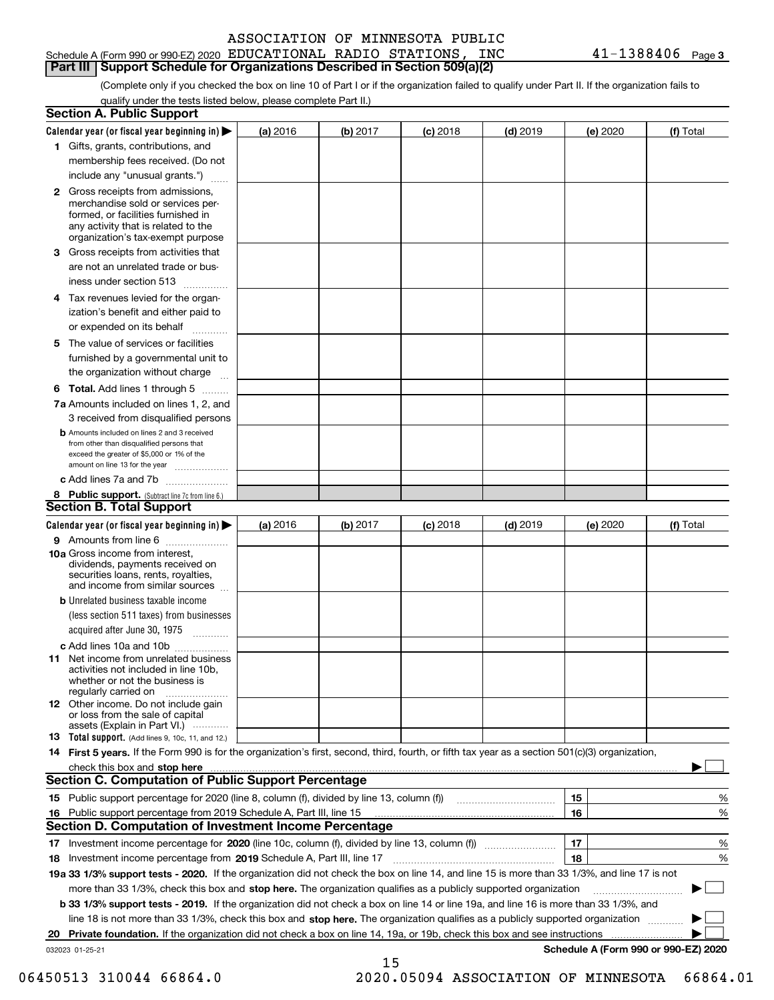### Schedule A (Form 990 or 990-EZ) 2020 Page EDUCATIONAL RADIO STATIONS, INC 41-1388406 **Part III Support Schedule for Organizations Described in Section 509(a)(2)**

(Complete only if you checked the box on line 10 of Part I or if the organization failed to qualify under Part II. If the organization fails to qualify under the tests listed below, please complete Part II.)

|    | <b>Section A. Public Support</b>                                                                                                                                                         |          |          |            |            |          |                                      |
|----|------------------------------------------------------------------------------------------------------------------------------------------------------------------------------------------|----------|----------|------------|------------|----------|--------------------------------------|
|    | Calendar year (or fiscal year beginning in) $\blacktriangleright$                                                                                                                        | (a) 2016 | (b) 2017 | $(c)$ 2018 | $(d)$ 2019 | (e) 2020 | (f) Total                            |
|    | 1 Gifts, grants, contributions, and                                                                                                                                                      |          |          |            |            |          |                                      |
|    | membership fees received. (Do not                                                                                                                                                        |          |          |            |            |          |                                      |
|    | include any "unusual grants.")                                                                                                                                                           |          |          |            |            |          |                                      |
|    | 2 Gross receipts from admissions,<br>merchandise sold or services per-<br>formed, or facilities furnished in<br>any activity that is related to the<br>organization's tax-exempt purpose |          |          |            |            |          |                                      |
|    | 3 Gross receipts from activities that<br>are not an unrelated trade or bus-                                                                                                              |          |          |            |            |          |                                      |
|    | iness under section 513                                                                                                                                                                  |          |          |            |            |          |                                      |
|    | 4 Tax revenues levied for the organ-                                                                                                                                                     |          |          |            |            |          |                                      |
|    | ization's benefit and either paid to<br>or expended on its behalf<br>.                                                                                                                   |          |          |            |            |          |                                      |
|    | 5 The value of services or facilities                                                                                                                                                    |          |          |            |            |          |                                      |
|    | furnished by a governmental unit to                                                                                                                                                      |          |          |            |            |          |                                      |
|    | the organization without charge                                                                                                                                                          |          |          |            |            |          |                                      |
|    | <b>6 Total.</b> Add lines 1 through 5                                                                                                                                                    |          |          |            |            |          |                                      |
|    | 7a Amounts included on lines 1, 2, and<br>3 received from disqualified persons                                                                                                           |          |          |            |            |          |                                      |
|    | <b>b</b> Amounts included on lines 2 and 3 received<br>from other than disqualified persons that<br>exceed the greater of \$5,000 or 1% of the<br>amount on line 13 for the year         |          |          |            |            |          |                                      |
|    | c Add lines 7a and 7b                                                                                                                                                                    |          |          |            |            |          |                                      |
|    | 8 Public support. (Subtract line 7c from line 6.)                                                                                                                                        |          |          |            |            |          |                                      |
|    | <b>Section B. Total Support</b>                                                                                                                                                          |          |          |            |            |          |                                      |
|    | Calendar year (or fiscal year beginning in) $\blacktriangleright$                                                                                                                        | (a) 2016 | (b) 2017 | $(c)$ 2018 | $(d)$ 2019 | (e) 2020 | (f) Total                            |
|    | 9 Amounts from line 6                                                                                                                                                                    |          |          |            |            |          |                                      |
|    | 10a Gross income from interest,<br>dividends, payments received on<br>securities loans, rents, royalties,<br>and income from similar sources                                             |          |          |            |            |          |                                      |
|    | <b>b</b> Unrelated business taxable income<br>(less section 511 taxes) from businesses                                                                                                   |          |          |            |            |          |                                      |
|    | acquired after June 30, 1975                                                                                                                                                             |          |          |            |            |          |                                      |
|    | c Add lines 10a and 10b<br>11 Net income from unrelated business<br>activities not included in line 10b,<br>whether or not the business is<br>regularly carried on                       |          |          |            |            |          |                                      |
|    | 12 Other income. Do not include gain<br>or loss from the sale of capital<br>assets (Explain in Part VI.)                                                                                 |          |          |            |            |          |                                      |
|    | <b>13</b> Total support. (Add lines 9, 10c, 11, and 12.)                                                                                                                                 |          |          |            |            |          |                                      |
|    | 14 First 5 years. If the Form 990 is for the organization's first, second, third, fourth, or fifth tax year as a section 501(c)(3) organization,                                         |          |          |            |            |          |                                      |
|    | check this box and stop here measurements are constructed as the state of the state of the state of the state o                                                                          |          |          |            |            |          |                                      |
|    | Section C. Computation of Public Support Percentage                                                                                                                                      |          |          |            |            |          |                                      |
|    | 15 Public support percentage for 2020 (line 8, column (f), divided by line 13, column (f))                                                                                               |          |          |            |            | 15       | %                                    |
|    | 16 Public support percentage from 2019 Schedule A, Part III, line 15                                                                                                                     |          |          |            |            | 16       | %                                    |
|    | <b>Section D. Computation of Investment Income Percentage</b>                                                                                                                            |          |          |            |            |          |                                      |
|    | 17 Investment income percentage for 2020 (line 10c, column (f), divided by line 13, column (f))                                                                                          |          |          |            |            | 17       | %                                    |
|    | <b>18</b> Investment income percentage from <b>2019</b> Schedule A, Part III, line 17                                                                                                    |          |          |            |            | 18       | %                                    |
|    | 19a 33 1/3% support tests - 2020. If the organization did not check the box on line 14, and line 15 is more than 33 1/3%, and line 17 is not                                             |          |          |            |            |          |                                      |
|    | more than 33 1/3%, check this box and stop here. The organization qualifies as a publicly supported organization                                                                         |          |          |            |            |          | ▶                                    |
|    | b 33 1/3% support tests - 2019. If the organization did not check a box on line 14 or line 19a, and line 16 is more than 33 1/3%, and                                                    |          |          |            |            |          |                                      |
|    | line 18 is not more than 33 1/3%, check this box and stop here. The organization qualifies as a publicly supported organization                                                          |          |          |            |            |          |                                      |
| 20 | <b>Private foundation.</b> If the organization did not check a box on line 14, 19a, or 19b, check this box and see instructions                                                          |          |          |            |            |          |                                      |
|    | 032023 01-25-21                                                                                                                                                                          |          | 15       |            |            |          | Schedule A (Form 990 or 990-EZ) 2020 |

06450513 310044 66864.0 2020.05094 ASSOCIATION OF MINNESOTA 66864.01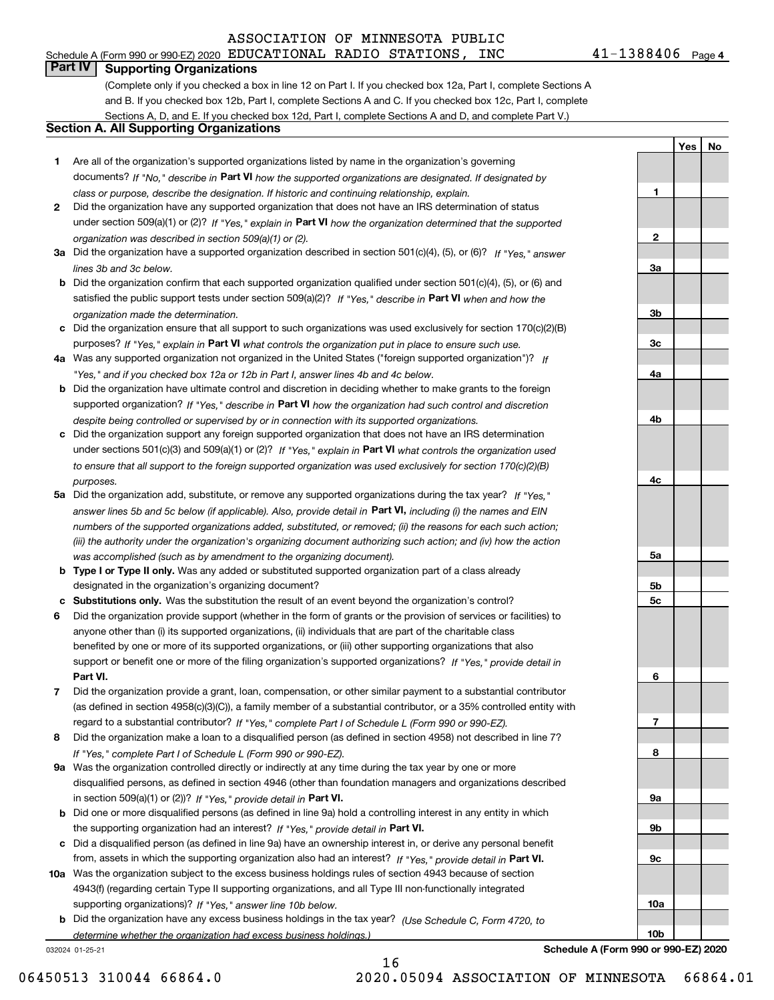# **Part IV Supporting Organizations**

(Complete only if you checked a box in line 12 on Part I. If you checked box 12a, Part I, complete Sections A and B. If you checked box 12b, Part I, complete Sections A and C. If you checked box 12c, Part I, complete Sections A, D, and E. If you checked box 12d, Part I, complete Sections A and D, and complete Part V.)

## **Section A. All Supporting Organizations**

- **1** Are all of the organization's supported organizations listed by name in the organization's governing documents? If "No," describe in **Part VI** how the supported organizations are designated. If designated by *class or purpose, describe the designation. If historic and continuing relationship, explain.*
- **2** Did the organization have any supported organization that does not have an IRS determination of status under section 509(a)(1) or (2)? If "Yes," explain in Part VI how the organization determined that the supported *organization was described in section 509(a)(1) or (2).*
- **3a** Did the organization have a supported organization described in section 501(c)(4), (5), or (6)? If "Yes," answer *lines 3b and 3c below.*
- **b** Did the organization confirm that each supported organization qualified under section 501(c)(4), (5), or (6) and satisfied the public support tests under section 509(a)(2)? If "Yes," describe in **Part VI** when and how the *organization made the determination.*
- **c**Did the organization ensure that all support to such organizations was used exclusively for section 170(c)(2)(B) purposes? If "Yes," explain in **Part VI** what controls the organization put in place to ensure such use.
- **4a***If* Was any supported organization not organized in the United States ("foreign supported organization")? *"Yes," and if you checked box 12a or 12b in Part I, answer lines 4b and 4c below.*
- **b** Did the organization have ultimate control and discretion in deciding whether to make grants to the foreign supported organization? If "Yes," describe in **Part VI** how the organization had such control and discretion *despite being controlled or supervised by or in connection with its supported organizations.*
- **c** Did the organization support any foreign supported organization that does not have an IRS determination under sections 501(c)(3) and 509(a)(1) or (2)? If "Yes," explain in **Part VI** what controls the organization used *to ensure that all support to the foreign supported organization was used exclusively for section 170(c)(2)(B) purposes.*
- **5a** Did the organization add, substitute, or remove any supported organizations during the tax year? If "Yes," answer lines 5b and 5c below (if applicable). Also, provide detail in **Part VI,** including (i) the names and EIN *numbers of the supported organizations added, substituted, or removed; (ii) the reasons for each such action; (iii) the authority under the organization's organizing document authorizing such action; and (iv) how the action was accomplished (such as by amendment to the organizing document).*
- **b** Type I or Type II only. Was any added or substituted supported organization part of a class already designated in the organization's organizing document?
- **cSubstitutions only.**  Was the substitution the result of an event beyond the organization's control?
- **6** Did the organization provide support (whether in the form of grants or the provision of services or facilities) to **Part VI.** *If "Yes," provide detail in* support or benefit one or more of the filing organization's supported organizations? anyone other than (i) its supported organizations, (ii) individuals that are part of the charitable class benefited by one or more of its supported organizations, or (iii) other supporting organizations that also
- **7**Did the organization provide a grant, loan, compensation, or other similar payment to a substantial contributor *If "Yes," complete Part I of Schedule L (Form 990 or 990-EZ).* regard to a substantial contributor? (as defined in section 4958(c)(3)(C)), a family member of a substantial contributor, or a 35% controlled entity with
- **8** Did the organization make a loan to a disqualified person (as defined in section 4958) not described in line 7? *If "Yes," complete Part I of Schedule L (Form 990 or 990-EZ).*
- **9a** Was the organization controlled directly or indirectly at any time during the tax year by one or more in section 509(a)(1) or (2))? If "Yes," *provide detail in* <code>Part VI.</code> disqualified persons, as defined in section 4946 (other than foundation managers and organizations described
- **b** Did one or more disqualified persons (as defined in line 9a) hold a controlling interest in any entity in which the supporting organization had an interest? If "Yes," provide detail in P**art VI**.
- **c**Did a disqualified person (as defined in line 9a) have an ownership interest in, or derive any personal benefit from, assets in which the supporting organization also had an interest? If "Yes," provide detail in P**art VI.**
- **10a** Was the organization subject to the excess business holdings rules of section 4943 because of section supporting organizations)? If "Yes," answer line 10b below. 4943(f) (regarding certain Type II supporting organizations, and all Type III non-functionally integrated
- **b** Did the organization have any excess business holdings in the tax year? (Use Schedule C, Form 4720, to *determine whether the organization had excess business holdings.)*

032024 01-25-21



**1**

**YesNo**

**Schedule A (Form 990 or 990-EZ) 2020**

16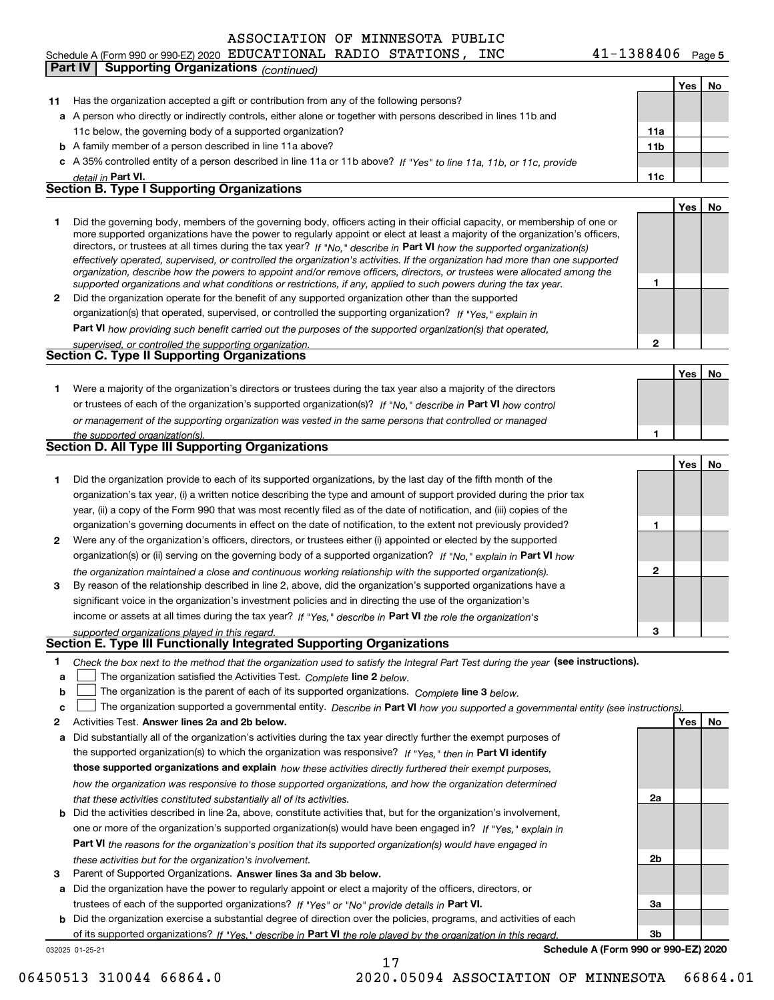### **Yes No 11** Has the organization accepted a gift or contribution from any of the following persons? **a**A person who directly or indirectly controls, either alone or together with persons described in lines 11b and **b** A family member of a person described in line 11a above? **c** A 35% controlled entity of a person described in line 11a or 11b above? If "Yes" to line 11a, 11b, or 11c, provide **11a11bPart VI. 11c Yes No 12** Did the organization operate for the benefit of any supported organization other than the supported directors, or trustees at all times during the tax year? If "No," describe in **Part VI** how the supported organization(s) **12Part VI**  *how providing such benefit carried out the purposes of the supported organization(s) that operated,* **Yes No 1** Were a majority of the organization's directors or trustees during the tax year also a majority of the directors or trustees of each of the organization's supported organization(s)? If "No," describe in **Part VI** how control **1Yes No 1** Did the organization provide to each of its supported organizations, by the last day of the fifth month of the **2** Were any of the organization's officers, directors, or trustees either (i) appointed or elected by the supported **3123**organization(s) or (ii) serving on the governing body of a supported organization? If "No," explain in **Part VI** how income or assets at all times during the tax year? If "Yes," describe in **Part VI** the role the organization's **1**Check the box next to the method that the organization used to satisfy the Integral Part Test during the year (see instructions). **alinupy** The organization satisfied the Activities Test. Complete line 2 below. *detail in effectively operated, supervised, or controlled the organization's activities. If the organization had more than one supported organization, describe how the powers to appoint and/or remove officers, directors, or trustees were allocated among the supported organizations and what conditions or restrictions, if any, applied to such powers during the tax year. If "Yes," explain in* organization(s) that operated, supervised, or controlled the supporting organization? *supervised, or controlled the supporting organization. or management of the supporting organization was vested in the same persons that controlled or managed the supported organization(s). the organization maintained a close and continuous working relationship with the supported organization(s). supported organizations played in this regard.* Schedule A (Form 990 or 990-EZ) 2020 Page EDUCATIONAL RADIO STATIONS, INC 41-1388406 11c below, the governing body of a supported organization? Did the governing body, members of the governing body, officers acting in their official capacity, or membership of one or more supported organizations have the power to regularly appoint or elect at least a majority of the organization's officers, organization's tax year, (i) a written notice describing the type and amount of support provided during the prior tax year, (ii) a copy of the Form 990 that was most recently filed as of the date of notification, and (iii) copies of the organization's governing documents in effect on the date of notification, to the extent not previously provided? By reason of the relationship described in line 2, above, did the organization's supported organizations have a significant voice in the organization's investment policies and in directing the use of the organization's **Part IV Supporting Organizations** *(continued)* **Section B. Type I Supporting Organizations Section C. Type II Supporting Organizations Section D. All Type III Supporting Organizations Section E. Type III Functionally Integrated Supporting Organizations**

**b**The organization is the parent of each of its supported organizations. *Complete* line 3 *below.*  $\mathcal{L}^{\text{max}}$ 

|  |  |  | The organization supported a governmental entity. Describe in Part VI how you supported a governmental entity (see instructions). |  |
|--|--|--|-----------------------------------------------------------------------------------------------------------------------------------|--|
|--|--|--|-----------------------------------------------------------------------------------------------------------------------------------|--|

- **2Answer lines 2a and 2b below. Yes No** Activities Test.
- **a** Did substantially all of the organization's activities during the tax year directly further the exempt purposes of **b** Did the activities described in line 2a, above, constitute activities that, but for the organization's involvement, the supported organization(s) to which the organization was responsive? If "Yes," then in **Part VI identify those supported organizations and explain**  *how these activities directly furthered their exempt purposes, how the organization was responsive to those supported organizations, and how the organization determined that these activities constituted substantially all of its activities.*
- **Part VI**  *the reasons for the organization's position that its supported organization(s) would have engaged in* one or more of the organization's supported organization(s) would have been engaged in? If "Yes," e*xplain in these activities but for the organization's involvement.*
- **3** Parent of Supported Organizations. Answer lines 3a and 3b below.

**a** Did the organization have the power to regularly appoint or elect a majority of the officers, directors, or trustees of each of the supported organizations? If "Yes" or "No" provide details in **Part VI.** 

032025 01-25-21 **b** Did the organization exercise a substantial degree of direction over the policies, programs, and activities of each of its supported organizations? If "Yes," describe in Part VI the role played by the organization in this regard.

**Schedule A (Form 990 or 990-EZ) 2020**

**2a**

**2b**

**3a**

**3b**

17 06450513 310044 66864.0 2020.05094 ASSOCIATION OF MINNESOTA 66864.01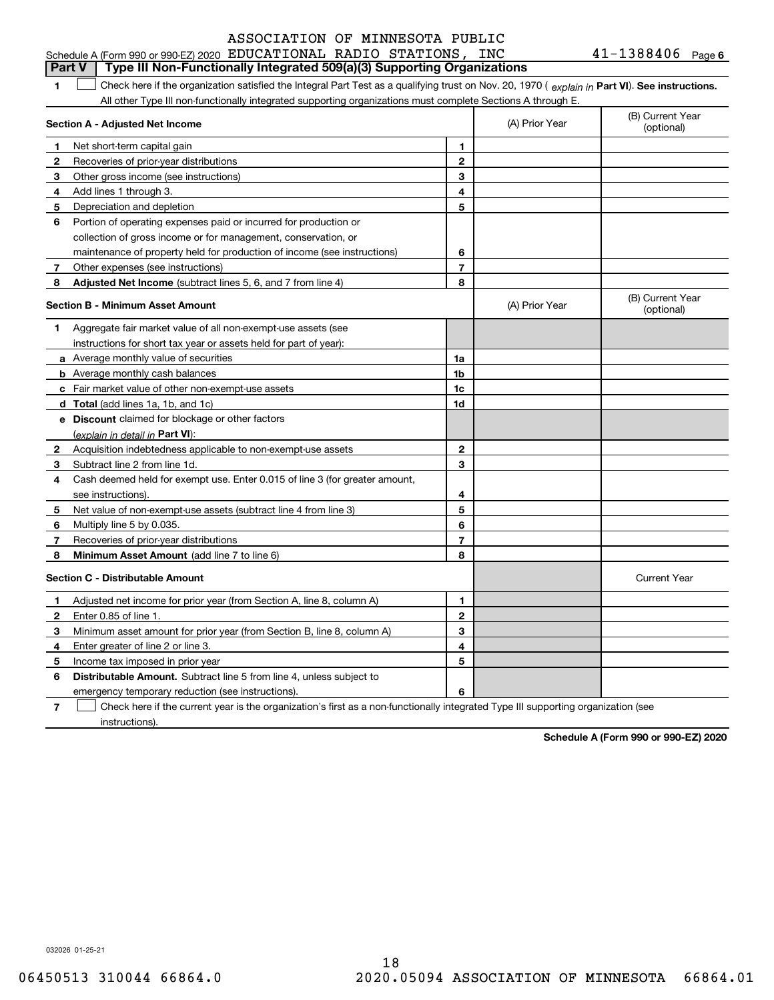| Schedule A (Form 990 or 990-EZ) 2020 $\,$ EDUCATIONAL RADIO $\,$ STATIONS , $\,$ INC $\,$ |  |  |  |  | $41 - 1388406$ Page 6 |  |
|-------------------------------------------------------------------------------------------|--|--|--|--|-----------------------|--|
|-------------------------------------------------------------------------------------------|--|--|--|--|-----------------------|--|

| Part V   Type III Non-Functionally Integrated 509(a)(3) Supporting Organizations |
|----------------------------------------------------------------------------------|

**1**1 Check here if the organization satisfied the Integral Part Test as a qualifying trust on Nov. 20, 1970 (explain in Part VI). See instructions. All other Type III non-functionally integrated supporting organizations must complete Sections A through E.

|                                         | Section A - Adjusted Net Income                                             | (A) Prior Year | (B) Current Year<br>(optional) |                                |
|-----------------------------------------|-----------------------------------------------------------------------------|----------------|--------------------------------|--------------------------------|
| 1                                       | Net short-term capital gain                                                 | 1              |                                |                                |
| 2                                       | Recoveries of prior-year distributions                                      | $\mathbf{2}$   |                                |                                |
| 3                                       | Other gross income (see instructions)                                       | 3              |                                |                                |
| 4                                       | Add lines 1 through 3.                                                      | 4              |                                |                                |
| 5                                       | Depreciation and depletion                                                  | 5              |                                |                                |
| 6                                       | Portion of operating expenses paid or incurred for production or            |                |                                |                                |
|                                         | collection of gross income or for management, conservation, or              |                |                                |                                |
|                                         | maintenance of property held for production of income (see instructions)    | 6              |                                |                                |
| 7                                       | Other expenses (see instructions)                                           | $\overline{7}$ |                                |                                |
| 8                                       | <b>Adjusted Net Income</b> (subtract lines 5, 6, and 7 from line 4)         | 8              |                                |                                |
|                                         | <b>Section B - Minimum Asset Amount</b>                                     |                | (A) Prior Year                 | (B) Current Year<br>(optional) |
| 1                                       | Aggregate fair market value of all non-exempt-use assets (see               |                |                                |                                |
|                                         | instructions for short tax year or assets held for part of year):           |                |                                |                                |
|                                         | a Average monthly value of securities                                       | 1a             |                                |                                |
|                                         | <b>b</b> Average monthly cash balances                                      | 1b             |                                |                                |
|                                         | c Fair market value of other non-exempt-use assets                          | 1c             |                                |                                |
|                                         | <b>d</b> Total (add lines 1a, 1b, and 1c)                                   | 1d             |                                |                                |
|                                         | e Discount claimed for blockage or other factors                            |                |                                |                                |
|                                         | (explain in detail in Part VI):                                             |                |                                |                                |
| $\mathbf{2}$                            | Acquisition indebtedness applicable to non-exempt-use assets                | $\mathbf{2}$   |                                |                                |
| З                                       | Subtract line 2 from line 1d.                                               | 3              |                                |                                |
| 4                                       | Cash deemed held for exempt use. Enter 0.015 of line 3 (for greater amount, |                |                                |                                |
|                                         | see instructions).                                                          | 4              |                                |                                |
| 5                                       | Net value of non-exempt-use assets (subtract line 4 from line 3)            | 5              |                                |                                |
| 6                                       | Multiply line 5 by 0.035.                                                   | 6              |                                |                                |
| 7                                       | Recoveries of prior-year distributions                                      | 7              |                                |                                |
| 8                                       | Minimum Asset Amount (add line 7 to line 6)                                 | 8              |                                |                                |
| <b>Section C - Distributable Amount</b> |                                                                             |                |                                | <b>Current Year</b>            |
| 1                                       | Adjusted net income for prior year (from Section A, line 8, column A)       | 1              |                                |                                |
| 2                                       | Enter 0.85 of line 1.                                                       | $\overline{2}$ |                                |                                |
| з                                       | Minimum asset amount for prior year (from Section B, line 8, column A)      | 3              |                                |                                |
| 4                                       | Enter greater of line 2 or line 3.                                          | 4              |                                |                                |
| 5                                       | Income tax imposed in prior year                                            | 5              |                                |                                |
| 6                                       | Distributable Amount. Subtract line 5 from line 4, unless subject to        |                |                                |                                |
|                                         | emergency temporary reduction (see instructions).                           | 6              |                                |                                |
|                                         |                                                                             |                |                                |                                |

**7**Check here if the current year is the organization's first as a non-functionally integrated Type III supporting organization (see instructions).

**Schedule A (Form 990 or 990-EZ) 2020**

032026 01-25-21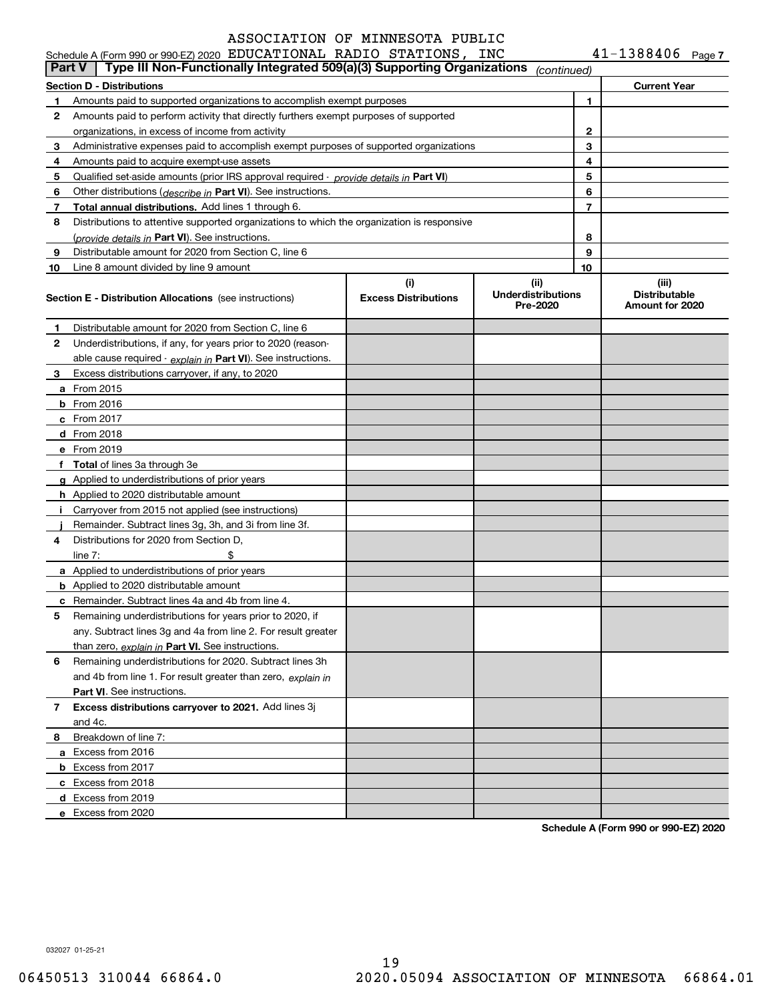|        | Schedule A (Form 990 or 990-EZ) 2020 EDUCATIONAL RADIO STATIONS, INC                       |                                    |                                                |    | $41 - 1388406$ Page 7                            |  |
|--------|--------------------------------------------------------------------------------------------|------------------------------------|------------------------------------------------|----|--------------------------------------------------|--|
| Part V | Type III Non-Functionally Integrated 509(a)(3) Supporting Organizations                    |                                    | (continued)                                    |    |                                                  |  |
|        | <b>Section D - Distributions</b>                                                           |                                    |                                                |    | <b>Current Year</b>                              |  |
| 1      | Amounts paid to supported organizations to accomplish exempt purposes                      |                                    |                                                | 1  |                                                  |  |
| 2      | Amounts paid to perform activity that directly furthers exempt purposes of supported       |                                    |                                                |    |                                                  |  |
|        | organizations, in excess of income from activity                                           |                                    |                                                | 2  |                                                  |  |
| 3      | Administrative expenses paid to accomplish exempt purposes of supported organizations      |                                    |                                                | 3  |                                                  |  |
| 4      | Amounts paid to acquire exempt-use assets                                                  |                                    |                                                | 4  |                                                  |  |
| 5      | Qualified set-aside amounts (prior IRS approval required - provide details in Part VI)     |                                    |                                                | 5  |                                                  |  |
| 6      | Other distributions ( <i>describe in</i> Part VI). See instructions.                       |                                    |                                                | 6  |                                                  |  |
| 7      | Total annual distributions. Add lines 1 through 6.                                         |                                    |                                                | 7  |                                                  |  |
| 8      | Distributions to attentive supported organizations to which the organization is responsive |                                    |                                                |    |                                                  |  |
|        | (provide details in Part VI). See instructions.                                            |                                    |                                                | 8  |                                                  |  |
| 9      | Distributable amount for 2020 from Section C, line 6                                       |                                    |                                                | 9  |                                                  |  |
| 10     | Line 8 amount divided by line 9 amount                                                     |                                    |                                                | 10 |                                                  |  |
|        | <b>Section E - Distribution Allocations</b> (see instructions)                             | (i)<br><b>Excess Distributions</b> | (iii)<br><b>Underdistributions</b><br>Pre-2020 |    | (iii)<br><b>Distributable</b><br>Amount for 2020 |  |
| 1      | Distributable amount for 2020 from Section C, line 6                                       |                                    |                                                |    |                                                  |  |
| 2      | Underdistributions, if any, for years prior to 2020 (reason-                               |                                    |                                                |    |                                                  |  |
|        | able cause required - explain in Part VI). See instructions.                               |                                    |                                                |    |                                                  |  |
| 3      | Excess distributions carryover, if any, to 2020                                            |                                    |                                                |    |                                                  |  |
|        | <b>a</b> From 2015                                                                         |                                    |                                                |    |                                                  |  |
|        | $b$ From 2016                                                                              |                                    |                                                |    |                                                  |  |
|        | $c$ From 2017                                                                              |                                    |                                                |    |                                                  |  |
|        | d From 2018                                                                                |                                    |                                                |    |                                                  |  |
|        | e From 2019                                                                                |                                    |                                                |    |                                                  |  |
|        | f Total of lines 3a through 3e                                                             |                                    |                                                |    |                                                  |  |
|        | g Applied to underdistributions of prior years                                             |                                    |                                                |    |                                                  |  |
|        | <b>h</b> Applied to 2020 distributable amount                                              |                                    |                                                |    |                                                  |  |
|        | i Carryover from 2015 not applied (see instructions)                                       |                                    |                                                |    |                                                  |  |
|        | Remainder. Subtract lines 3g, 3h, and 3i from line 3f.                                     |                                    |                                                |    |                                                  |  |
| 4      | Distributions for 2020 from Section D.                                                     |                                    |                                                |    |                                                  |  |
|        | line $7:$<br>\$                                                                            |                                    |                                                |    |                                                  |  |
|        | a Applied to underdistributions of prior years                                             |                                    |                                                |    |                                                  |  |
|        | <b>b</b> Applied to 2020 distributable amount                                              |                                    |                                                |    |                                                  |  |
|        | <b>c</b> Remainder. Subtract lines 4a and 4b from line 4.                                  |                                    |                                                |    |                                                  |  |
|        | Remaining underdistributions for years prior to 2020, if                                   |                                    |                                                |    |                                                  |  |
|        | any. Subtract lines 3g and 4a from line 2. For result greater                              |                                    |                                                |    |                                                  |  |
|        | than zero, explain in Part VI. See instructions.                                           |                                    |                                                |    |                                                  |  |
| 6      | Remaining underdistributions for 2020. Subtract lines 3h                                   |                                    |                                                |    |                                                  |  |
|        | and 4b from line 1. For result greater than zero, explain in                               |                                    |                                                |    |                                                  |  |
|        | Part VI. See instructions.                                                                 |                                    |                                                |    |                                                  |  |
| 7      | Excess distributions carryover to 2021. Add lines 3j                                       |                                    |                                                |    |                                                  |  |
|        | and 4c.                                                                                    |                                    |                                                |    |                                                  |  |
| 8      | Breakdown of line 7:                                                                       |                                    |                                                |    |                                                  |  |
|        | a Excess from 2016                                                                         |                                    |                                                |    |                                                  |  |
|        | <b>b</b> Excess from 2017                                                                  |                                    |                                                |    |                                                  |  |
|        | c Excess from 2018                                                                         |                                    |                                                |    |                                                  |  |
|        | d Excess from 2019                                                                         |                                    |                                                |    |                                                  |  |
|        | e Excess from 2020                                                                         |                                    |                                                |    |                                                  |  |

**Schedule A (Form 990 or 990-EZ) 2020**

032027 01-25-21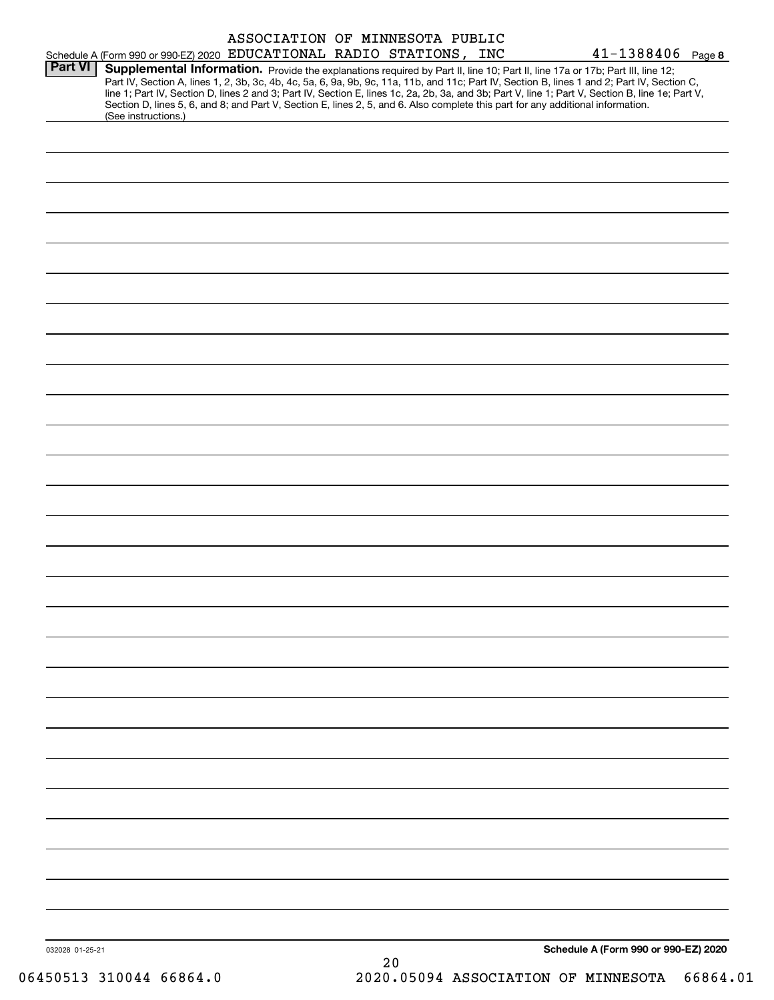|                 |                                                                      | ASSOCIATION OF MINNESOTA PUBLIC |  |                                                                                                                                                                                                                                                                                                                                                                                                                                                                                                                                                                      |
|-----------------|----------------------------------------------------------------------|---------------------------------|--|----------------------------------------------------------------------------------------------------------------------------------------------------------------------------------------------------------------------------------------------------------------------------------------------------------------------------------------------------------------------------------------------------------------------------------------------------------------------------------------------------------------------------------------------------------------------|
|                 | Schedule A (Form 990 or 990-EZ) 2020 EDUCATIONAL RADIO STATIONS, INC |                                 |  | $41 - 1388406$ Page 8                                                                                                                                                                                                                                                                                                                                                                                                                                                                                                                                                |
| Part VI         | (See instructions.)                                                  |                                 |  | Supplemental Information. Provide the explanations required by Part II, line 10; Part II, line 17a or 17b; Part III, line 12;<br>Part IV, Section A, lines 1, 2, 3b, 3c, 4b, 4c, 5a, 6, 9a, 9b, 9c, 11a, 11b, and 11c; Part IV, Section B, lines 1 and 2; Part IV, Section C,<br>line 1; Part IV, Section D, lines 2 and 3; Part IV, Section E, lines 1c, 2a, 2b, 3a, and 3b; Part V, line 1; Part V, Section B, line 1e; Part V,<br>Section D, lines 5, 6, and 8; and Part V, Section E, lines 2, 5, and 6. Also complete this part for any additional information. |
|                 |                                                                      |                                 |  |                                                                                                                                                                                                                                                                                                                                                                                                                                                                                                                                                                      |
|                 |                                                                      |                                 |  |                                                                                                                                                                                                                                                                                                                                                                                                                                                                                                                                                                      |
|                 |                                                                      |                                 |  |                                                                                                                                                                                                                                                                                                                                                                                                                                                                                                                                                                      |
|                 |                                                                      |                                 |  |                                                                                                                                                                                                                                                                                                                                                                                                                                                                                                                                                                      |
|                 |                                                                      |                                 |  |                                                                                                                                                                                                                                                                                                                                                                                                                                                                                                                                                                      |
|                 |                                                                      |                                 |  |                                                                                                                                                                                                                                                                                                                                                                                                                                                                                                                                                                      |
|                 |                                                                      |                                 |  |                                                                                                                                                                                                                                                                                                                                                                                                                                                                                                                                                                      |
|                 |                                                                      |                                 |  |                                                                                                                                                                                                                                                                                                                                                                                                                                                                                                                                                                      |
|                 |                                                                      |                                 |  |                                                                                                                                                                                                                                                                                                                                                                                                                                                                                                                                                                      |
|                 |                                                                      |                                 |  |                                                                                                                                                                                                                                                                                                                                                                                                                                                                                                                                                                      |
|                 |                                                                      |                                 |  |                                                                                                                                                                                                                                                                                                                                                                                                                                                                                                                                                                      |
|                 |                                                                      |                                 |  |                                                                                                                                                                                                                                                                                                                                                                                                                                                                                                                                                                      |
|                 |                                                                      |                                 |  |                                                                                                                                                                                                                                                                                                                                                                                                                                                                                                                                                                      |
|                 |                                                                      |                                 |  |                                                                                                                                                                                                                                                                                                                                                                                                                                                                                                                                                                      |
|                 |                                                                      |                                 |  |                                                                                                                                                                                                                                                                                                                                                                                                                                                                                                                                                                      |
|                 |                                                                      |                                 |  |                                                                                                                                                                                                                                                                                                                                                                                                                                                                                                                                                                      |
|                 |                                                                      |                                 |  |                                                                                                                                                                                                                                                                                                                                                                                                                                                                                                                                                                      |
|                 |                                                                      |                                 |  |                                                                                                                                                                                                                                                                                                                                                                                                                                                                                                                                                                      |
|                 |                                                                      |                                 |  |                                                                                                                                                                                                                                                                                                                                                                                                                                                                                                                                                                      |
|                 |                                                                      |                                 |  |                                                                                                                                                                                                                                                                                                                                                                                                                                                                                                                                                                      |
|                 |                                                                      |                                 |  |                                                                                                                                                                                                                                                                                                                                                                                                                                                                                                                                                                      |
|                 |                                                                      |                                 |  |                                                                                                                                                                                                                                                                                                                                                                                                                                                                                                                                                                      |
|                 |                                                                      |                                 |  |                                                                                                                                                                                                                                                                                                                                                                                                                                                                                                                                                                      |
|                 |                                                                      |                                 |  |                                                                                                                                                                                                                                                                                                                                                                                                                                                                                                                                                                      |
|                 |                                                                      |                                 |  |                                                                                                                                                                                                                                                                                                                                                                                                                                                                                                                                                                      |
|                 |                                                                      |                                 |  |                                                                                                                                                                                                                                                                                                                                                                                                                                                                                                                                                                      |
|                 |                                                                      |                                 |  |                                                                                                                                                                                                                                                                                                                                                                                                                                                                                                                                                                      |
|                 |                                                                      |                                 |  |                                                                                                                                                                                                                                                                                                                                                                                                                                                                                                                                                                      |
| 032028 01-25-21 |                                                                      |                                 |  | Schedule A (Form 990 or 990-EZ) 2020                                                                                                                                                                                                                                                                                                                                                                                                                                                                                                                                 |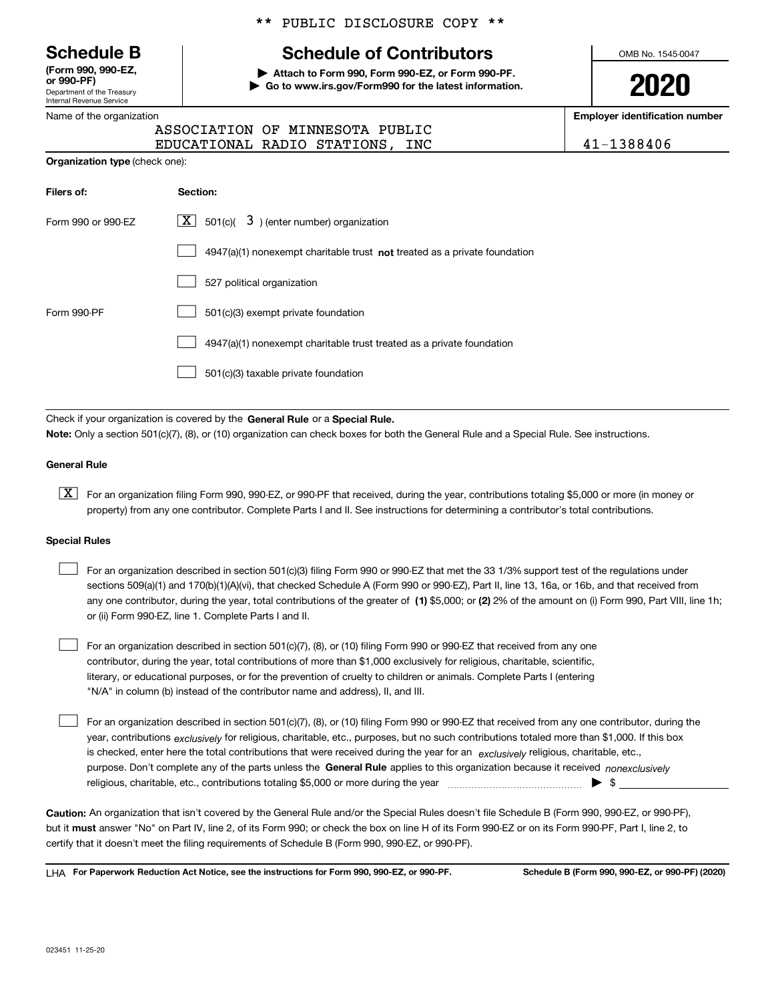Department of the Treasury Internal Revenue Service **(Form 990, 990-EZ, or 990-PF)**

Name of the organization

**Organization type** (check one):

|  |  | ** PUBLIC DISCLOSURE COPY ** |  |  |
|--|--|------------------------------|--|--|
|--|--|------------------------------|--|--|

# **Schedule B Schedule of Contributors**

**| Attach to Form 990, Form 990-EZ, or Form 990-PF. | Go to www.irs.gov/Form990 for the latest information.** OMB No. 1545-0047

**2020**

**Employer identification number**

| ASSOCIATION OF MINNESOTA PUBLIC  |  |  |            |
|----------------------------------|--|--|------------|
| EDUCATIONAL RADIO STATIONS, INC. |  |  | 41-1388406 |

| Filers of:         | <b>Section:</b>                                                             |
|--------------------|-----------------------------------------------------------------------------|
| Form 990 or 990-EZ | $\lfloor x \rfloor$ 501(c)( 3) (enter number) organization                  |
|                    | $4947(a)(1)$ nonexempt charitable trust not treated as a private foundation |
|                    | 527 political organization                                                  |
| Form 990-PF        | 501(c)(3) exempt private foundation                                         |
|                    | 4947(a)(1) nonexempt charitable trust treated as a private foundation       |
|                    | 501(c)(3) taxable private foundation                                        |

Check if your organization is covered by the **General Rule** or a **Special Rule. Note:**  Only a section 501(c)(7), (8), or (10) organization can check boxes for both the General Rule and a Special Rule. See instructions.

## **General Rule**

 $\boxed{\textbf{X}}$  For an organization filing Form 990, 990-EZ, or 990-PF that received, during the year, contributions totaling \$5,000 or more (in money or property) from any one contributor. Complete Parts I and II. See instructions for determining a contributor's total contributions.

### **Special Rules**

| For an organization described in section 501(c)(3) filing Form 990 or 990-EZ that met the 33 1/3% support test of the regulations under               |
|-------------------------------------------------------------------------------------------------------------------------------------------------------|
| sections 509(a)(1) and 170(b)(1)(A)(vi), that checked Schedule A (Form 990 or 990-EZ), Part II, line 13, 16a, or 16b, and that received from          |
| any one contributor, during the year, total contributions of the greater of (1) \$5,000; or (2) 2% of the amount on (i) Form 990, Part VIII, line 1h; |
| or (ii) Form 990-EZ, line 1. Complete Parts I and II.                                                                                                 |

For an organization described in section 501(c)(7), (8), or (10) filing Form 990 or 990-EZ that received from any one contributor, during the year, total contributions of more than \$1,000 exclusively for religious, charitable, scientific, literary, or educational purposes, or for the prevention of cruelty to children or animals. Complete Parts I (entering "N/A" in column (b) instead of the contributor name and address), II, and III.  $\mathcal{L}^{\text{max}}$ 

purpose. Don't complete any of the parts unless the **General Rule** applies to this organization because it received *nonexclusively* year, contributions <sub>exclusively</sub> for religious, charitable, etc., purposes, but no such contributions totaled more than \$1,000. If this box is checked, enter here the total contributions that were received during the year for an  $\;$ exclusively religious, charitable, etc., For an organization described in section 501(c)(7), (8), or (10) filing Form 990 or 990-EZ that received from any one contributor, during the religious, charitable, etc., contributions totaling \$5,000 or more during the year  $\Box$ — $\Box$   $\Box$  $\mathcal{L}^{\text{max}}$ 

**Caution:**  An organization that isn't covered by the General Rule and/or the Special Rules doesn't file Schedule B (Form 990, 990-EZ, or 990-PF),  **must** but it answer "No" on Part IV, line 2, of its Form 990; or check the box on line H of its Form 990-EZ or on its Form 990-PF, Part I, line 2, to certify that it doesn't meet the filing requirements of Schedule B (Form 990, 990-EZ, or 990-PF).

**For Paperwork Reduction Act Notice, see the instructions for Form 990, 990-EZ, or 990-PF. Schedule B (Form 990, 990-EZ, or 990-PF) (2020)** LHA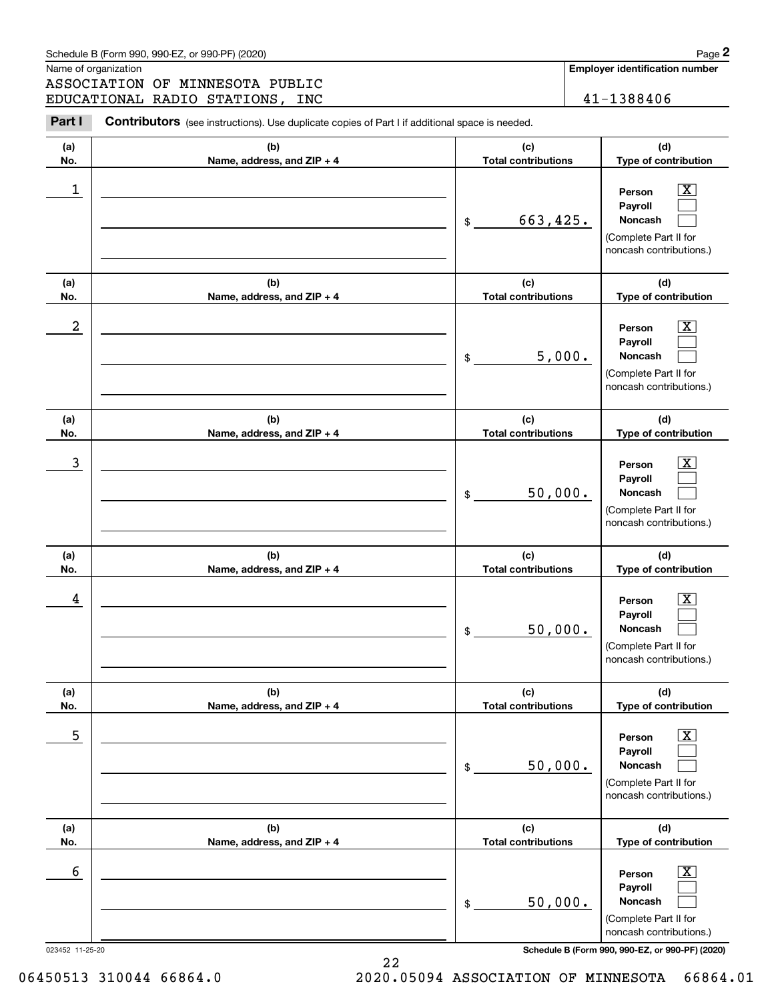|            | Schedule B (Form 990, 990-EZ, or 990-PF) (2020)                                                |                                   | Page 2                                           |
|------------|------------------------------------------------------------------------------------------------|-----------------------------------|--------------------------------------------------|
|            | Name of organization                                                                           |                                   | Employer identification number                   |
|            | ASSOCIATION OF MINNESOTA PUBLIC<br>EDUCATIONAL RADIO STATIONS, INC                             |                                   | 41-1388406                                       |
| Part I     | Contributors (see instructions). Use duplicate copies of Part I if additional space is needed. |                                   |                                                  |
|            |                                                                                                |                                   |                                                  |
| (a)<br>No. | (b)<br>Name, address, and ZIP + 4                                                              | (c)<br><b>Total contributions</b> | (d)<br>Type of contribution                      |
|            |                                                                                                |                                   |                                                  |
| 1          |                                                                                                |                                   | $\mathbf{X}$<br>Person                           |
|            |                                                                                                | 663,425.<br>\$                    | Payroll<br>Noncash                               |
|            |                                                                                                |                                   | (Complete Part II for                            |
|            |                                                                                                |                                   | noncash contributions.)                          |
| (a)        | (b)                                                                                            | (c)                               | (d)                                              |
| No.        | Name, address, and ZIP + 4                                                                     | <b>Total contributions</b>        | Type of contribution                             |
| 2          |                                                                                                |                                   | $\overline{\mathbf{X}}$<br>Person                |
|            |                                                                                                | 5,000.                            | Payroll<br>Noncash                               |
|            |                                                                                                | \$                                | (Complete Part II for                            |
|            |                                                                                                |                                   | noncash contributions.)                          |
| (a)        | (b)                                                                                            | (c)                               | (d)                                              |
| No.        | Name, address, and ZIP + 4                                                                     | <b>Total contributions</b>        | Type of contribution                             |
| 3          |                                                                                                |                                   | $\overline{\mathbf{X}}$<br>Person                |
|            |                                                                                                |                                   | Payroll                                          |
|            |                                                                                                | 50,000.<br>\$                     | Noncash                                          |
|            |                                                                                                |                                   | (Complete Part II for<br>noncash contributions.) |
|            |                                                                                                |                                   |                                                  |
| (a)<br>No. | (b)<br>Name, address, and ZIP + 4                                                              | (c)<br><b>Total contributions</b> | (d)<br>Type of contribution                      |
|            |                                                                                                |                                   |                                                  |
| 4          |                                                                                                |                                   | $\mathbf{X}$<br>Person<br>Payroll                |
|            |                                                                                                | 50,000.<br>\$                     | Noncash                                          |
|            |                                                                                                |                                   | (Complete Part II for<br>noncash contributions.) |
|            |                                                                                                |                                   |                                                  |
| (a)<br>No. | (b)<br>Name, address, and ZIP + 4                                                              | (c)<br><b>Total contributions</b> | (d)<br>Type of contribution                      |
|            |                                                                                                |                                   |                                                  |
| 5          |                                                                                                |                                   | $\boxed{\text{X}}$<br>Person<br>Payroll          |
|            |                                                                                                | 50,000.<br>\$                     | Noncash                                          |
|            |                                                                                                |                                   | (Complete Part II for<br>noncash contributions.) |
|            |                                                                                                |                                   |                                                  |
| (a)        | (b)                                                                                            | (c)                               | (d)                                              |
| No.        | Name, address, and ZIP + 4                                                                     | <b>Total contributions</b>        | Type of contribution                             |
| 6          |                                                                                                |                                   | $\boxed{\text{X}}$<br>Person                     |
|            |                                                                                                | 50,000.<br>\$                     | Payroll<br>Noncash                               |
|            |                                                                                                |                                   | (Complete Part II for                            |
|            |                                                                                                |                                   | noncash contributions.)                          |

023452 11-25-20 **Schedule B (Form 990, 990-EZ, or 990-PF) (2020)**

22

06450513 310044 66864.0 2020.05094 ASSOCIATION OF MINNESOTA 66864.01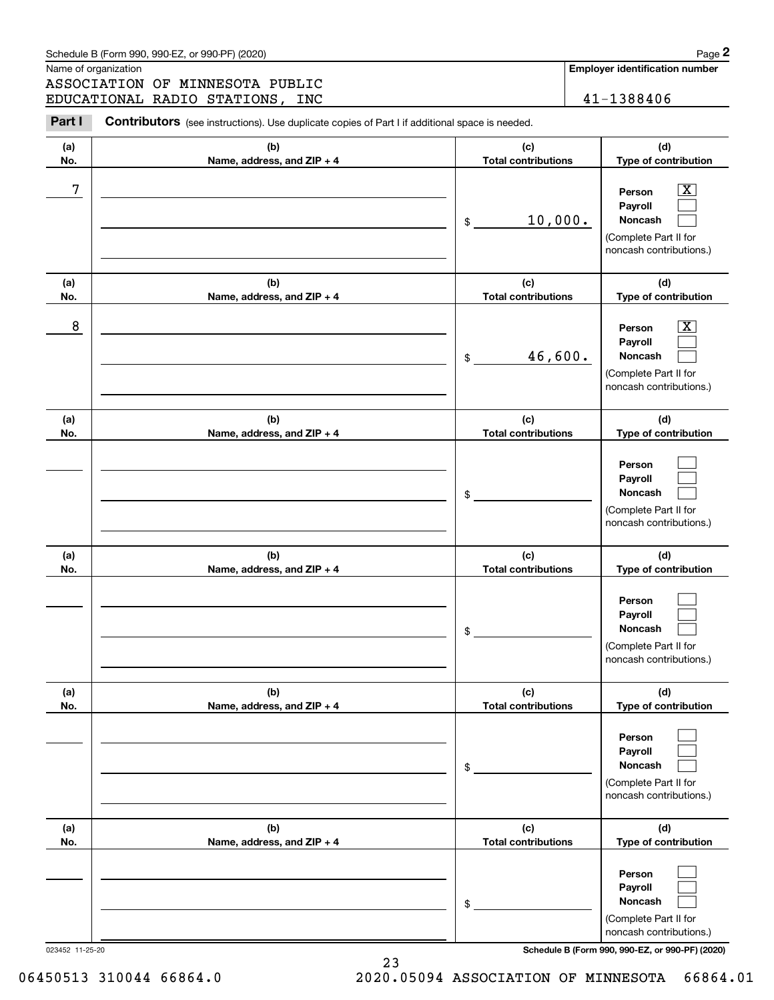|            | Schedule B (Form 990, 990-EZ, or 990-PF) (2020)                                                                                          |                                   | Page 2                                                                                           |
|------------|------------------------------------------------------------------------------------------------------------------------------------------|-----------------------------------|--------------------------------------------------------------------------------------------------|
|            | Name of organization<br>ASSOCIATION OF MINNESOTA PUBLIC                                                                                  |                                   | <b>Employer identification number</b>                                                            |
| Part I     | EDUCATIONAL RADIO STATIONS, INC<br><b>Contributors</b> (see instructions). Use duplicate copies of Part I if additional space is needed. |                                   | 41-1388406                                                                                       |
| (a)<br>No. | (b)<br>Name, address, and ZIP + 4                                                                                                        | (c)<br><b>Total contributions</b> | (d)<br>Type of contribution                                                                      |
| 7          |                                                                                                                                          | 10,000.<br>\$                     | $\mathbf{X}$<br>Person<br>Payroll<br>Noncash<br>(Complete Part II for<br>noncash contributions.) |
| (a)<br>No. | (b)<br>Name, address, and ZIP + 4                                                                                                        | (c)<br><b>Total contributions</b> | (d)<br>Type of contribution                                                                      |
| 8          |                                                                                                                                          | 46,600.<br>\$                     | $\mathbf{X}$<br>Person<br>Payroll<br>Noncash<br>(Complete Part II for<br>noncash contributions.) |
| (a)<br>No. | (b)<br>Name, address, and ZIP + 4                                                                                                        | (c)<br><b>Total contributions</b> | (d)<br>Type of contribution                                                                      |
|            |                                                                                                                                          | \$                                | Person<br>Payroll<br>Noncash<br>(Complete Part II for<br>noncash contributions.)                 |
| (a)<br>No. | (b)<br>Name, address, and ZIP + 4                                                                                                        | (c)<br><b>Total contributions</b> | (d)<br>Type of contribution                                                                      |
|            |                                                                                                                                          | \$                                | Person<br>Payroll<br>Noncash<br>(Complete Part II for<br>noncash contributions.)                 |
| (a)<br>No. | (b)<br>Name, address, and ZIP + 4                                                                                                        | (c)<br><b>Total contributions</b> | (d)<br>Type of contribution                                                                      |
|            |                                                                                                                                          | \$                                | Person<br>Payroll<br>Noncash<br>(Complete Part II for<br>noncash contributions.)                 |
| (a)<br>No. | (b)<br>Name, address, and ZIP + 4                                                                                                        | (c)<br><b>Total contributions</b> | (d)<br>Type of contribution                                                                      |
|            |                                                                                                                                          | \$                                | Person<br>Payroll<br>Noncash<br>(Complete Part II for<br>noncash contributions.)                 |

023452 11-25-20 **Schedule B (Form 990, 990-EZ, or 990-PF) (2020)**

23 06450513 310044 66864.0 2020.05094 ASSOCIATION OF MINNESOTA 66864.01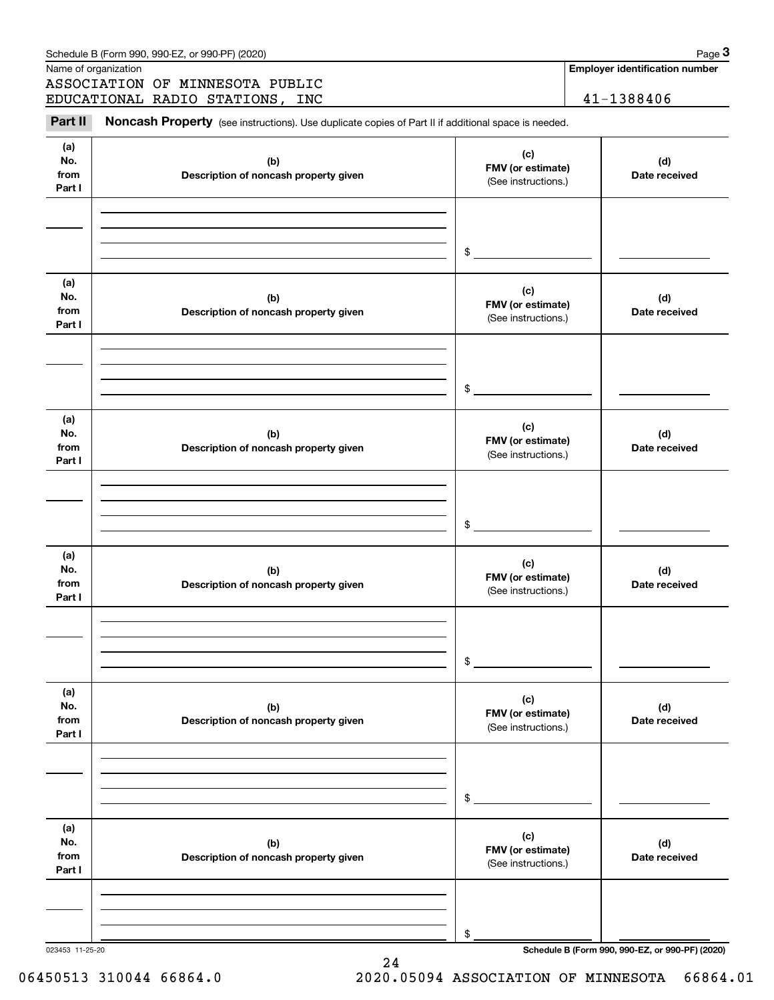|                              | Schedule B (Form 990, 990-EZ, or 990-PF) (2020)<br>Name of organization                             |                                                 | Page 3<br><b>Employer identification number</b> |
|------------------------------|-----------------------------------------------------------------------------------------------------|-------------------------------------------------|-------------------------------------------------|
|                              | ASSOCIATION OF MINNESOTA PUBLIC                                                                     |                                                 |                                                 |
|                              | EDUCATIONAL RADIO STATIONS, INC                                                                     |                                                 | 41-1388406                                      |
| Part II                      | Noncash Property (see instructions). Use duplicate copies of Part II if additional space is needed. |                                                 |                                                 |
| (a)<br>No.<br>from<br>Part I | (b)<br>Description of noncash property given                                                        | (c)<br>FMV (or estimate)<br>(See instructions.) | (d)<br>Date received                            |
|                              |                                                                                                     | \$                                              |                                                 |
| (a)<br>No.<br>from<br>Part I | (b)<br>Description of noncash property given                                                        | (c)<br>FMV (or estimate)<br>(See instructions.) | (d)<br>Date received                            |
|                              |                                                                                                     | \$                                              |                                                 |
| (a)<br>No.<br>from<br>Part I | (b)<br>Description of noncash property given                                                        | (c)<br>FMV (or estimate)<br>(See instructions.) | (d)<br>Date received                            |
|                              |                                                                                                     | \$                                              |                                                 |
| (a)<br>No.<br>from<br>Part I | (b)<br>Description of noncash property given                                                        | (c)<br>FMV (or estimate)<br>(See instructions.) | (d)<br>Date received                            |
|                              |                                                                                                     | \$                                              |                                                 |
| (a)<br>No.<br>from<br>Part I | (b)<br>Description of noncash property given                                                        | (c)<br>FMV (or estimate)<br>(See instructions.) | (d)<br>Date received                            |
|                              |                                                                                                     | \$                                              |                                                 |
| (a)<br>No.<br>from<br>Part I | (b)<br>Description of noncash property given                                                        | (c)<br>FMV (or estimate)<br>(See instructions.) | (d)<br>Date received                            |
|                              |                                                                                                     | \$                                              |                                                 |

24

06450513 310044 66864.0 2020.05094 ASSOCIATION OF MINNESOTA 66864.01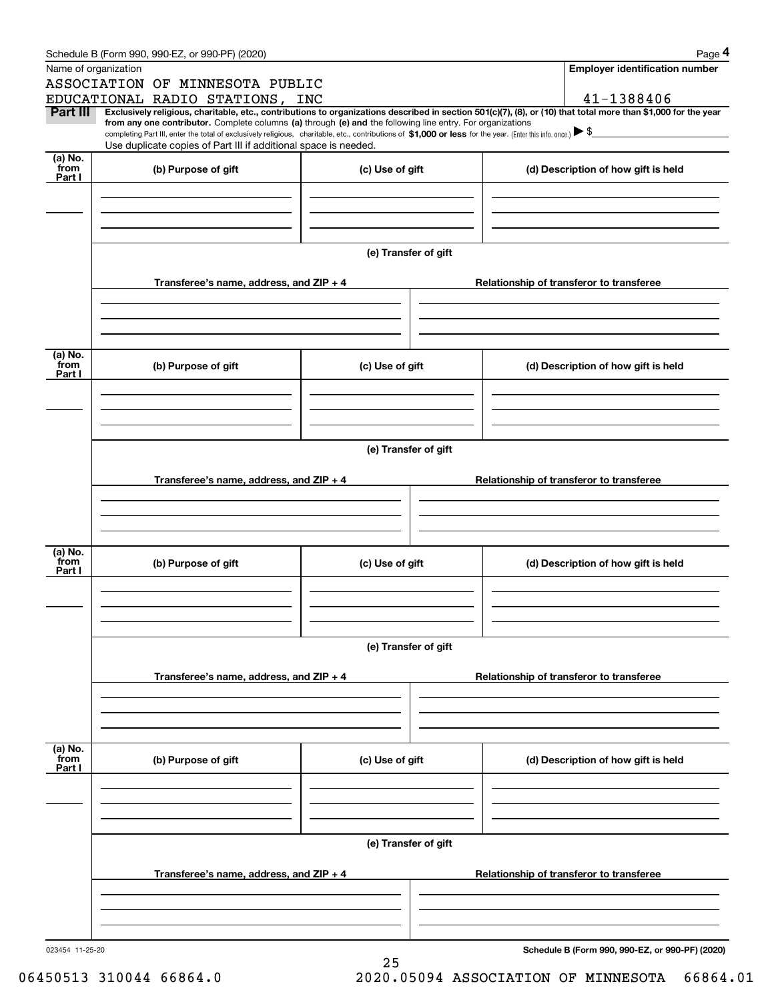|                      | Schedule B (Form 990, 990-EZ, or 990-PF) (2020)                                                                                                                                                                                                                                                 |                      | Page 4                                                                                                                                                         |
|----------------------|-------------------------------------------------------------------------------------------------------------------------------------------------------------------------------------------------------------------------------------------------------------------------------------------------|----------------------|----------------------------------------------------------------------------------------------------------------------------------------------------------------|
| Name of organization |                                                                                                                                                                                                                                                                                                 |                      | <b>Employer identification number</b>                                                                                                                          |
|                      | ASSOCIATION OF MINNESOTA PUBLIC                                                                                                                                                                                                                                                                 |                      |                                                                                                                                                                |
|                      | EDUCATIONAL RADIO STATIONS, INC                                                                                                                                                                                                                                                                 |                      | 41-1388406                                                                                                                                                     |
| Part III             | from any one contributor. Complete columns (a) through (e) and the following line entry. For organizations<br>completing Part III, enter the total of exclusively religious, charitable, etc., contributions of \$1,000 or less for the year. (Enter this info. once.) $\blacktriangleright$ \$ |                      | Exclusively religious, charitable, etc., contributions to organizations described in section 501(c)(7), (8), or (10) that total more than \$1,000 for the year |
|                      | Use duplicate copies of Part III if additional space is needed.                                                                                                                                                                                                                                 |                      |                                                                                                                                                                |
| (a) No.              |                                                                                                                                                                                                                                                                                                 |                      |                                                                                                                                                                |
| from<br>Part I       | (b) Purpose of gift                                                                                                                                                                                                                                                                             | (c) Use of gift      | (d) Description of how gift is held                                                                                                                            |
|                      |                                                                                                                                                                                                                                                                                                 |                      |                                                                                                                                                                |
|                      |                                                                                                                                                                                                                                                                                                 |                      |                                                                                                                                                                |
|                      |                                                                                                                                                                                                                                                                                                 |                      |                                                                                                                                                                |
|                      |                                                                                                                                                                                                                                                                                                 |                      |                                                                                                                                                                |
|                      |                                                                                                                                                                                                                                                                                                 | (e) Transfer of gift |                                                                                                                                                                |
|                      |                                                                                                                                                                                                                                                                                                 |                      |                                                                                                                                                                |
|                      | Transferee's name, address, and ZIP + 4                                                                                                                                                                                                                                                         |                      | Relationship of transferor to transferee                                                                                                                       |
|                      |                                                                                                                                                                                                                                                                                                 |                      |                                                                                                                                                                |
|                      |                                                                                                                                                                                                                                                                                                 |                      |                                                                                                                                                                |
|                      |                                                                                                                                                                                                                                                                                                 |                      |                                                                                                                                                                |
| (a) No.              |                                                                                                                                                                                                                                                                                                 |                      |                                                                                                                                                                |
| from<br>Part I       | (b) Purpose of gift                                                                                                                                                                                                                                                                             | (c) Use of gift      | (d) Description of how gift is held                                                                                                                            |
|                      |                                                                                                                                                                                                                                                                                                 |                      |                                                                                                                                                                |
|                      |                                                                                                                                                                                                                                                                                                 |                      |                                                                                                                                                                |
|                      |                                                                                                                                                                                                                                                                                                 |                      |                                                                                                                                                                |
|                      |                                                                                                                                                                                                                                                                                                 |                      |                                                                                                                                                                |
|                      |                                                                                                                                                                                                                                                                                                 | (e) Transfer of gift |                                                                                                                                                                |
|                      |                                                                                                                                                                                                                                                                                                 |                      |                                                                                                                                                                |
|                      | Transferee's name, address, and ZIP + 4                                                                                                                                                                                                                                                         |                      | Relationship of transferor to transferee                                                                                                                       |
|                      |                                                                                                                                                                                                                                                                                                 |                      |                                                                                                                                                                |
|                      |                                                                                                                                                                                                                                                                                                 |                      |                                                                                                                                                                |
|                      |                                                                                                                                                                                                                                                                                                 |                      |                                                                                                                                                                |
| (a) No.              |                                                                                                                                                                                                                                                                                                 |                      |                                                                                                                                                                |
| from<br>Part I       | (b) Purpose of gift                                                                                                                                                                                                                                                                             | (c) Use of gift      | (d) Description of how gift is held                                                                                                                            |
|                      |                                                                                                                                                                                                                                                                                                 |                      |                                                                                                                                                                |
|                      |                                                                                                                                                                                                                                                                                                 |                      |                                                                                                                                                                |
|                      |                                                                                                                                                                                                                                                                                                 |                      |                                                                                                                                                                |
|                      |                                                                                                                                                                                                                                                                                                 |                      |                                                                                                                                                                |
|                      |                                                                                                                                                                                                                                                                                                 | (e) Transfer of gift |                                                                                                                                                                |
|                      |                                                                                                                                                                                                                                                                                                 |                      |                                                                                                                                                                |
|                      | Transferee's name, address, and $ZIP + 4$                                                                                                                                                                                                                                                       |                      | Relationship of transferor to transferee                                                                                                                       |
|                      |                                                                                                                                                                                                                                                                                                 |                      |                                                                                                                                                                |
|                      |                                                                                                                                                                                                                                                                                                 |                      |                                                                                                                                                                |
|                      |                                                                                                                                                                                                                                                                                                 |                      |                                                                                                                                                                |
| (a) No.<br>from      |                                                                                                                                                                                                                                                                                                 |                      |                                                                                                                                                                |
| Part I               | (b) Purpose of gift                                                                                                                                                                                                                                                                             | (c) Use of gift      | (d) Description of how gift is held                                                                                                                            |
|                      |                                                                                                                                                                                                                                                                                                 |                      |                                                                                                                                                                |
|                      |                                                                                                                                                                                                                                                                                                 |                      |                                                                                                                                                                |
|                      |                                                                                                                                                                                                                                                                                                 |                      |                                                                                                                                                                |
|                      |                                                                                                                                                                                                                                                                                                 |                      |                                                                                                                                                                |
|                      |                                                                                                                                                                                                                                                                                                 | (e) Transfer of gift |                                                                                                                                                                |
|                      |                                                                                                                                                                                                                                                                                                 |                      |                                                                                                                                                                |
|                      | Transferee's name, address, and $ZIP + 4$                                                                                                                                                                                                                                                       |                      | Relationship of transferor to transferee                                                                                                                       |
|                      |                                                                                                                                                                                                                                                                                                 |                      |                                                                                                                                                                |
|                      |                                                                                                                                                                                                                                                                                                 |                      |                                                                                                                                                                |
|                      |                                                                                                                                                                                                                                                                                                 |                      |                                                                                                                                                                |
|                      |                                                                                                                                                                                                                                                                                                 |                      |                                                                                                                                                                |

**Schedule B (Form 990, 990-EZ, or 990-PF) (2020)**

25 06450513 310044 66864.0 2020.05094 ASSOCIATION OF MINNESOTA 66864.01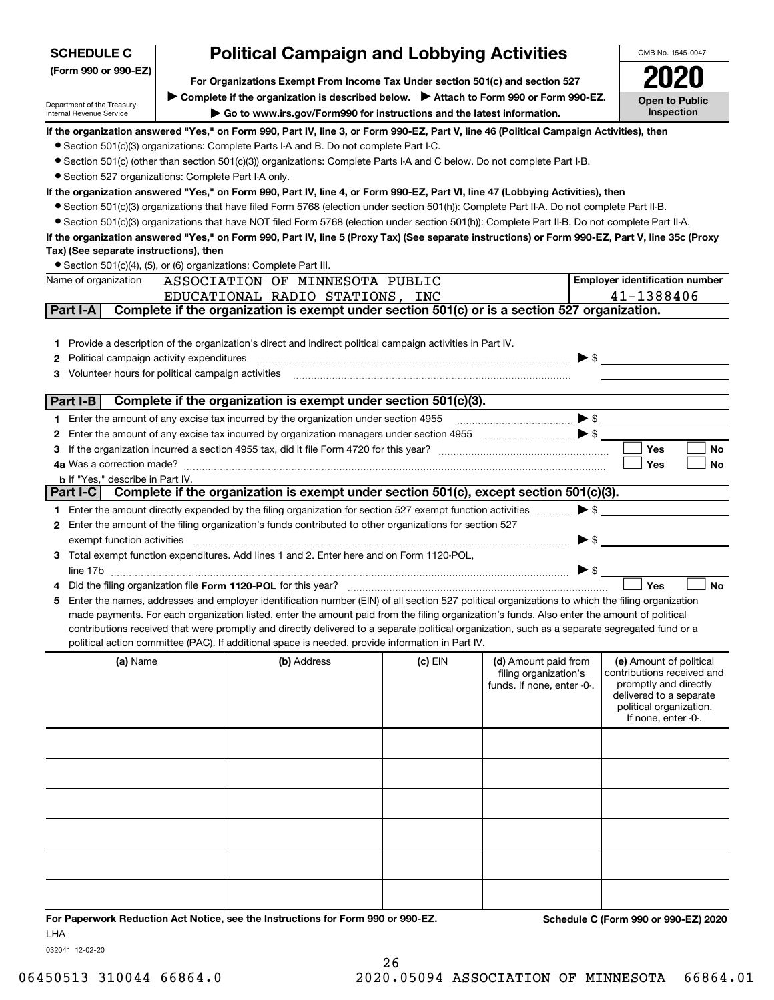| (Form 990 or 990-EZ)<br>For Organizations Exempt From Income Tax Under section 501(c) and section 527<br>Complete if the organization is described below. > Attach to Form 990 or Form 990-EZ.<br>Department of the Treasury<br>Inspection<br>Go to www.irs.gov/Form990 for instructions and the latest information.<br>Internal Revenue Service<br>If the organization answered "Yes," on Form 990, Part IV, line 3, or Form 990-EZ, Part V, line 46 (Political Campaign Activities), then | OMB No. 1545-0047       |  |  |  |  |  |  |  |  |
|---------------------------------------------------------------------------------------------------------------------------------------------------------------------------------------------------------------------------------------------------------------------------------------------------------------------------------------------------------------------------------------------------------------------------------------------------------------------------------------------|-------------------------|--|--|--|--|--|--|--|--|
|                                                                                                                                                                                                                                                                                                                                                                                                                                                                                             |                         |  |  |  |  |  |  |  |  |
|                                                                                                                                                                                                                                                                                                                                                                                                                                                                                             |                         |  |  |  |  |  |  |  |  |
|                                                                                                                                                                                                                                                                                                                                                                                                                                                                                             | <b>Open to Public</b>   |  |  |  |  |  |  |  |  |
|                                                                                                                                                                                                                                                                                                                                                                                                                                                                                             |                         |  |  |  |  |  |  |  |  |
|                                                                                                                                                                                                                                                                                                                                                                                                                                                                                             |                         |  |  |  |  |  |  |  |  |
| • Section 501(c)(3) organizations: Complete Parts I-A and B. Do not complete Part I-C.                                                                                                                                                                                                                                                                                                                                                                                                      |                         |  |  |  |  |  |  |  |  |
| • Section 501(c) (other than section 501(c)(3)) organizations: Complete Parts I-A and C below. Do not complete Part I-B.<br>• Section 527 organizations: Complete Part I-A only.                                                                                                                                                                                                                                                                                                            |                         |  |  |  |  |  |  |  |  |
| If the organization answered "Yes," on Form 990, Part IV, line 4, or Form 990-EZ, Part VI, line 47 (Lobbying Activities), then                                                                                                                                                                                                                                                                                                                                                              |                         |  |  |  |  |  |  |  |  |
| • Section 501(c)(3) organizations that have filed Form 5768 (election under section 501(h)): Complete Part II-A. Do not complete Part II-B.                                                                                                                                                                                                                                                                                                                                                 |                         |  |  |  |  |  |  |  |  |
| • Section 501(c)(3) organizations that have NOT filed Form 5768 (election under section 501(h)): Complete Part II-B. Do not complete Part II-A.                                                                                                                                                                                                                                                                                                                                             |                         |  |  |  |  |  |  |  |  |
| If the organization answered "Yes," on Form 990, Part IV, line 5 (Proxy Tax) (See separate instructions) or Form 990-EZ, Part V, line 35c (Proxy                                                                                                                                                                                                                                                                                                                                            |                         |  |  |  |  |  |  |  |  |
| Tax) (See separate instructions), then                                                                                                                                                                                                                                                                                                                                                                                                                                                      |                         |  |  |  |  |  |  |  |  |
| • Section 501(c)(4), (5), or (6) organizations: Complete Part III.                                                                                                                                                                                                                                                                                                                                                                                                                          |                         |  |  |  |  |  |  |  |  |
| Name of organization<br>ASSOCIATION OF MINNESOTA PUBLIC<br><b>Employer identification number</b>                                                                                                                                                                                                                                                                                                                                                                                            |                         |  |  |  |  |  |  |  |  |
| 41-1388406<br>EDUCATIONAL RADIO STATIONS, INC                                                                                                                                                                                                                                                                                                                                                                                                                                               |                         |  |  |  |  |  |  |  |  |
| Complete if the organization is exempt under section 501(c) or is a section 527 organization.<br>Part I-A                                                                                                                                                                                                                                                                                                                                                                                   |                         |  |  |  |  |  |  |  |  |
|                                                                                                                                                                                                                                                                                                                                                                                                                                                                                             |                         |  |  |  |  |  |  |  |  |
| 1 Provide a description of the organization's direct and indirect political campaign activities in Part IV.                                                                                                                                                                                                                                                                                                                                                                                 |                         |  |  |  |  |  |  |  |  |
| $\blacktriangleright$ \$<br>Political campaign activity expenditures<br>2                                                                                                                                                                                                                                                                                                                                                                                                                   |                         |  |  |  |  |  |  |  |  |
| Volunteer hours for political campaign activities<br>З                                                                                                                                                                                                                                                                                                                                                                                                                                      |                         |  |  |  |  |  |  |  |  |
| Complete if the organization is exempt under section 501(c)(3).<br>Part I-B                                                                                                                                                                                                                                                                                                                                                                                                                 |                         |  |  |  |  |  |  |  |  |
|                                                                                                                                                                                                                                                                                                                                                                                                                                                                                             |                         |  |  |  |  |  |  |  |  |
| 1 Enter the amount of any excise tax incurred by the organization under section 4955<br>$\bullet$ $\bullet$ $\bullet$ $\bullet$                                                                                                                                                                                                                                                                                                                                                             |                         |  |  |  |  |  |  |  |  |
| Enter the amount of any excise tax incurred by organization managers under section 4955<br>2<br><b>Yes</b><br>З                                                                                                                                                                                                                                                                                                                                                                             | <b>No</b>               |  |  |  |  |  |  |  |  |
| Yes                                                                                                                                                                                                                                                                                                                                                                                                                                                                                         | No                      |  |  |  |  |  |  |  |  |
| <b>b</b> If "Yes," describe in Part IV.                                                                                                                                                                                                                                                                                                                                                                                                                                                     |                         |  |  |  |  |  |  |  |  |
| Complete if the organization is exempt under section 501(c), except section 501(c)(3).<br>Part I-C                                                                                                                                                                                                                                                                                                                                                                                          |                         |  |  |  |  |  |  |  |  |
| $\blacktriangleright$ \$<br>1 Enter the amount directly expended by the filing organization for section 527 exempt function activities                                                                                                                                                                                                                                                                                                                                                      |                         |  |  |  |  |  |  |  |  |
| 2 Enter the amount of the filing organization's funds contributed to other organizations for section 527                                                                                                                                                                                                                                                                                                                                                                                    |                         |  |  |  |  |  |  |  |  |
| $\blacktriangleright$ \$<br>exempt function activities                                                                                                                                                                                                                                                                                                                                                                                                                                      |                         |  |  |  |  |  |  |  |  |
| 3 Total exempt function expenditures. Add lines 1 and 2. Enter here and on Form 1120-POL,                                                                                                                                                                                                                                                                                                                                                                                                   |                         |  |  |  |  |  |  |  |  |
| $\triangleright$ s                                                                                                                                                                                                                                                                                                                                                                                                                                                                          |                         |  |  |  |  |  |  |  |  |
| Yes<br>Did the filing organization file Form 1120-POL for this year?                                                                                                                                                                                                                                                                                                                                                                                                                        | <b>No</b>               |  |  |  |  |  |  |  |  |
| 5 Enter the names, addresses and employer identification number (EIN) of all section 527 political organizations to which the filing organization                                                                                                                                                                                                                                                                                                                                           |                         |  |  |  |  |  |  |  |  |
| made payments. For each organization listed, enter the amount paid from the filing organization's funds. Also enter the amount of political                                                                                                                                                                                                                                                                                                                                                 |                         |  |  |  |  |  |  |  |  |
| contributions received that were promptly and directly delivered to a separate political organization, such as a separate segregated fund or a<br>political action committee (PAC). If additional space is needed, provide information in Part IV.                                                                                                                                                                                                                                          |                         |  |  |  |  |  |  |  |  |
|                                                                                                                                                                                                                                                                                                                                                                                                                                                                                             |                         |  |  |  |  |  |  |  |  |
| (a) Name<br>(b) Address<br>$(c)$ EIN<br>(d) Amount paid from<br>(e) Amount of political<br>contributions received and<br>filing organization's                                                                                                                                                                                                                                                                                                                                              |                         |  |  |  |  |  |  |  |  |
| promptly and directly<br>funds. If none, enter -0-.                                                                                                                                                                                                                                                                                                                                                                                                                                         |                         |  |  |  |  |  |  |  |  |
|                                                                                                                                                                                                                                                                                                                                                                                                                                                                                             | delivered to a separate |  |  |  |  |  |  |  |  |
|                                                                                                                                                                                                                                                                                                                                                                                                                                                                                             |                         |  |  |  |  |  |  |  |  |
| political organization.<br>If none, enter -0-.                                                                                                                                                                                                                                                                                                                                                                                                                                              |                         |  |  |  |  |  |  |  |  |
|                                                                                                                                                                                                                                                                                                                                                                                                                                                                                             |                         |  |  |  |  |  |  |  |  |
|                                                                                                                                                                                                                                                                                                                                                                                                                                                                                             |                         |  |  |  |  |  |  |  |  |
|                                                                                                                                                                                                                                                                                                                                                                                                                                                                                             |                         |  |  |  |  |  |  |  |  |
|                                                                                                                                                                                                                                                                                                                                                                                                                                                                                             |                         |  |  |  |  |  |  |  |  |
|                                                                                                                                                                                                                                                                                                                                                                                                                                                                                             |                         |  |  |  |  |  |  |  |  |
|                                                                                                                                                                                                                                                                                                                                                                                                                                                                                             |                         |  |  |  |  |  |  |  |  |
|                                                                                                                                                                                                                                                                                                                                                                                                                                                                                             |                         |  |  |  |  |  |  |  |  |
|                                                                                                                                                                                                                                                                                                                                                                                                                                                                                             |                         |  |  |  |  |  |  |  |  |
|                                                                                                                                                                                                                                                                                                                                                                                                                                                                                             |                         |  |  |  |  |  |  |  |  |
|                                                                                                                                                                                                                                                                                                                                                                                                                                                                                             |                         |  |  |  |  |  |  |  |  |
|                                                                                                                                                                                                                                                                                                                                                                                                                                                                                             |                         |  |  |  |  |  |  |  |  |

LHA

032041 12-02-20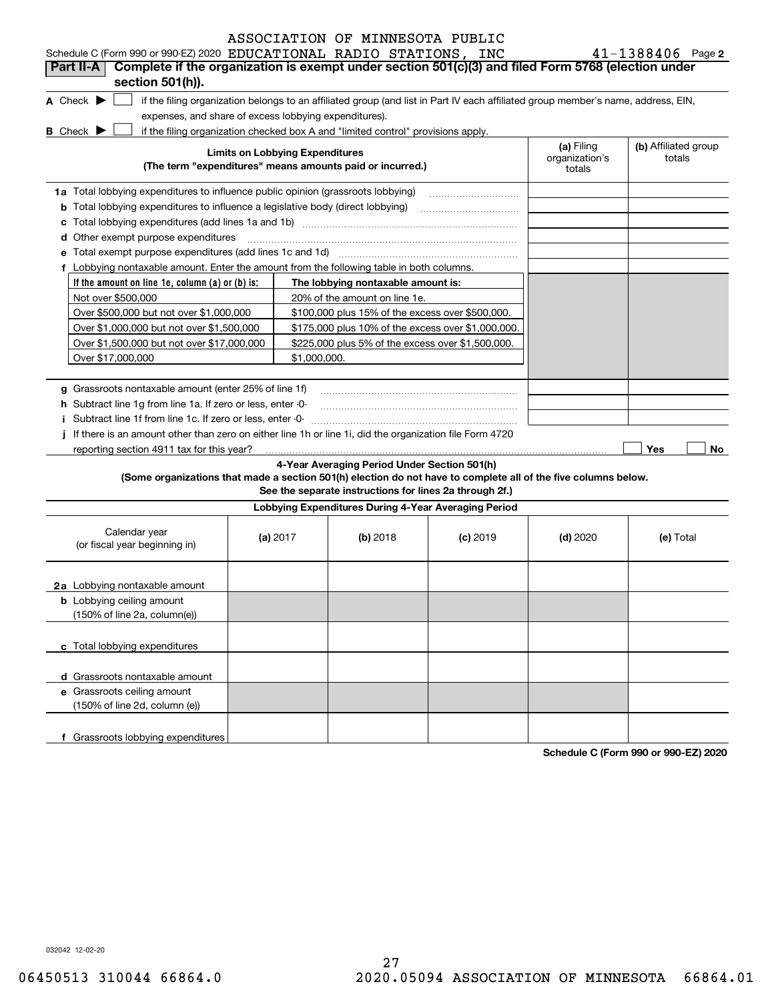| ASSOCIATION OF MINNESOTA PUBLIC |  |  |
|---------------------------------|--|--|
|                                 |  |  |

| 41-1388406 | Page 2 |
|------------|--------|
|------------|--------|

| Schedule C (Form 990 or 990-EZ) 2020 EDUCATIONAL RADIO STATIONS, INC                                                                                                                                                      |                                   |                                                      |            |                          | $41 - 1388406$ Page 2 |  |  |  |
|---------------------------------------------------------------------------------------------------------------------------------------------------------------------------------------------------------------------------|-----------------------------------|------------------------------------------------------|------------|--------------------------|-----------------------|--|--|--|
| Complete if the organization is exempt under section 501(c)(3) and filed Form 5768 (election under<br>Part II-A                                                                                                           |                                   |                                                      |            |                          |                       |  |  |  |
| section 501(h)).                                                                                                                                                                                                          |                                   |                                                      |            |                          |                       |  |  |  |
| A Check $\blacktriangleright$<br>if the filing organization belongs to an affiliated group (and list in Part IV each affiliated group member's name, address, EIN,                                                        |                                   |                                                      |            |                          |                       |  |  |  |
| expenses, and share of excess lobbying expenditures).                                                                                                                                                                     |                                   |                                                      |            |                          |                       |  |  |  |
| if the filing organization checked box A and "limited control" provisions apply.<br><b>B</b> Check $\blacktriangleright$<br>(a) Filing<br>(b) Affiliated group<br><b>Limits on Lobbying Expenditures</b>                  |                                   |                                                      |            |                          |                       |  |  |  |
| (The term "expenditures" means amounts paid or incurred.)                                                                                                                                                                 |                                   |                                                      |            | organization's<br>totals | totals                |  |  |  |
| 1a Total lobbying expenditures to influence public opinion (grassroots lobbying)                                                                                                                                          |                                   |                                                      |            |                          |                       |  |  |  |
| <b>b</b> Total lobbying expenditures to influence a legislative body (direct lobbying)                                                                                                                                    |                                   |                                                      |            |                          |                       |  |  |  |
|                                                                                                                                                                                                                           |                                   |                                                      |            |                          |                       |  |  |  |
| d Other exempt purpose expenditures                                                                                                                                                                                       |                                   |                                                      |            |                          |                       |  |  |  |
|                                                                                                                                                                                                                           |                                   |                                                      |            |                          |                       |  |  |  |
| f Lobbying nontaxable amount. Enter the amount from the following table in both columns.                                                                                                                                  |                                   |                                                      |            |                          |                       |  |  |  |
| If the amount on line 1e, column $(a)$ or $(b)$ is:                                                                                                                                                                       |                                   | The lobbying nontaxable amount is:                   |            |                          |                       |  |  |  |
| Not over \$500,000                                                                                                                                                                                                        |                                   | 20% of the amount on line 1e.                        |            |                          |                       |  |  |  |
| Over \$500,000 but not over \$1,000,000                                                                                                                                                                                   |                                   | \$100,000 plus 15% of the excess over \$500,000.     |            |                          |                       |  |  |  |
| Over \$1,000,000 but not over \$1,500,000                                                                                                                                                                                 |                                   | \$175,000 plus 10% of the excess over \$1,000,000.   |            |                          |                       |  |  |  |
| Over \$1,500,000 but not over \$17,000,000<br>\$225,000 plus 5% of the excess over \$1,500,000.                                                                                                                           |                                   |                                                      |            |                          |                       |  |  |  |
|                                                                                                                                                                                                                           | Over \$17,000,000<br>\$1,000,000. |                                                      |            |                          |                       |  |  |  |
|                                                                                                                                                                                                                           |                                   |                                                      |            |                          |                       |  |  |  |
| g Grassroots nontaxable amount (enter 25% of line 1f)<br>h Subtract line 1g from line 1a. If zero or less, enter -0-                                                                                                      |                                   |                                                      |            |                          |                       |  |  |  |
| Subtract line 1f from line 1c. If zero or less, enter 0                                                                                                                                                                   |                                   |                                                      |            |                          |                       |  |  |  |
| If there is an amount other than zero on either line 1h or line 1i, did the organization file Form 4720                                                                                                                   |                                   |                                                      |            |                          |                       |  |  |  |
| reporting section 4911 tax for this year?                                                                                                                                                                                 |                                   |                                                      |            |                          | Yes<br>No             |  |  |  |
|                                                                                                                                                                                                                           |                                   |                                                      |            |                          |                       |  |  |  |
| 4-Year Averaging Period Under Section 501(h)<br>(Some organizations that made a section 501(h) election do not have to complete all of the five columns below.<br>See the separate instructions for lines 2a through 2f.) |                                   |                                                      |            |                          |                       |  |  |  |
|                                                                                                                                                                                                                           |                                   | Lobbying Expenditures During 4-Year Averaging Period |            |                          |                       |  |  |  |
| Calendar year<br>(or fiscal year beginning in)                                                                                                                                                                            | (a) $2017$                        | (b) 2018                                             | $(c)$ 2019 | $(d)$ 2020               | (e) Total             |  |  |  |
| 2a Lobbying nontaxable amount                                                                                                                                                                                             |                                   |                                                      |            |                          |                       |  |  |  |
| <b>b</b> Lobbying ceiling amount<br>(150% of line 2a, column(e))                                                                                                                                                          |                                   |                                                      |            |                          |                       |  |  |  |
| c Total lobbying expenditures                                                                                                                                                                                             |                                   |                                                      |            |                          |                       |  |  |  |
| d Grassroots nontaxable amount                                                                                                                                                                                            |                                   |                                                      |            |                          |                       |  |  |  |
| e Grassroots ceiling amount<br>(150% of line 2d, column (e))                                                                                                                                                              |                                   |                                                      |            |                          |                       |  |  |  |
| f Grassroots lobbying expenditures                                                                                                                                                                                        |                                   |                                                      |            |                          |                       |  |  |  |

**Schedule C (Form 990 or 990-EZ) 2020**

032042 12-02-20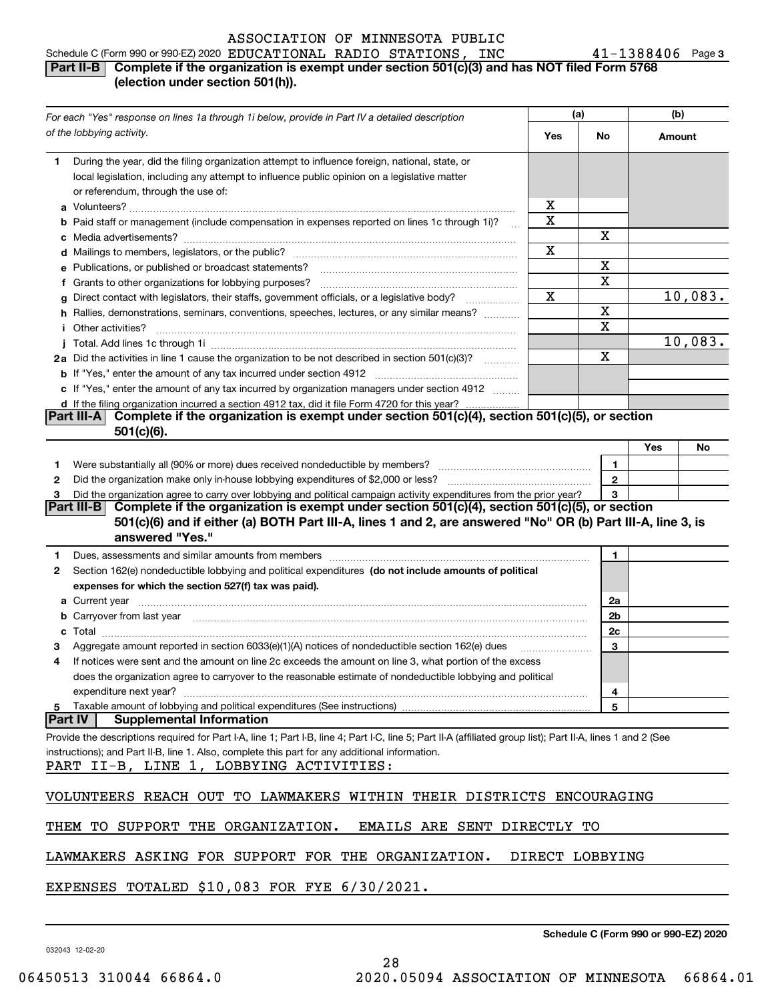## Schedule C (Form 990 or 990-EZ) 2020 Page EDUCATIONAL RADIO STATIONS, INC 41-1388406 **Part II-B** Complete if the organization is exempt under section 501(c)(3) and has NOT filed Form 5768 **(election under section 501(h)).**

| For each "Yes" response on lines 1a through 1i below, provide in Part IV a detailed description |                                                                                                                                                                                                                                                                                                                        |                 |                   | (b)    |         |  |  |  |  |
|-------------------------------------------------------------------------------------------------|------------------------------------------------------------------------------------------------------------------------------------------------------------------------------------------------------------------------------------------------------------------------------------------------------------------------|-----------------|-------------------|--------|---------|--|--|--|--|
|                                                                                                 | of the lobbying activity.                                                                                                                                                                                                                                                                                              | Yes             | No                | Amount |         |  |  |  |  |
| 1.                                                                                              | During the year, did the filing organization attempt to influence foreign, national, state, or<br>local legislation, including any attempt to influence public opinion on a legislative matter                                                                                                                         |                 |                   |        |         |  |  |  |  |
|                                                                                                 | or referendum, through the use of:                                                                                                                                                                                                                                                                                     | х               |                   |        |         |  |  |  |  |
|                                                                                                 |                                                                                                                                                                                                                                                                                                                        | $\mathbf X$     |                   |        |         |  |  |  |  |
|                                                                                                 | <b>b</b> Paid staff or management (include compensation in expenses reported on lines 1c through 1i)?<br>$\mathcal{L}_{\text{max}}$                                                                                                                                                                                    |                 | х                 |        |         |  |  |  |  |
|                                                                                                 |                                                                                                                                                                                                                                                                                                                        | X               |                   |        |         |  |  |  |  |
|                                                                                                 | e Publications, or published or broadcast statements?                                                                                                                                                                                                                                                                  |                 | Х                 |        |         |  |  |  |  |
|                                                                                                 | f Grants to other organizations for lobbying purposes?                                                                                                                                                                                                                                                                 |                 | $\mathbf X$       |        |         |  |  |  |  |
| g                                                                                               | Direct contact with legislators, their staffs, government officials, or a legislative body?                                                                                                                                                                                                                            | Χ               |                   |        | 10,083. |  |  |  |  |
|                                                                                                 | h Rallies, demonstrations, seminars, conventions, speeches, lectures, or any similar means?                                                                                                                                                                                                                            |                 | X                 |        |         |  |  |  |  |
|                                                                                                 | <i>i</i> Other activities?                                                                                                                                                                                                                                                                                             |                 | $\mathbf x$       |        |         |  |  |  |  |
|                                                                                                 |                                                                                                                                                                                                                                                                                                                        |                 |                   |        | 10,083. |  |  |  |  |
|                                                                                                 | 2a Did the activities in line 1 cause the organization to be not described in section 501(c)(3)?                                                                                                                                                                                                                       |                 | X                 |        |         |  |  |  |  |
|                                                                                                 |                                                                                                                                                                                                                                                                                                                        |                 |                   |        |         |  |  |  |  |
|                                                                                                 | c If "Yes," enter the amount of any tax incurred by organization managers under section 4912                                                                                                                                                                                                                           |                 |                   |        |         |  |  |  |  |
|                                                                                                 | d If the filing organization incurred a section 4912 tax, did it file Form 4720 for this year?                                                                                                                                                                                                                         |                 |                   |        |         |  |  |  |  |
|                                                                                                 | Complete if the organization is exempt under section 501(c)(4), section 501(c)(5), or section<br> Part III-A                                                                                                                                                                                                           |                 |                   |        |         |  |  |  |  |
|                                                                                                 | $501(c)(6)$ .                                                                                                                                                                                                                                                                                                          |                 |                   | Yes    | No      |  |  |  |  |
|                                                                                                 |                                                                                                                                                                                                                                                                                                                        |                 |                   |        |         |  |  |  |  |
| 1                                                                                               |                                                                                                                                                                                                                                                                                                                        |                 | 1                 |        |         |  |  |  |  |
| 2<br>3                                                                                          | Did the organization agree to carry over lobbying and political campaign activity expenditures from the prior year?                                                                                                                                                                                                    |                 | $\mathbf{2}$<br>3 |        |         |  |  |  |  |
|                                                                                                 | Part III-B Complete if the organization is exempt under section $501(c)(4)$ , section $501(c)(5)$ , or section<br>501(c)(6) and if either (a) BOTH Part III-A, lines 1 and 2, are answered "No" OR (b) Part III-A, line 3, is<br>answered "Yes."                                                                       |                 |                   |        |         |  |  |  |  |
|                                                                                                 |                                                                                                                                                                                                                                                                                                                        |                 | 1                 |        |         |  |  |  |  |
| 1<br>2                                                                                          | Dues, assessments and similar amounts from members [111] www.communicallyness.communicallyness.communicallyness.com                                                                                                                                                                                                    |                 |                   |        |         |  |  |  |  |
|                                                                                                 | Section 162(e) nondeductible lobbying and political expenditures (do not include amounts of political<br>expenses for which the section 527(f) tax was paid).                                                                                                                                                          |                 |                   |        |         |  |  |  |  |
|                                                                                                 |                                                                                                                                                                                                                                                                                                                        |                 |                   |        |         |  |  |  |  |
|                                                                                                 |                                                                                                                                                                                                                                                                                                                        |                 | 2a                |        |         |  |  |  |  |
|                                                                                                 | <b>b</b> Carryover from last year                                                                                                                                                                                                                                                                                      |                 | 2b                |        |         |  |  |  |  |
| c                                                                                               | $\textbf{Total} \textcolor{red}{x_1 x_2 x_3 x_4 x_5 x_6 x_7 x_8 x_9 x_1 x_2 x_3 x_4 x_5 x_6 x_7 x_8 x_9 x_1 x_2 x_3 x_4 x_5 x_6 x_7 x_8 x_9 x_1 x_2 x_3 x_4 x_5 x_6 x_7 x_8 x_9 x_1 x_2 x_3 x_4 x_5 x_6 x_7 x_8 x_9 x_1 x_2 x_3 x_4 x_5 x_6 x_7 x_8 x_9 x_1 x_2 x_3 x_4 x_5 x_6 x_7 x_8 x_9 x_1 x_2 x_3 x_4 x_5 x_6 x$ |                 | 2c                |        |         |  |  |  |  |
|                                                                                                 | Aggregate amount reported in section 6033(e)(1)(A) notices of nondeductible section 162(e) dues                                                                                                                                                                                                                        |                 | 3                 |        |         |  |  |  |  |
| 4                                                                                               | If notices were sent and the amount on line 2c exceeds the amount on line 3, what portion of the excess                                                                                                                                                                                                                |                 |                   |        |         |  |  |  |  |
|                                                                                                 | does the organization agree to carryover to the reasonable estimate of nondeductible lobbying and political                                                                                                                                                                                                            |                 | $\overline{4}$    |        |         |  |  |  |  |
|                                                                                                 | expenditure next year?                                                                                                                                                                                                                                                                                                 |                 |                   |        |         |  |  |  |  |
| 5<br> Part IV                                                                                   | Taxable amount of lobbying and political expenditures (See instructions)<br><b>Supplemental Information</b>                                                                                                                                                                                                            |                 | 5                 |        |         |  |  |  |  |
|                                                                                                 |                                                                                                                                                                                                                                                                                                                        |                 |                   |        |         |  |  |  |  |
|                                                                                                 | Provide the descriptions required for Part I-A, line 1; Part I-B, line 4; Part I-C, line 5; Part II-A (affiliated group list); Part II-A, lines 1 and 2 (See                                                                                                                                                           |                 |                   |        |         |  |  |  |  |
|                                                                                                 | instructions); and Part II-B, line 1. Also, complete this part for any additional information.<br>PART II-B, LINE 1, LOBBYING ACTIVITIES:                                                                                                                                                                              |                 |                   |        |         |  |  |  |  |
|                                                                                                 | VOLUNTEERS REACH OUT TO LAWMAKERS WITHIN THEIR DISTRICTS ENCOURAGING                                                                                                                                                                                                                                                   |                 |                   |        |         |  |  |  |  |
|                                                                                                 | THEM TO SUPPORT THE ORGANIZATION.<br>EMAILS ARE SENT DIRECTLY TO                                                                                                                                                                                                                                                       |                 |                   |        |         |  |  |  |  |
|                                                                                                 | LAWMAKERS ASKING FOR SUPPORT FOR THE ORGANIZATION.                                                                                                                                                                                                                                                                     | DIRECT LOBBYING |                   |        |         |  |  |  |  |
|                                                                                                 | EXPENSES TOTALED \$10,083 FOR FYE 6/30/2021.                                                                                                                                                                                                                                                                           |                 |                   |        |         |  |  |  |  |
|                                                                                                 |                                                                                                                                                                                                                                                                                                                        |                 |                   |        |         |  |  |  |  |

032043 12-02-20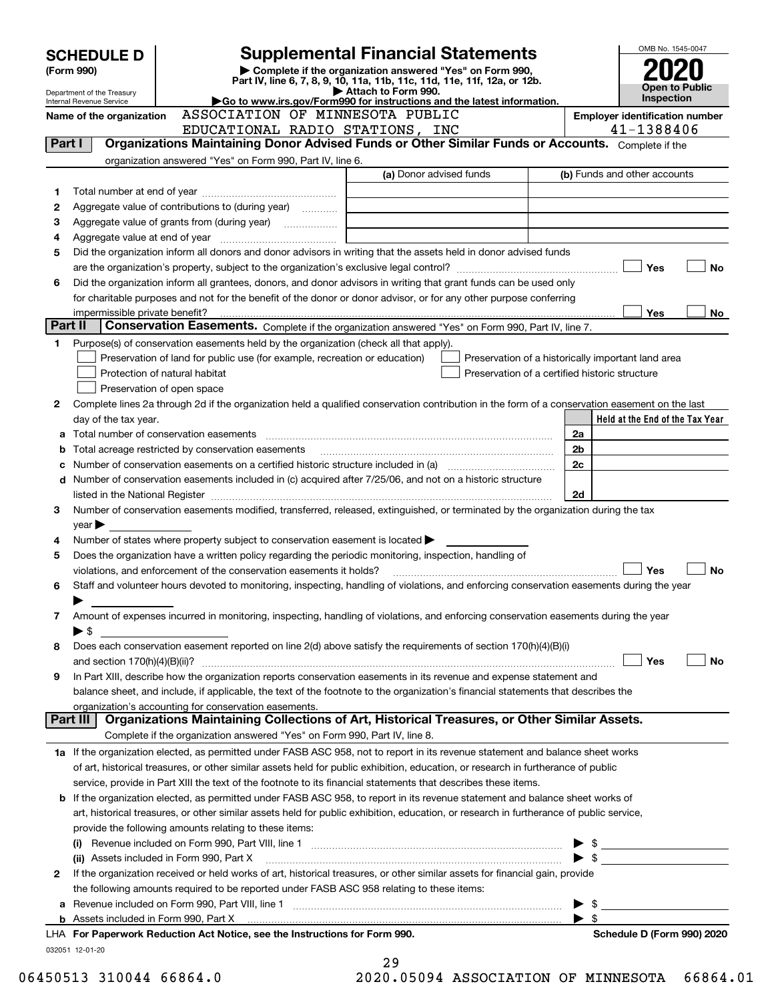|         | <b>Supplemental Financial Statements</b><br><b>SCHEDULE D</b>                                                                                      |                                                                                                                                                                                                                               |  |                                                                                                                                                                                                                                                                                                                                                                                                                                             |  |                                                    |  |                          | OMB No. 1545-0047                                   |                |     |
|---------|----------------------------------------------------------------------------------------------------------------------------------------------------|-------------------------------------------------------------------------------------------------------------------------------------------------------------------------------------------------------------------------------|--|---------------------------------------------------------------------------------------------------------------------------------------------------------------------------------------------------------------------------------------------------------------------------------------------------------------------------------------------------------------------------------------------------------------------------------------------|--|----------------------------------------------------|--|--------------------------|-----------------------------------------------------|----------------|-----|
|         | Complete if the organization answered "Yes" on Form 990,<br>(Form 990)<br>Part IV, line 6, 7, 8, 9, 10, 11a, 11b, 11c, 11d, 11e, 11f, 12a, or 12b. |                                                                                                                                                                                                                               |  |                                                                                                                                                                                                                                                                                                                                                                                                                                             |  |                                                    |  |                          |                                                     |                |     |
|         | Department of the Treasury                                                                                                                         |                                                                                                                                                                                                                               |  | Attach to Form 990.                                                                                                                                                                                                                                                                                                                                                                                                                         |  |                                                    |  |                          |                                                     | Open to Public |     |
|         | Internal Revenue Service                                                                                                                           |                                                                                                                                                                                                                               |  | Go to www.irs.gov/Form990 for instructions and the latest information.                                                                                                                                                                                                                                                                                                                                                                      |  |                                                    |  |                          |                                                     | Inspection     |     |
|         | Name of the organization                                                                                                                           |                                                                                                                                                                                                                               |  | ASSOCIATION OF MINNESOTA PUBLIC<br>EDUCATIONAL RADIO STATIONS, INC                                                                                                                                                                                                                                                                                                                                                                          |  |                                                    |  |                          | <b>Employer identification number</b><br>41-1388406 |                |     |
| Part I  |                                                                                                                                                    | Organizations Maintaining Donor Advised Funds or Other Similar Funds or Accounts. Complete if the                                                                                                                             |  |                                                                                                                                                                                                                                                                                                                                                                                                                                             |  |                                                    |  |                          |                                                     |                |     |
|         |                                                                                                                                                    | organization answered "Yes" on Form 990, Part IV, line 6.                                                                                                                                                                     |  |                                                                                                                                                                                                                                                                                                                                                                                                                                             |  |                                                    |  |                          |                                                     |                |     |
|         |                                                                                                                                                    |                                                                                                                                                                                                                               |  | (a) Donor advised funds                                                                                                                                                                                                                                                                                                                                                                                                                     |  |                                                    |  |                          | (b) Funds and other accounts                        |                |     |
| 1.      |                                                                                                                                                    |                                                                                                                                                                                                                               |  |                                                                                                                                                                                                                                                                                                                                                                                                                                             |  |                                                    |  |                          |                                                     |                |     |
| 2       |                                                                                                                                                    | Aggregate value of contributions to (during year)                                                                                                                                                                             |  |                                                                                                                                                                                                                                                                                                                                                                                                                                             |  |                                                    |  |                          |                                                     |                |     |
| 3       |                                                                                                                                                    | Aggregate value of grants from (during year)                                                                                                                                                                                  |  | the control of the control of the control of the control of the control of the control of                                                                                                                                                                                                                                                                                                                                                   |  |                                                    |  |                          |                                                     |                |     |
| 4       |                                                                                                                                                    |                                                                                                                                                                                                                               |  |                                                                                                                                                                                                                                                                                                                                                                                                                                             |  |                                                    |  |                          |                                                     |                |     |
| 5       | Did the organization inform all donors and donor advisors in writing that the assets held in donor advised funds                                   |                                                                                                                                                                                                                               |  |                                                                                                                                                                                                                                                                                                                                                                                                                                             |  |                                                    |  |                          |                                                     |                |     |
|         |                                                                                                                                                    |                                                                                                                                                                                                                               |  |                                                                                                                                                                                                                                                                                                                                                                                                                                             |  |                                                    |  |                          | Yes                                                 |                | No  |
| 6       |                                                                                                                                                    | Did the organization inform all grantees, donors, and donor advisors in writing that grant funds can be used only                                                                                                             |  |                                                                                                                                                                                                                                                                                                                                                                                                                                             |  |                                                    |  |                          |                                                     |                |     |
|         |                                                                                                                                                    | for charitable purposes and not for the benefit of the donor or donor advisor, or for any other purpose conferring                                                                                                            |  |                                                                                                                                                                                                                                                                                                                                                                                                                                             |  |                                                    |  |                          |                                                     |                |     |
| Part II | impermissible private benefit?                                                                                                                     | Conservation Easements. Complete if the organization answered "Yes" on Form 990, Part IV, line 7.                                                                                                                             |  |                                                                                                                                                                                                                                                                                                                                                                                                                                             |  |                                                    |  |                          | Yes                                                 |                | No. |
|         |                                                                                                                                                    |                                                                                                                                                                                                                               |  |                                                                                                                                                                                                                                                                                                                                                                                                                                             |  |                                                    |  |                          |                                                     |                |     |
| 1.      |                                                                                                                                                    | Purpose(s) of conservation easements held by the organization (check all that apply).<br>Preservation of land for public use (for example, recreation or education)                                                           |  |                                                                                                                                                                                                                                                                                                                                                                                                                                             |  | Preservation of a historically important land area |  |                          |                                                     |                |     |
|         |                                                                                                                                                    | Protection of natural habitat                                                                                                                                                                                                 |  |                                                                                                                                                                                                                                                                                                                                                                                                                                             |  | Preservation of a certified historic structure     |  |                          |                                                     |                |     |
|         |                                                                                                                                                    | Preservation of open space                                                                                                                                                                                                    |  |                                                                                                                                                                                                                                                                                                                                                                                                                                             |  |                                                    |  |                          |                                                     |                |     |
| 2       |                                                                                                                                                    | Complete lines 2a through 2d if the organization held a qualified conservation contribution in the form of a conservation easement on the last                                                                                |  |                                                                                                                                                                                                                                                                                                                                                                                                                                             |  |                                                    |  |                          |                                                     |                |     |
|         | day of the tax year.                                                                                                                               |                                                                                                                                                                                                                               |  |                                                                                                                                                                                                                                                                                                                                                                                                                                             |  |                                                    |  |                          | Held at the End of the Tax Year                     |                |     |
| а       |                                                                                                                                                    |                                                                                                                                                                                                                               |  |                                                                                                                                                                                                                                                                                                                                                                                                                                             |  |                                                    |  | 2a                       |                                                     |                |     |
| b       |                                                                                                                                                    | Total acreage restricted by conservation easements                                                                                                                                                                            |  |                                                                                                                                                                                                                                                                                                                                                                                                                                             |  |                                                    |  | 2 <sub>b</sub>           |                                                     |                |     |
| c       | 2c                                                                                                                                                 |                                                                                                                                                                                                                               |  |                                                                                                                                                                                                                                                                                                                                                                                                                                             |  |                                                    |  |                          |                                                     |                |     |
| d       |                                                                                                                                                    | Number of conservation easements included in (c) acquired after 7/25/06, and not on a historic structure                                                                                                                      |  |                                                                                                                                                                                                                                                                                                                                                                                                                                             |  |                                                    |  |                          |                                                     |                |     |
|         |                                                                                                                                                    | listed in the National Register [11, 1200] [12] The National Register [11, 1200] [12] The National Register [11, 1200] [12] The National Register [11, 1200] [12] The National Register [11, 1200] [12] The National Register |  |                                                                                                                                                                                                                                                                                                                                                                                                                                             |  |                                                    |  | 2d                       |                                                     |                |     |
| 3       |                                                                                                                                                    | Number of conservation easements modified, transferred, released, extinguished, or terminated by the organization during the tax                                                                                              |  |                                                                                                                                                                                                                                                                                                                                                                                                                                             |  |                                                    |  |                          |                                                     |                |     |
|         | $\gamma$ ear $\blacktriangleright$                                                                                                                 |                                                                                                                                                                                                                               |  |                                                                                                                                                                                                                                                                                                                                                                                                                                             |  |                                                    |  |                          |                                                     |                |     |
| 4       |                                                                                                                                                    | Number of states where property subject to conservation easement is located $\blacktriangleright$                                                                                                                             |  |                                                                                                                                                                                                                                                                                                                                                                                                                                             |  |                                                    |  |                          |                                                     |                |     |
| 5       |                                                                                                                                                    | Does the organization have a written policy regarding the periodic monitoring, inspection, handling of                                                                                                                        |  |                                                                                                                                                                                                                                                                                                                                                                                                                                             |  |                                                    |  |                          |                                                     |                |     |
|         |                                                                                                                                                    | violations, and enforcement of the conservation easements it holds?                                                                                                                                                           |  |                                                                                                                                                                                                                                                                                                                                                                                                                                             |  |                                                    |  |                          | Yes                                                 |                | No  |
| 6       |                                                                                                                                                    | Staff and volunteer hours devoted to monitoring, inspecting, handling of violations, and enforcing conservation easements during the year                                                                                     |  |                                                                                                                                                                                                                                                                                                                                                                                                                                             |  |                                                    |  |                          |                                                     |                |     |
|         |                                                                                                                                                    |                                                                                                                                                                                                                               |  |                                                                                                                                                                                                                                                                                                                                                                                                                                             |  |                                                    |  |                          |                                                     |                |     |
| 7       | $\blacktriangleright$ \$                                                                                                                           | Amount of expenses incurred in monitoring, inspecting, handling of violations, and enforcing conservation easements during the year                                                                                           |  |                                                                                                                                                                                                                                                                                                                                                                                                                                             |  |                                                    |  |                          |                                                     |                |     |
| 8       |                                                                                                                                                    | Does each conservation easement reported on line 2(d) above satisfy the requirements of section 170(h)(4)(B)(i)                                                                                                               |  |                                                                                                                                                                                                                                                                                                                                                                                                                                             |  |                                                    |  |                          |                                                     |                |     |
|         |                                                                                                                                                    |                                                                                                                                                                                                                               |  |                                                                                                                                                                                                                                                                                                                                                                                                                                             |  |                                                    |  |                          | Yes                                                 |                | No  |
| 9       |                                                                                                                                                    | In Part XIII, describe how the organization reports conservation easements in its revenue and expense statement and                                                                                                           |  |                                                                                                                                                                                                                                                                                                                                                                                                                                             |  |                                                    |  |                          |                                                     |                |     |
|         |                                                                                                                                                    | balance sheet, and include, if applicable, the text of the footnote to the organization's financial statements that describes the                                                                                             |  |                                                                                                                                                                                                                                                                                                                                                                                                                                             |  |                                                    |  |                          |                                                     |                |     |
|         |                                                                                                                                                    | organization's accounting for conservation easements.                                                                                                                                                                         |  |                                                                                                                                                                                                                                                                                                                                                                                                                                             |  |                                                    |  |                          |                                                     |                |     |
|         | Part III                                                                                                                                           | Organizations Maintaining Collections of Art, Historical Treasures, or Other Similar Assets.                                                                                                                                  |  |                                                                                                                                                                                                                                                                                                                                                                                                                                             |  |                                                    |  |                          |                                                     |                |     |
|         |                                                                                                                                                    | Complete if the organization answered "Yes" on Form 990, Part IV, line 8.                                                                                                                                                     |  |                                                                                                                                                                                                                                                                                                                                                                                                                                             |  |                                                    |  |                          |                                                     |                |     |
|         |                                                                                                                                                    | 1a If the organization elected, as permitted under FASB ASC 958, not to report in its revenue statement and balance sheet works                                                                                               |  |                                                                                                                                                                                                                                                                                                                                                                                                                                             |  |                                                    |  |                          |                                                     |                |     |
|         |                                                                                                                                                    | of art, historical treasures, or other similar assets held for public exhibition, education, or research in furtherance of public                                                                                             |  |                                                                                                                                                                                                                                                                                                                                                                                                                                             |  |                                                    |  |                          |                                                     |                |     |
|         |                                                                                                                                                    | service, provide in Part XIII the text of the footnote to its financial statements that describes these items.                                                                                                                |  |                                                                                                                                                                                                                                                                                                                                                                                                                                             |  |                                                    |  |                          |                                                     |                |     |
|         |                                                                                                                                                    | <b>b</b> If the organization elected, as permitted under FASB ASC 958, to report in its revenue statement and balance sheet works of                                                                                          |  |                                                                                                                                                                                                                                                                                                                                                                                                                                             |  |                                                    |  |                          |                                                     |                |     |
|         |                                                                                                                                                    | art, historical treasures, or other similar assets held for public exhibition, education, or research in furtherance of public service,                                                                                       |  |                                                                                                                                                                                                                                                                                                                                                                                                                                             |  |                                                    |  |                          |                                                     |                |     |
|         |                                                                                                                                                    | provide the following amounts relating to these items:                                                                                                                                                                        |  |                                                                                                                                                                                                                                                                                                                                                                                                                                             |  |                                                    |  |                          |                                                     |                |     |
|         |                                                                                                                                                    |                                                                                                                                                                                                                               |  |                                                                                                                                                                                                                                                                                                                                                                                                                                             |  |                                                    |  |                          |                                                     |                |     |
|         |                                                                                                                                                    | (ii) Assets included in Form 990, Part X                                                                                                                                                                                      |  | $\begin{minipage}{0.5\textwidth} \begin{tabular}{ l l l } \hline \multicolumn{1}{ l l l } \hline \multicolumn{1}{ l l } \multicolumn{1}{ l } \multicolumn{1}{ l } \multicolumn{1}{ l } \multicolumn{1}{ l } \multicolumn{1}{ l } \multicolumn{1}{ l } \multicolumn{1}{ l } \multicolumn{1}{ l } \multicolumn{1}{ l } \multicolumn{1}{ l } \multicolumn{1}{ l } \multicolumn{1}{ l } \multicolumn{1}{ l } \multicolumn{1}{ l } \multicolumn$ |  |                                                    |  | $\blacktriangleright$ \$ |                                                     |                |     |
| 2       |                                                                                                                                                    | If the organization received or held works of art, historical treasures, or other similar assets for financial gain, provide                                                                                                  |  |                                                                                                                                                                                                                                                                                                                                                                                                                                             |  |                                                    |  |                          |                                                     |                |     |
|         |                                                                                                                                                    | the following amounts required to be reported under FASB ASC 958 relating to these items:                                                                                                                                     |  |                                                                                                                                                                                                                                                                                                                                                                                                                                             |  |                                                    |  |                          |                                                     |                |     |
|         |                                                                                                                                                    |                                                                                                                                                                                                                               |  |                                                                                                                                                                                                                                                                                                                                                                                                                                             |  |                                                    |  | \$<br>-\$                |                                                     |                |     |
|         |                                                                                                                                                    | LHA For Paperwork Reduction Act Notice, see the Instructions for Form 990.                                                                                                                                                    |  |                                                                                                                                                                                                                                                                                                                                                                                                                                             |  |                                                    |  |                          | Schedule D (Form 990) 2020                          |                |     |
|         | 032051 12-01-20                                                                                                                                    |                                                                                                                                                                                                                               |  |                                                                                                                                                                                                                                                                                                                                                                                                                                             |  |                                                    |  |                          |                                                     |                |     |
|         |                                                                                                                                                    |                                                                                                                                                                                                                               |  | 29                                                                                                                                                                                                                                                                                                                                                                                                                                          |  |                                                    |  |                          |                                                     |                |     |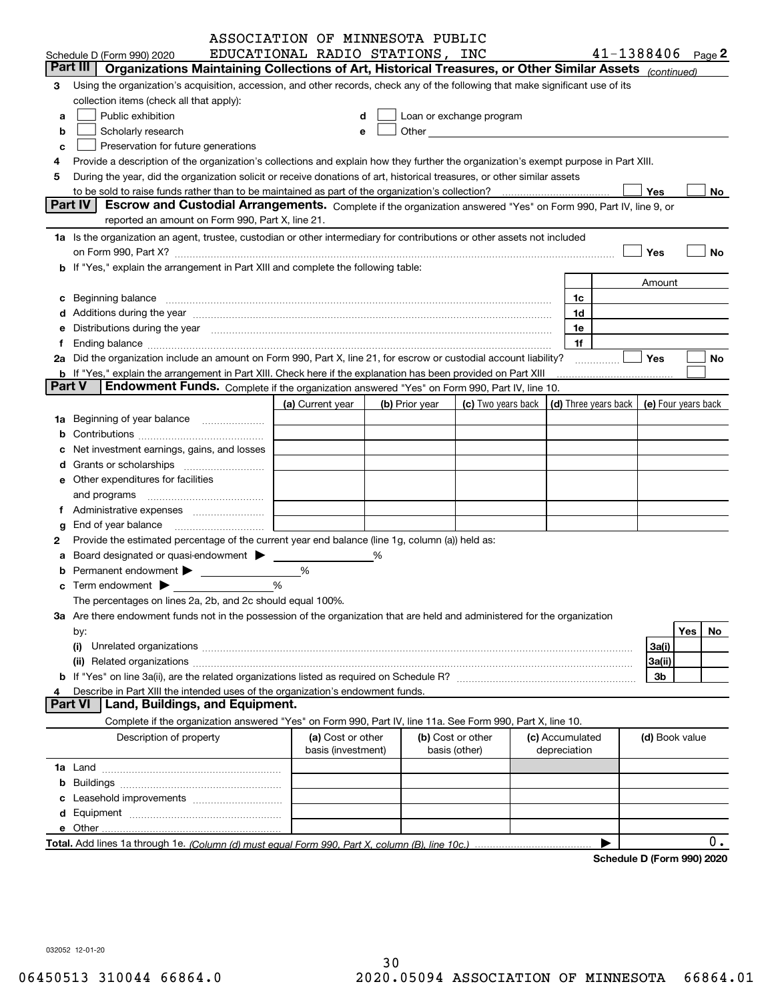|               |                                                                                                                                                                                                                                                          | ASSOCIATION OF MINNESOTA PUBLIC |   |                |                          |  |                 |                                            |                |     |    |
|---------------|----------------------------------------------------------------------------------------------------------------------------------------------------------------------------------------------------------------------------------------------------------|---------------------------------|---|----------------|--------------------------|--|-----------------|--------------------------------------------|----------------|-----|----|
|               | Schedule D (Form 990) 2020                                                                                                                                                                                                                               | EDUCATIONAL RADIO STATIONS, INC |   |                |                          |  |                 | $41 - 1388406$ Page 2                      |                |     |    |
|               | Organizations Maintaining Collections of Art, Historical Treasures, or Other Similar Assets (continued)<br>Part III                                                                                                                                      |                                 |   |                |                          |  |                 |                                            |                |     |    |
| 3             | Using the organization's acquisition, accession, and other records, check any of the following that make significant use of its                                                                                                                          |                                 |   |                |                          |  |                 |                                            |                |     |    |
|               | collection items (check all that apply):                                                                                                                                                                                                                 |                                 |   |                |                          |  |                 |                                            |                |     |    |
| a             | Public exhibition                                                                                                                                                                                                                                        |                                 | d |                | Loan or exchange program |  |                 |                                            |                |     |    |
| b             | Other and the contract of the contract of the contract of the contract of the contract of the contract of the contract of the contract of the contract of the contract of the contract of the contract of the contract of the<br>Scholarly research<br>e |                                 |   |                |                          |  |                 |                                            |                |     |    |
| c             | Preservation for future generations                                                                                                                                                                                                                      |                                 |   |                |                          |  |                 |                                            |                |     |    |
|               | Provide a description of the organization's collections and explain how they further the organization's exempt purpose in Part XIII.                                                                                                                     |                                 |   |                |                          |  |                 |                                            |                |     |    |
| 5             | During the year, did the organization solicit or receive donations of art, historical treasures, or other similar assets                                                                                                                                 |                                 |   |                |                          |  |                 |                                            |                |     |    |
|               |                                                                                                                                                                                                                                                          |                                 |   |                |                          |  |                 |                                            | Yes            |     | No |
|               | <b>Part IV</b><br>Escrow and Custodial Arrangements. Complete if the organization answered "Yes" on Form 990, Part IV, line 9, or                                                                                                                        |                                 |   |                |                          |  |                 |                                            |                |     |    |
|               | reported an amount on Form 990, Part X, line 21.                                                                                                                                                                                                         |                                 |   |                |                          |  |                 |                                            |                |     |    |
|               | 1a Is the organization an agent, trustee, custodian or other intermediary for contributions or other assets not included                                                                                                                                 |                                 |   |                |                          |  |                 |                                            |                |     |    |
|               | on Form 990, Part X? [11] matter and the contract of the contract of the contract of the contract of the contract of the contract of the contract of the contract of the contract of the contract of the contract of the contr                           |                                 |   |                |                          |  |                 |                                            | Yes            |     | No |
|               | b If "Yes," explain the arrangement in Part XIII and complete the following table:                                                                                                                                                                       |                                 |   |                |                          |  |                 |                                            |                |     |    |
|               |                                                                                                                                                                                                                                                          |                                 |   |                |                          |  |                 |                                            | Amount         |     |    |
| c             | Beginning balance material content contracts and all the content of the content of the content of the content of the content of the content of the content of the content of the content of the content of the content of the                            |                                 |   |                |                          |  | 1c              |                                            |                |     |    |
|               |                                                                                                                                                                                                                                                          |                                 |   |                |                          |  | 1d              |                                            |                |     |    |
|               | Distributions during the year manufactured and continuum and continuum and continuum and continuum and continuum                                                                                                                                         |                                 |   |                |                          |  | 1e              |                                            |                |     |    |
|               |                                                                                                                                                                                                                                                          |                                 |   |                |                          |  | 1f              |                                            |                |     |    |
|               | 2a Did the organization include an amount on Form 990, Part X, line 21, for escrow or custodial account liability?                                                                                                                                       |                                 |   |                |                          |  |                 |                                            | <b>Yes</b>     |     | No |
|               | <b>b</b> If "Yes," explain the arrangement in Part XIII. Check here if the explanation has been provided on Part XIII                                                                                                                                    |                                 |   |                |                          |  |                 |                                            |                |     |    |
| <b>Part V</b> | <b>Endowment Funds.</b> Complete if the organization answered "Yes" on Form 990, Part IV, line 10.                                                                                                                                                       |                                 |   |                |                          |  |                 |                                            |                |     |    |
|               |                                                                                                                                                                                                                                                          | (a) Current year                |   | (b) Prior year | (c) Two years back       |  |                 | (d) Three years back   (e) Four years back |                |     |    |
| 1a            | Beginning of year balance                                                                                                                                                                                                                                |                                 |   |                |                          |  |                 |                                            |                |     |    |
|               |                                                                                                                                                                                                                                                          |                                 |   |                |                          |  |                 |                                            |                |     |    |
|               | Net investment earnings, gains, and losses                                                                                                                                                                                                               |                                 |   |                |                          |  |                 |                                            |                |     |    |
|               |                                                                                                                                                                                                                                                          |                                 |   |                |                          |  |                 |                                            |                |     |    |
|               | e Other expenditures for facilities                                                                                                                                                                                                                      |                                 |   |                |                          |  |                 |                                            |                |     |    |
|               |                                                                                                                                                                                                                                                          |                                 |   |                |                          |  |                 |                                            |                |     |    |
|               |                                                                                                                                                                                                                                                          |                                 |   |                |                          |  |                 |                                            |                |     |    |
| g             | End of year balance                                                                                                                                                                                                                                      |                                 |   |                |                          |  |                 |                                            |                |     |    |
| 2             | Provide the estimated percentage of the current year end balance (line 1g, column (a)) held as:                                                                                                                                                          |                                 |   |                |                          |  |                 |                                            |                |     |    |
|               | Board designated or quasi-endowment >                                                                                                                                                                                                                    |                                 | % |                |                          |  |                 |                                            |                |     |    |
|               |                                                                                                                                                                                                                                                          | %                               |   |                |                          |  |                 |                                            |                |     |    |
|               |                                                                                                                                                                                                                                                          | %                               |   |                |                          |  |                 |                                            |                |     |    |
|               | The percentages on lines 2a, 2b, and 2c should equal 100%.                                                                                                                                                                                               |                                 |   |                |                          |  |                 |                                            |                |     |    |
|               | 3a Are there endowment funds not in the possession of the organization that are held and administered for the organization                                                                                                                               |                                 |   |                |                          |  |                 |                                            |                |     |    |
|               | by:                                                                                                                                                                                                                                                      |                                 |   |                |                          |  |                 |                                            |                | Yes | No |
|               | (i)                                                                                                                                                                                                                                                      |                                 |   |                |                          |  |                 |                                            | 3a(i)          |     |    |
|               |                                                                                                                                                                                                                                                          |                                 |   |                |                          |  |                 |                                            | 3a(ii)         |     |    |
|               |                                                                                                                                                                                                                                                          |                                 |   |                |                          |  |                 |                                            | 3b             |     |    |
|               | Describe in Part XIII the intended uses of the organization's endowment funds.                                                                                                                                                                           |                                 |   |                |                          |  |                 |                                            |                |     |    |
|               | Land, Buildings, and Equipment.<br><b>Part VI</b>                                                                                                                                                                                                        |                                 |   |                |                          |  |                 |                                            |                |     |    |
|               | Complete if the organization answered "Yes" on Form 990, Part IV, line 11a. See Form 990, Part X, line 10.                                                                                                                                               |                                 |   |                |                          |  |                 |                                            |                |     |    |
|               | Description of property                                                                                                                                                                                                                                  | (a) Cost or other               |   |                | (b) Cost or other        |  | (c) Accumulated |                                            | (d) Book value |     |    |
|               |                                                                                                                                                                                                                                                          | basis (investment)              |   |                | basis (other)            |  | depreciation    |                                            |                |     |    |
|               |                                                                                                                                                                                                                                                          |                                 |   |                |                          |  |                 |                                            |                |     |    |
| b             |                                                                                                                                                                                                                                                          |                                 |   |                |                          |  |                 |                                            |                |     |    |
|               |                                                                                                                                                                                                                                                          |                                 |   |                |                          |  |                 |                                            |                |     |    |
|               |                                                                                                                                                                                                                                                          |                                 |   |                |                          |  |                 |                                            |                |     |    |
|               |                                                                                                                                                                                                                                                          |                                 |   |                |                          |  |                 |                                            |                |     |    |
|               |                                                                                                                                                                                                                                                          |                                 |   |                |                          |  |                 |                                            |                |     | 0. |
|               |                                                                                                                                                                                                                                                          |                                 |   |                |                          |  |                 | Schedule D (Form 990) 2020                 |                |     |    |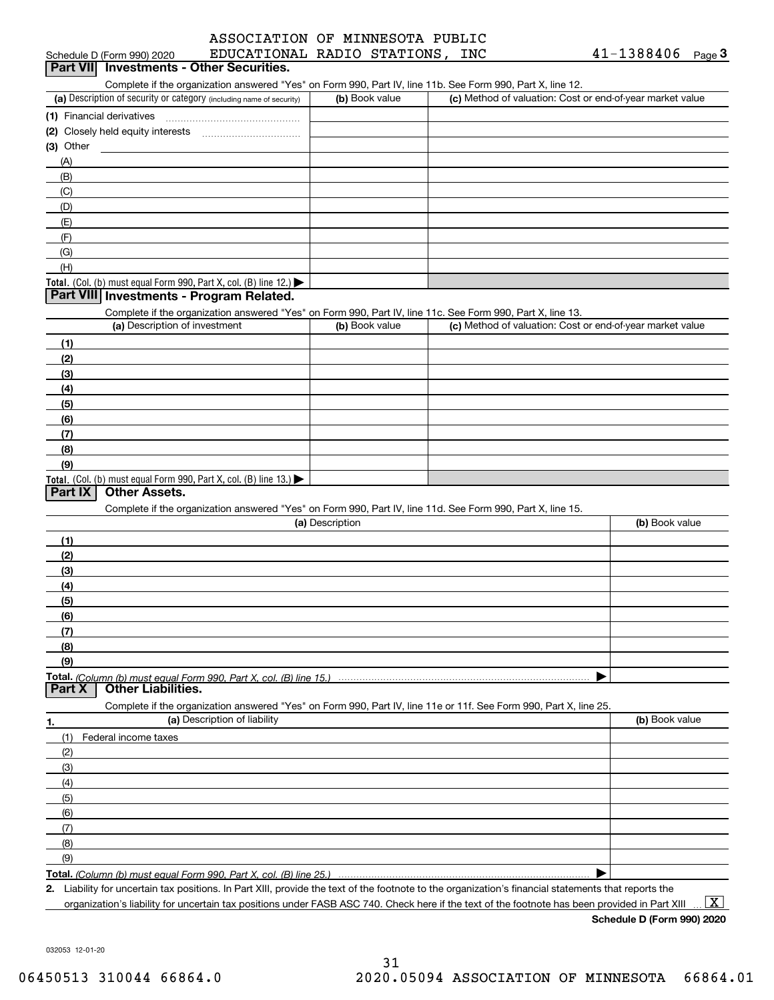## Schedule D (Form 990) 2020 EDUCATIONAL RADIO STATIONS , INC 4 $1\text{--}1388406$  Page Schedule D (Form 990) 2020 **EDUCATIONAL RADIO STATIONS, INC** 41-1388406 Page 3<br>**Part VII Investments - Other Securities.** ASSOCIATION OF MINNESOTA PUBLIC

Complete if the organization answered "Yes" on Form 990, Part IV, line 11b. See Form 990, Part X, line 12.

| (a) Description of security or category (including name of security) | (b) Book value | (c) Method of valuation: Cost or end-of-year market value |
|----------------------------------------------------------------------|----------------|-----------------------------------------------------------|
| (1) Financial derivatives                                            |                |                                                           |
| (2) Closely held equity interests                                    |                |                                                           |
| $(3)$ Other                                                          |                |                                                           |
| (A)                                                                  |                |                                                           |
| (B)                                                                  |                |                                                           |
| (C)                                                                  |                |                                                           |
| (D)                                                                  |                |                                                           |
| (E)                                                                  |                |                                                           |
| (F)                                                                  |                |                                                           |
| (G)                                                                  |                |                                                           |
| (H)                                                                  |                |                                                           |
| Total. (Col. (b) must equal Form 990, Part X, col. (B) line 12.)     |                |                                                           |

## **Part VIII Investments - Program Related.**

Complete if the organization answered "Yes" on Form 990, Part IV, line 11c. See Form 990, Part X, line 13.

| (a) Description of investment                                       | (b) Book value | (c) Method of valuation: Cost or end-of-year market value |
|---------------------------------------------------------------------|----------------|-----------------------------------------------------------|
| (1)                                                                 |                |                                                           |
| (2)                                                                 |                |                                                           |
| $\frac{1}{2}$                                                       |                |                                                           |
| (4)                                                                 |                |                                                           |
| $\frac{1}{2}$                                                       |                |                                                           |
| (6)                                                                 |                |                                                           |
| (7)                                                                 |                |                                                           |
| (8)                                                                 |                |                                                           |
| (9)                                                                 |                |                                                           |
| Total. (Col. (b) must equal Form 990, Part X, col. (B) line $13$ .) |                |                                                           |

## **Part IX Other Assets.**

Complete if the organization answered "Yes" on Form 990, Part IV, line 11d. See Form 990, Part X, line 15.

|               | (a) Description                                                                                                   | (b) Book value |
|---------------|-------------------------------------------------------------------------------------------------------------------|----------------|
| (1)           |                                                                                                                   |                |
| (2)           |                                                                                                                   |                |
| $\frac{1}{2}$ |                                                                                                                   |                |
| (4)           |                                                                                                                   |                |
| (5)           |                                                                                                                   |                |
| (6)           |                                                                                                                   |                |
| (7)           |                                                                                                                   |                |
| (8)           |                                                                                                                   |                |
| (9)           |                                                                                                                   |                |
|               |                                                                                                                   |                |
| Part X        | Other Liabilities.                                                                                                |                |
|               | Complete if the organization answered "Yes" on Form 990, Part IV, line 11e or 11f. See Form 990, Part X, line 25. |                |

| 1.            | (a) Description of liability | (b) Book value |
|---------------|------------------------------|----------------|
| (1)           | Federal income taxes         |                |
| (2)           |                              |                |
| $\frac{1}{2}$ |                              |                |
| (4)           |                              |                |
| (5)           |                              |                |
| (6)           |                              |                |
| (7)           |                              |                |
| (8)           |                              |                |
| (9)           |                              |                |
|               |                              |                |

*(Column (b) must equal Form 990, Part X, col. (B) line 25.)* 

**2.**Liability for uncertain tax positions. In Part XIII, provide the text of the footnote to the organization's financial statements that reports the organization's liability for uncertain tax positions under FASB ASC 740. Check here if the text of the footnote has been provided in Part XIII  $\boxed{\text{X}}$ 

**Schedule D (Form 990) 2020**

032053 12-01-20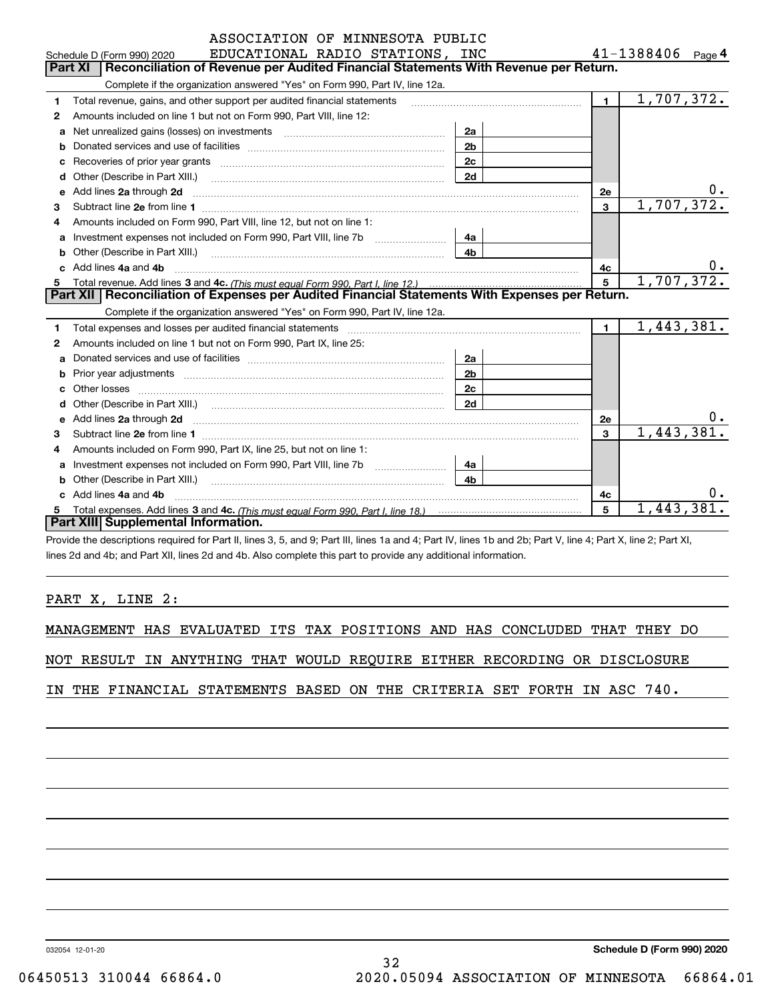|    | ASSOCIATION OF MINNESOTA PUBLIC                                                                                                                                                                                                     |                |                |                       |
|----|-------------------------------------------------------------------------------------------------------------------------------------------------------------------------------------------------------------------------------------|----------------|----------------|-----------------------|
|    | EDUCATIONAL RADIO STATIONS, INC<br>Schedule D (Form 990) 2020                                                                                                                                                                       |                |                | $41 - 1388406$ Page 4 |
|    | Reconciliation of Revenue per Audited Financial Statements With Revenue per Return.<br>Part XI                                                                                                                                      |                |                |                       |
|    | Complete if the organization answered "Yes" on Form 990, Part IV, line 12a.                                                                                                                                                         |                |                |                       |
| 1  | Total revenue, gains, and other support per audited financial statements                                                                                                                                                            |                | $\mathbf{1}$   | 1,707,372.            |
| 2  | Amounts included on line 1 but not on Form 990, Part VIII, line 12:                                                                                                                                                                 |                |                |                       |
| a  | Net unrealized gains (losses) on investments [111] [12] matter and all the values of the values of the values                                                                                                                       | 2a             |                |                       |
| b  |                                                                                                                                                                                                                                     | 2 <sub>b</sub> |                |                       |
|    |                                                                                                                                                                                                                                     | 2c             |                |                       |
|    | Other (Describe in Part XIII.) <b>Construction Contract Construction</b> Chemical Construction Chemical Chemical Chemical Chemical Chemical Chemical Chemical Chemical Chemical Chemical Chemical Chemical Chemical Chemical Chemic | 2d             |                |                       |
| е  | Add lines 2a through 2d                                                                                                                                                                                                             |                | <b>2e</b>      | 0.                    |
| 3  |                                                                                                                                                                                                                                     |                | $\overline{3}$ | 1,707,372.            |
| 4  | Amounts included on Form 990, Part VIII, line 12, but not on line 1:                                                                                                                                                                |                |                |                       |
| a  |                                                                                                                                                                                                                                     | 4a             |                |                       |
| b  | Other (Describe in Part XIII.) <b>Construction Contract Construction</b> Chern Construction Chern Chern Chern Chern Chern Chern Chern Chern Chern Chern Chern Chern Chern Chern Chern Chern Chern Chern Chern Chern Chern Chern Che | 4 <sub>b</sub> |                |                       |
| C. | Add lines 4a and 4b                                                                                                                                                                                                                 |                | 4с             | υ.                    |
|    |                                                                                                                                                                                                                                     |                | 5              | 1,707,372.            |
|    | Part XII   Reconciliation of Expenses per Audited Financial Statements With Expenses per Return.                                                                                                                                    |                |                |                       |
|    | Complete if the organization answered "Yes" on Form 990, Part IV, line 12a.                                                                                                                                                         |                |                |                       |
| 1  | Total expenses and losses per audited financial statements                                                                                                                                                                          |                | $\blacksquare$ | 1,443,381.            |
| 2  | Amounts included on line 1 but not on Form 990, Part IX, line 25:                                                                                                                                                                   |                |                |                       |
| a  |                                                                                                                                                                                                                                     | 2a             |                |                       |
| b  |                                                                                                                                                                                                                                     | 2 <sub>b</sub> |                |                       |
|    |                                                                                                                                                                                                                                     | 2c             |                |                       |
|    |                                                                                                                                                                                                                                     | 2d             |                |                       |
| е  | Add lines 2a through 2d <b>contained a contained a contained a contained a</b> contained a contained a contained a contained a contained a contained a contained a contained a contained a contained a contained a contained a cont |                | 2e             | 0.                    |
| 3  |                                                                                                                                                                                                                                     |                | 3              | 1,443,381.            |
| 4  | Amounts included on Form 990, Part IX, line 25, but not on line 1:                                                                                                                                                                  |                |                |                       |
|    |                                                                                                                                                                                                                                     | 4a             |                |                       |
| b  |                                                                                                                                                                                                                                     | 4 <sub>h</sub> |                |                       |
| C  | Add lines 4a and 4b                                                                                                                                                                                                                 |                | 4c             |                       |
|    |                                                                                                                                                                                                                                     |                | 5              | 1,443,381.            |
|    | Part XIII Supplemental Information.                                                                                                                                                                                                 |                |                |                       |
|    |                                                                                                                                                                                                                                     |                |                |                       |

Provide the descriptions required for Part II, lines 3, 5, and 9; Part III, lines 1a and 4; Part IV, lines 1b and 2b; Part V, line 4; Part X, line 2; Part XI, lines 2d and 4b; and Part XII, lines 2d and 4b. Also complete this part to provide any additional information.

## PART X, LINE 2:

MANAGEMENT HAS EVALUATED ITS TAX POSITIONS AND HAS CONCLUDED THAT THEY DO

NOT RESULT IN ANYTHING THAT WOULD REQUIRE EITHER RECORDING OR DISCLOSURE

IN THE FINANCIAL STATEMENTS BASED ON THE CRITERIA SET FORTH IN ASC 740.

032054 12-01-20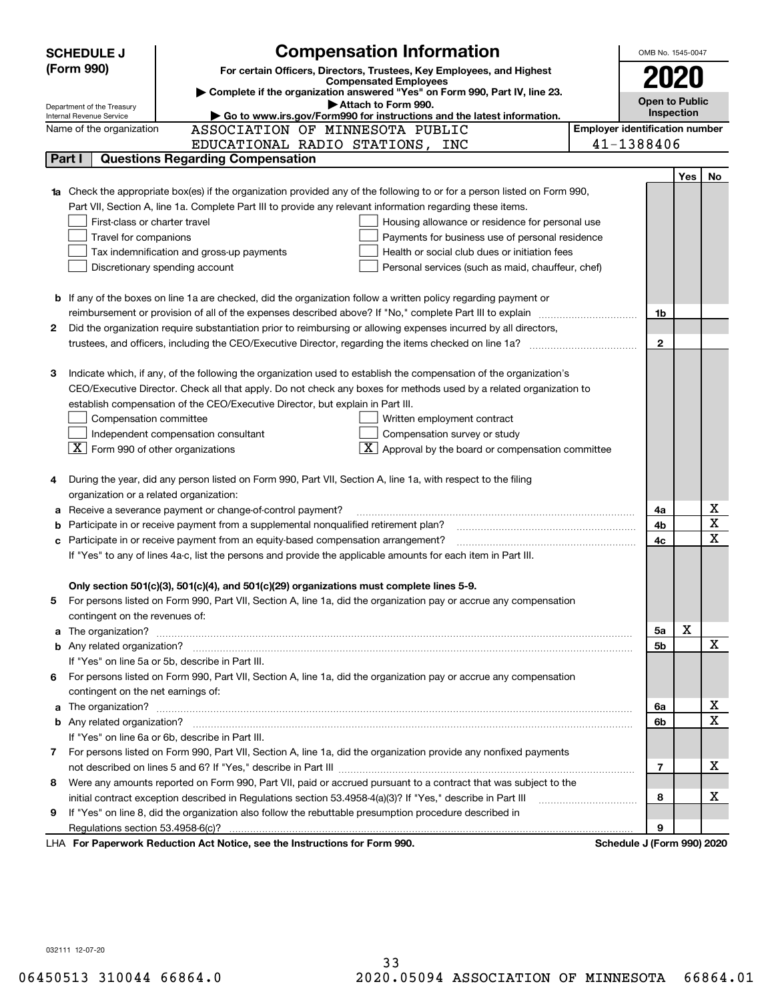|    | <b>SCHEDULE J</b>                                                                   | <b>Compensation Information</b>                                                                                                                                                                                                      |                                       | OMB No. 1545-0047          |     |                              |
|----|-------------------------------------------------------------------------------------|--------------------------------------------------------------------------------------------------------------------------------------------------------------------------------------------------------------------------------------|---------------------------------------|----------------------------|-----|------------------------------|
|    | (Form 990)<br>For certain Officers, Directors, Trustees, Key Employees, and Highest |                                                                                                                                                                                                                                      |                                       |                            |     |                              |
|    |                                                                                     | <b>Compensated Employees</b>                                                                                                                                                                                                         |                                       |                            |     |                              |
|    |                                                                                     | Complete if the organization answered "Yes" on Form 990, Part IV, line 23.                                                                                                                                                           |                                       | <b>Open to Public</b>      |     |                              |
|    | Department of the Treasury<br>Internal Revenue Service                              | Attach to Form 990.<br>Go to www.irs.gov/Form990 for instructions and the latest information.                                                                                                                                        |                                       | Inspection                 |     |                              |
|    | Name of the organization                                                            | ASSOCIATION OF MINNESOTA PUBLIC                                                                                                                                                                                                      | <b>Employer identification number</b> |                            |     |                              |
|    |                                                                                     | EDUCATIONAL RADIO STATIONS, INC                                                                                                                                                                                                      |                                       | 41-1388406                 |     |                              |
|    | Part I                                                                              | <b>Questions Regarding Compensation</b>                                                                                                                                                                                              |                                       |                            |     |                              |
|    |                                                                                     |                                                                                                                                                                                                                                      |                                       |                            | Yes | No                           |
|    |                                                                                     | 1a Check the appropriate box(es) if the organization provided any of the following to or for a person listed on Form 990,                                                                                                            |                                       |                            |     |                              |
|    |                                                                                     | Part VII, Section A, line 1a. Complete Part III to provide any relevant information regarding these items.                                                                                                                           |                                       |                            |     |                              |
|    | First-class or charter travel                                                       | Housing allowance or residence for personal use                                                                                                                                                                                      |                                       |                            |     |                              |
|    | Travel for companions                                                               | Payments for business use of personal residence                                                                                                                                                                                      |                                       |                            |     |                              |
|    |                                                                                     | Tax indemnification and gross-up payments<br>Health or social club dues or initiation fees                                                                                                                                           |                                       |                            |     |                              |
|    |                                                                                     | Discretionary spending account<br>Personal services (such as maid, chauffeur, chef)                                                                                                                                                  |                                       |                            |     |                              |
|    |                                                                                     |                                                                                                                                                                                                                                      |                                       |                            |     |                              |
|    |                                                                                     | <b>b</b> If any of the boxes on line 1a are checked, did the organization follow a written policy regarding payment or                                                                                                               |                                       |                            |     |                              |
|    |                                                                                     | reimbursement or provision of all of the expenses described above? If "No," complete Part III to explain                                                                                                                             |                                       | 1b                         |     |                              |
| 2  |                                                                                     | Did the organization require substantiation prior to reimbursing or allowing expenses incurred by all directors,                                                                                                                     |                                       |                            |     |                              |
|    |                                                                                     |                                                                                                                                                                                                                                      |                                       | $\mathbf{2}$               |     |                              |
|    |                                                                                     |                                                                                                                                                                                                                                      |                                       |                            |     |                              |
| 3  |                                                                                     | Indicate which, if any, of the following the organization used to establish the compensation of the organization's                                                                                                                   |                                       |                            |     |                              |
|    |                                                                                     | CEO/Executive Director. Check all that apply. Do not check any boxes for methods used by a related organization to                                                                                                                   |                                       |                            |     |                              |
|    |                                                                                     | establish compensation of the CEO/Executive Director, but explain in Part III.                                                                                                                                                       |                                       |                            |     |                              |
|    | Compensation committee                                                              | Written employment contract                                                                                                                                                                                                          |                                       |                            |     |                              |
|    |                                                                                     | Compensation survey or study<br>Independent compensation consultant                                                                                                                                                                  |                                       |                            |     |                              |
|    | $\boxed{\textbf{X}}$ Form 990 of other organizations                                | Approval by the board or compensation committee                                                                                                                                                                                      |                                       |                            |     |                              |
|    |                                                                                     |                                                                                                                                                                                                                                      |                                       |                            |     |                              |
| 4  |                                                                                     | During the year, did any person listed on Form 990, Part VII, Section A, line 1a, with respect to the filing                                                                                                                         |                                       |                            |     |                              |
|    | organization or a related organization:                                             |                                                                                                                                                                                                                                      |                                       |                            |     |                              |
|    |                                                                                     | Receive a severance payment or change-of-control payment?                                                                                                                                                                            |                                       | 4a                         |     | x<br>$\overline{\mathbf{x}}$ |
|    |                                                                                     | Participate in or receive payment from a supplemental nonqualified retirement plan?                                                                                                                                                  |                                       | 4b                         |     | $\overline{\mathbf{x}}$      |
|    |                                                                                     | Participate in or receive payment from an equity-based compensation arrangement?                                                                                                                                                     |                                       | 4c                         |     |                              |
|    |                                                                                     | If "Yes" to any of lines 4a-c, list the persons and provide the applicable amounts for each item in Part III.                                                                                                                        |                                       |                            |     |                              |
|    |                                                                                     |                                                                                                                                                                                                                                      |                                       |                            |     |                              |
|    |                                                                                     | Only section 501(c)(3), 501(c)(4), and 501(c)(29) organizations must complete lines 5-9.                                                                                                                                             |                                       |                            |     |                              |
| 5. |                                                                                     | For persons listed on Form 990, Part VII, Section A, line 1a, did the organization pay or accrue any compensation                                                                                                                    |                                       |                            |     |                              |
|    | contingent on the revenues of:                                                      |                                                                                                                                                                                                                                      |                                       | 5а                         | х   |                              |
|    |                                                                                     | a The organization? <b>Entitled Strategies and Strategies and Strategies and Strategies and Strategies and Strategies and Strategies and Strategies and Strategies and Strategies and Strategies and Strategies and Strategies a</b> |                                       | 5b                         |     | X                            |
|    |                                                                                     | If "Yes" on line 5a or 5b, describe in Part III.                                                                                                                                                                                     |                                       |                            |     |                              |
|    |                                                                                     | 6 For persons listed on Form 990, Part VII, Section A, line 1a, did the organization pay or accrue any compensation                                                                                                                  |                                       |                            |     |                              |
|    | contingent on the net earnings of:                                                  |                                                                                                                                                                                                                                      |                                       |                            |     |                              |
|    |                                                                                     |                                                                                                                                                                                                                                      |                                       | 6a                         |     | <u>x</u>                     |
|    |                                                                                     |                                                                                                                                                                                                                                      |                                       | 6b                         |     | $\overline{\mathbf{x}}$      |
|    |                                                                                     | If "Yes" on line 6a or 6b, describe in Part III.                                                                                                                                                                                     |                                       |                            |     |                              |
|    |                                                                                     | 7 For persons listed on Form 990, Part VII, Section A, line 1a, did the organization provide any nonfixed payments                                                                                                                   |                                       |                            |     |                              |
|    |                                                                                     |                                                                                                                                                                                                                                      |                                       | 7                          |     | х                            |
| 8  |                                                                                     | Were any amounts reported on Form 990, Part VII, paid or accrued pursuant to a contract that was subject to the                                                                                                                      |                                       |                            |     |                              |
|    |                                                                                     | initial contract exception described in Regulations section 53.4958-4(a)(3)? If "Yes," describe in Part III                                                                                                                          |                                       | 8                          |     | х                            |
| 9  |                                                                                     | If "Yes" on line 8, did the organization also follow the rebuttable presumption procedure described in                                                                                                                               |                                       |                            |     |                              |
|    |                                                                                     |                                                                                                                                                                                                                                      |                                       | 9                          |     |                              |
|    |                                                                                     | LHA For Paperwork Reduction Act Notice, see the Instructions for Form 990.                                                                                                                                                           |                                       | Schedule J (Form 990) 2020 |     |                              |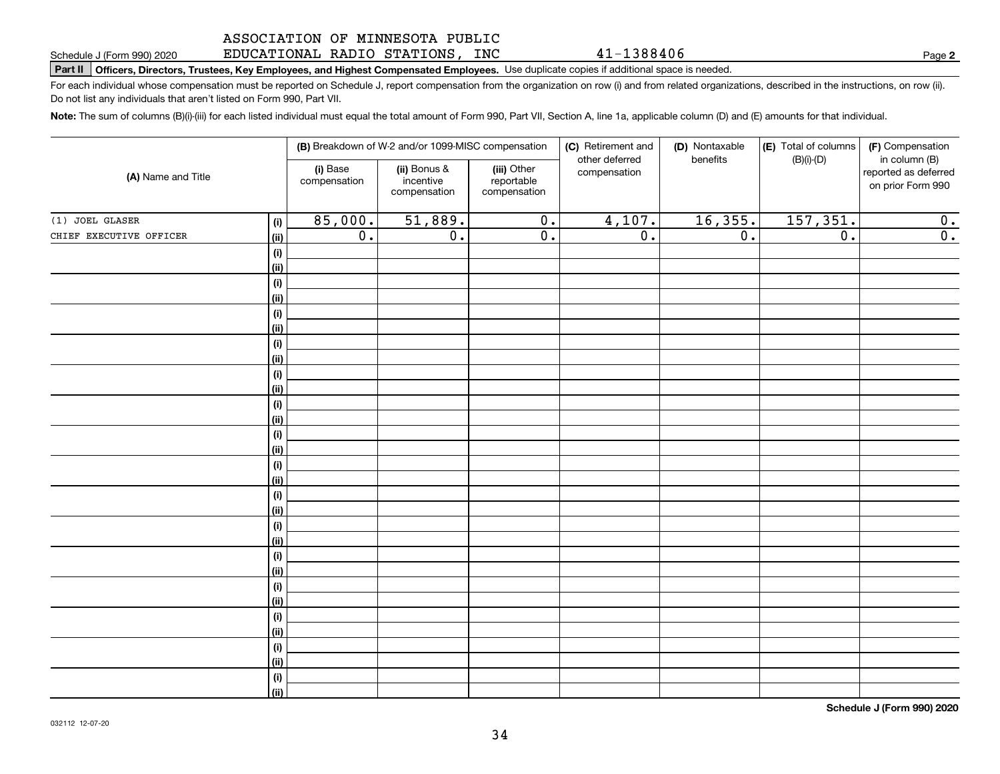# EDUCATIONAL RADIO STATIONS, INC

**2**

**Part II Officers, Directors, Trustees, Key Employees, and Highest Compensated Employees.**  Schedule J (Form 990) 2020 Page Use duplicate copies if additional space is needed.

For each individual whose compensation must be reported on Schedule J, report compensation from the organization on row (i) and from related organizations, described in the instructions, on row (ii). Do not list any individuals that aren't listed on Form 990, Part VII.

41-1388406

**Note:**  The sum of columns (B)(i)-(iii) for each listed individual must equal the total amount of Form 990, Part VII, Section A, line 1a, applicable column (D) and (E) amounts for that individual.

| (A) Name and Title      |                    | (B) Breakdown of W-2 and/or 1099-MISC compensation |                                           |                                           | (C) Retirement and<br>other deferred | (D) Nontaxable<br>benefits | (E) Total of columns<br>$(B)(i)-(D)$ | (F) Compensation<br>in column (B)         |
|-------------------------|--------------------|----------------------------------------------------|-------------------------------------------|-------------------------------------------|--------------------------------------|----------------------------|--------------------------------------|-------------------------------------------|
|                         |                    | (i) Base<br>compensation                           | (ii) Bonus &<br>incentive<br>compensation | (iii) Other<br>reportable<br>compensation | compensation                         |                            |                                      | reported as deferred<br>on prior Form 990 |
| (1) JOEL GLASER         | (i)                | 85,000.                                            | 51,889.                                   | 0.                                        | 4,107.                               | 16, 355.                   | 157, 351.                            | 0.                                        |
| CHIEF EXECUTIVE OFFICER | (ii)               | $\overline{0}$ .                                   | $\overline{0}$ .                          | $\overline{0}$ .                          | $\overline{0}$ .                     | $\overline{0}$ .           | $\overline{0}$ .                     | $\overline{0}$ .                          |
|                         | $(\sf{i})$         |                                                    |                                           |                                           |                                      |                            |                                      |                                           |
|                         | (ii)               |                                                    |                                           |                                           |                                      |                            |                                      |                                           |
|                         | $(\sf{i})$         |                                                    |                                           |                                           |                                      |                            |                                      |                                           |
|                         | (ii)               |                                                    |                                           |                                           |                                      |                            |                                      |                                           |
|                         | $(\sf{i})$         |                                                    |                                           |                                           |                                      |                            |                                      |                                           |
|                         | (ii)               |                                                    |                                           |                                           |                                      |                            |                                      |                                           |
|                         | $(\sf{i})$         |                                                    |                                           |                                           |                                      |                            |                                      |                                           |
|                         | (ii)               |                                                    |                                           |                                           |                                      |                            |                                      |                                           |
|                         | $(\sf{i})$<br>(ii) |                                                    |                                           |                                           |                                      |                            |                                      |                                           |
|                         | $(\sf{i})$         |                                                    |                                           |                                           |                                      |                            |                                      |                                           |
|                         | (ii)               |                                                    |                                           |                                           |                                      |                            |                                      |                                           |
|                         | $(\sf{i})$         |                                                    |                                           |                                           |                                      |                            |                                      |                                           |
|                         | (ii)               |                                                    |                                           |                                           |                                      |                            |                                      |                                           |
|                         | $(\sf{i})$         |                                                    |                                           |                                           |                                      |                            |                                      |                                           |
|                         | (ii)               |                                                    |                                           |                                           |                                      |                            |                                      |                                           |
|                         | $(\sf{i})$         |                                                    |                                           |                                           |                                      |                            |                                      |                                           |
|                         | (ii)               |                                                    |                                           |                                           |                                      |                            |                                      |                                           |
|                         | $(\sf{i})$         |                                                    |                                           |                                           |                                      |                            |                                      |                                           |
|                         | (ii)               |                                                    |                                           |                                           |                                      |                            |                                      |                                           |
|                         | $(\sf{i})$         |                                                    |                                           |                                           |                                      |                            |                                      |                                           |
|                         | (ii)               |                                                    |                                           |                                           |                                      |                            |                                      |                                           |
|                         | $(\sf{i})$         |                                                    |                                           |                                           |                                      |                            |                                      |                                           |
|                         | (ii)<br>$(\sf{i})$ |                                                    |                                           |                                           |                                      |                            |                                      |                                           |
|                         | (ii)               |                                                    |                                           |                                           |                                      |                            |                                      |                                           |
|                         | $(\sf{i})$         |                                                    |                                           |                                           |                                      |                            |                                      |                                           |
|                         | (ii)               |                                                    |                                           |                                           |                                      |                            |                                      |                                           |
|                         | $(\sf{i})$         |                                                    |                                           |                                           |                                      |                            |                                      |                                           |
|                         | (ii)               |                                                    |                                           |                                           |                                      |                            |                                      |                                           |
|                         |                    |                                                    |                                           |                                           |                                      |                            |                                      |                                           |

**Schedule J (Form 990) 2020**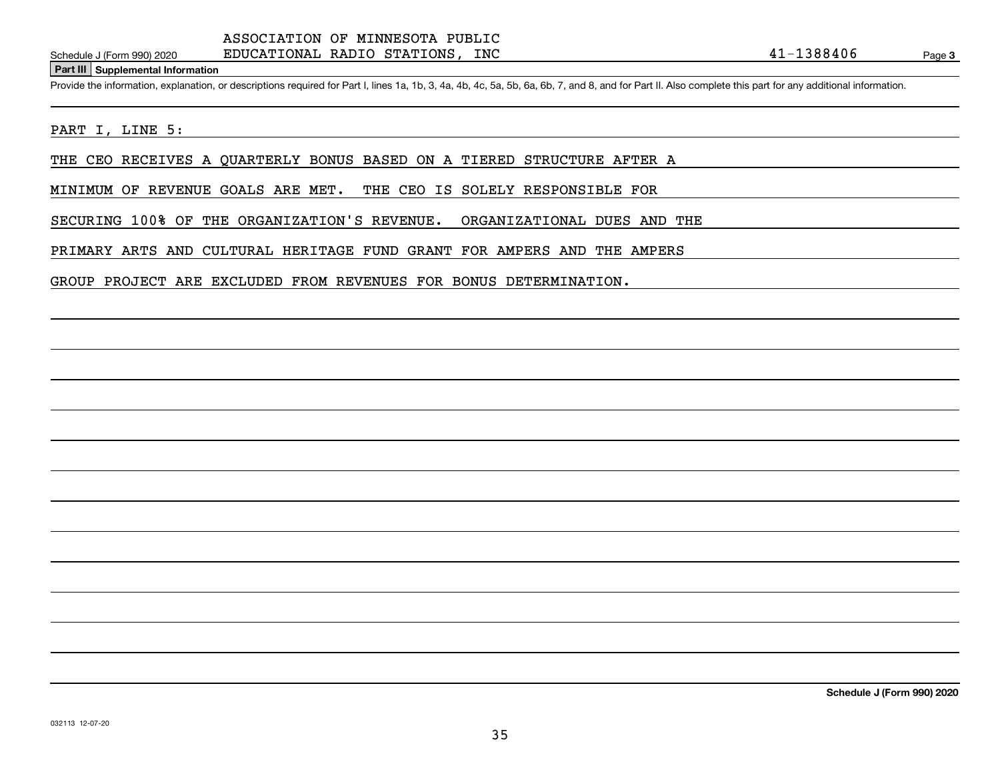**Part III Supplemental Information**

Schedule J (Form 990) 2020 EDUCATIONAL RADIO STATIONS, INC<br>Part III Supplemental Information<br>Provide the information, explanation, or descriptions required for Part I, lines 1a, 1b, 3, 4a, 4b, 4c, 5a, 5b, 6a, 6b, 7, and 8

PART I, LINE 5:

THE CEO RECEIVES A QUARTERLY BONUS BASED ON A TIERED STRUCTURE AFTER A

MINIMUM OF REVENUE GOALS ARE MET. THE CEO IS SOLELY RESPONSIBLE FOR

SECURING 100% OF THE ORGANIZATION'S REVENUE. ORGANIZATIONAL DUES AND THE

PRIMARY ARTS AND CULTURAL HERITAGE FUND GRANT FOR AMPERS AND THE AMPERS

GROUP PROJECT ARE EXCLUDED FROM REVENUES FOR BONUS DETERMINATION.

**Schedule J (Form 990) 2020**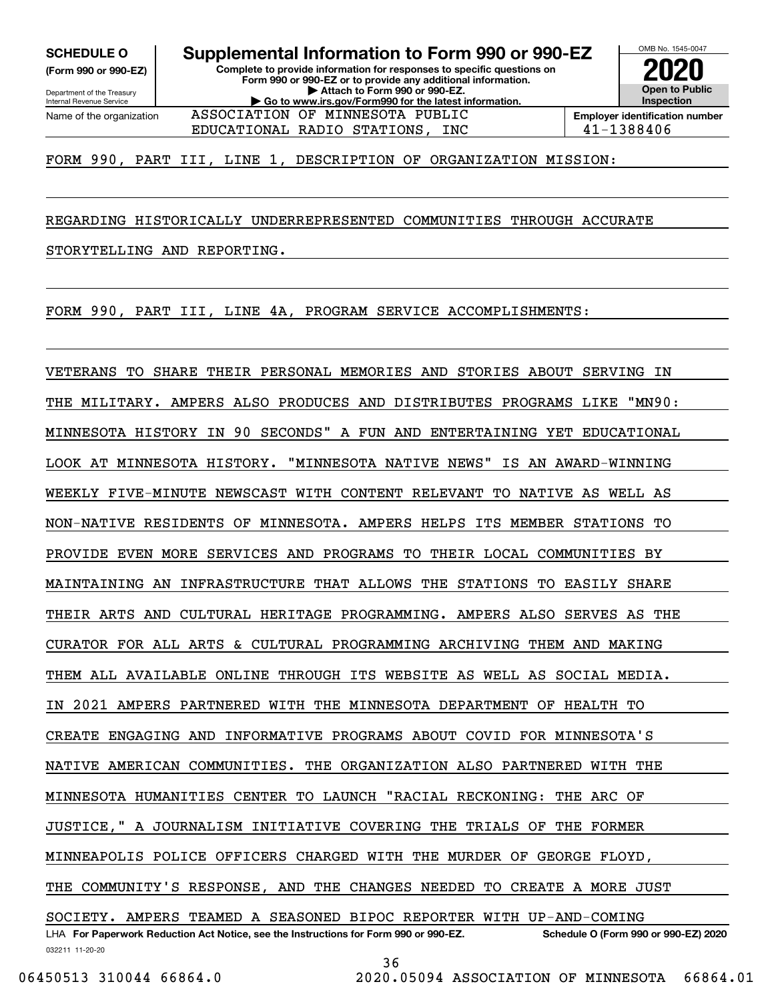**(Form 990 or 990-EZ)**

Department of the Treasury Internal Revenue Service Name of the organization

**Complete to provide information for responses to specific questions on SCHEDULE O Supplemental Information to Form 990 or 990-EZ**

**Form 990 or 990-EZ or to provide any additional information. | Attach to Form 990 or 990-EZ. | Go to www.irs.gov/Form990 for the latest information.** ASSOCIATION OF MINNESOTA PUBLIC



EDUCATIONAL RADIO STATIONS, INC 41-1388406

## FORM 990, PART III, LINE 1, DESCRIPTION OF ORGANIZATION MISSION:

## REGARDING HISTORICALLY UNDERREPRESENTED COMMUNITIES THROUGH ACCURATE

STORYTELLING AND REPORTING.

FORM 990, PART III, LINE 4A, PROGRAM SERVICE ACCOMPLISHMENTS:

032211 11-20-20 LHA For Paperwork Reduction Act Notice, see the Instructions for Form 990 or 990-EZ. Schedule O (Form 990 or 990-EZ) 2020 VETERANS TO SHARE THEIR PERSONAL MEMORIES AND STORIES ABOUT SERVING IN THE MILITARY. AMPERS ALSO PRODUCES AND DISTRIBUTES PROGRAMS LIKE "MN90: MINNESOTA HISTORY IN 90 SECONDS" A FUN AND ENTERTAINING YET EDUCATIONAL LOOK AT MINNESOTA HISTORY. "MINNESOTA NATIVE NEWS" IS AN AWARD-WINNING WEEKLY FIVE-MINUTE NEWSCAST WITH CONTENT RELEVANT TO NATIVE AS WELL AS NON-NATIVE RESIDENTS OF MINNESOTA. AMPERS HELPS ITS MEMBER STATIONS TO PROVIDE EVEN MORE SERVICES AND PROGRAMS TO THEIR LOCAL COMMUNITIES BY MAINTAINING AN INFRASTRUCTURE THAT ALLOWS THE STATIONS TO EASILY SHARE THEIR ARTS AND CULTURAL HERITAGE PROGRAMMING. AMPERS ALSO SERVES AS THE CURATOR FOR ALL ARTS & CULTURAL PROGRAMMING ARCHIVING THEM AND MAKING THEM ALL AVAILABLE ONLINE THROUGH ITS WEBSITE AS WELL AS SOCIAL MEDIA. IN 2021 AMPERS PARTNERED WITH THE MINNESOTA DEPARTMENT OF HEALTH TO CREATE ENGAGING AND INFORMATIVE PROGRAMS ABOUT COVID FOR MINNESOTA'S NATIVE AMERICAN COMMUNITIES. THE ORGANIZATION ALSO PARTNERED WITH THE MINNESOTA HUMANITIES CENTER TO LAUNCH "RACIAL RECKONING: THE ARC OF JUSTICE," A JOURNALISM INITIATIVE COVERING THE TRIALS OF THE FORMER MINNEAPOLIS POLICE OFFICERS CHARGED WITH THE MURDER OF GEORGE FLOYD, THE COMMUNITY'S RESPONSE, AND THE CHANGES NEEDED TO CREATE A MORE JUST SOCIETY. AMPERS TEAMED A SEASONED BIPOC REPORTER WITH UP-AND-COMING

36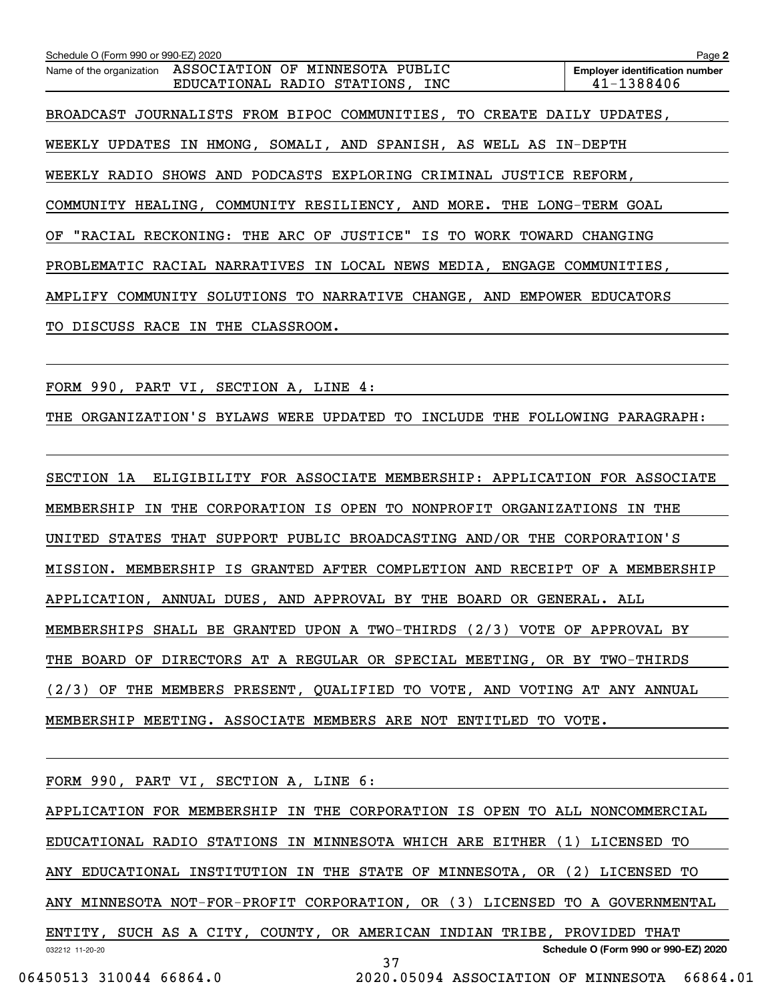**2Employer identification number** Schedule O (Form 990 or 990-EZ) 2020 Page Name of the organization ASSOCIATION OF MINNESOTA PUBLIC BROADCAST JOURNALISTS FROM BIPOC COMMUNITIES, TO CREATE DAILY UPDATES, WEEKLY UPDATES IN HMONG, SOMALI, AND SPANISH, AS WELL AS IN-DEPTH WEEKLY RADIO SHOWS AND PODCASTS EXPLORING CRIMINAL JUSTICE REFORM, COMMUNITY HEALING, COMMUNITY RESILIENCY, AND MORE. THE LONG-TERM GOAL OF "RACIAL RECKONING: THE ARC OF JUSTICE" IS TO WORK TOWARD CHANGING PROBLEMATIC RACIAL NARRATIVES IN LOCAL NEWS MEDIA, ENGAGE COMMUNITIES, AMPLIFY COMMUNITY SOLUTIONS TO NARRATIVE CHANGE, AND EMPOWER EDUCATORS TO DISCUSS RACE IN THE CLASSROOM. FORM 990, PART VI, SECTION A, LINE 4: THE ORGANIZATION'S BYLAWS WERE UPDATED TO INCLUDE THE FOLLOWING PARAGRAPH: SECTION 1A ELIGIBILITY FOR ASSOCIATE MEMBERSHIP: APPLICATION FOR ASSOCIATE MEMBERSHIP IN THE CORPORATION IS OPEN TO NONPROFIT ORGANIZATIONS IN THE UNITED STATES THAT SUPPORT PUBLIC BROADCASTING AND/OR THE CORPORATION'S MISSION. MEMBERSHIP IS GRANTED AFTER COMPLETION AND RECEIPT OF A MEMBERSHIP APPLICATION, ANNUAL DUES, AND APPROVAL BY THE BOARD OR GENERAL. ALL MEMBERSHIPS SHALL BE GRANTED UPON A TWO-THIRDS (2/3) VOTE OF APPROVAL BY EDUCATIONAL RADIO STATIONS, INC 41-1388406

THE BOARD OF DIRECTORS AT A REGULAR OR SPECIAL MEETING, OR BY TWO-THIRDS

(2/3) OF THE MEMBERS PRESENT, QUALIFIED TO VOTE, AND VOTING AT ANY ANNUAL

MEMBERSHIP MEETING. ASSOCIATE MEMBERS ARE NOT ENTITLED TO VOTE.

FORM 990, PART VI, SECTION A, LINE 6:

APPLICATION FOR MEMBERSHIP IN THE CORPORATION IS OPEN TO ALL NONCOMMERCIAL

EDUCATIONAL RADIO STATIONS IN MINNESOTA WHICH ARE EITHER (1) LICENSED TO

ANY EDUCATIONAL INSTITUTION IN THE STATE OF MINNESOTA, OR (2) LICENSED TO

ANY MINNESOTA NOT-FOR-PROFIT CORPORATION, OR (3) LICENSED TO A GOVERNMENTAL

032212 11-20-20 **Schedule O (Form 990 or 990-EZ) 2020** ENTITY, SUCH AS A CITY, COUNTY, OR AMERICAN INDIAN TRIBE, PROVIDED THAT 37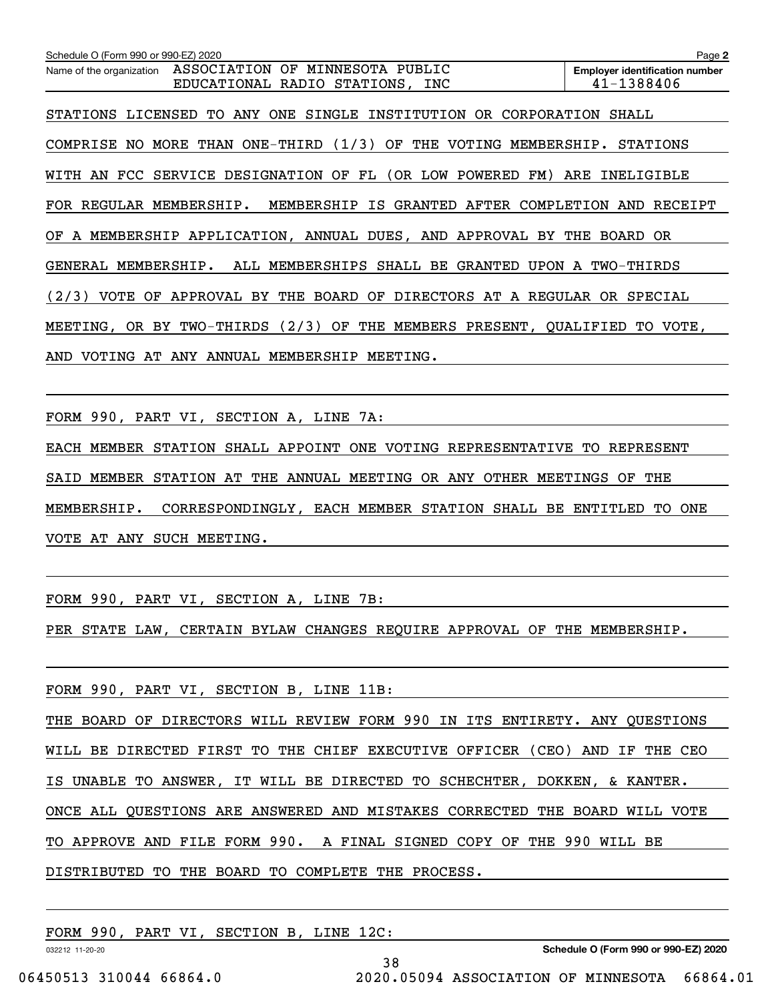**2Employer identification number** Schedule O (Form 990 or 990-EZ) 2020 Page Name of the organization ASSOCIATION OF MINNESOTA PUBLIC STATIONS LICENSED TO ANY ONE SINGLE INSTITUTION OR CORPORATION SHALL COMPRISE NO MORE THAN ONE-THIRD (1/3) OF THE VOTING MEMBERSHIP. STATIONS WITH AN FCC SERVICE DESIGNATION OF FL (OR LOW POWERED FM) ARE INELIGIBLE FOR REGULAR MEMBERSHIP. MEMBERSHIP IS GRANTED AFTER COMPLETION AND RECEIPT OF A MEMBERSHIP APPLICATION, ANNUAL DUES, AND APPROVAL BY THE BOARD OR GENERAL MEMBERSHIP. ALL MEMBERSHIPS SHALL BE GRANTED UPON A TWO-THIRDS (2/3) VOTE OF APPROVAL BY THE BOARD OF DIRECTORS AT A REGULAR OR SPECIAL MEETING, OR BY TWO-THIRDS (2/3) OF THE MEMBERS PRESENT, QUALIFIED TO VOTE, AND VOTING AT ANY ANNUAL MEMBERSHIP MEETING. EDUCATIONAL RADIO STATIONS, INC 41-1388406

FORM 990, PART VI, SECTION A, LINE 7A:

EACH MEMBER STATION SHALL APPOINT ONE VOTING REPRESENTATIVE TO REPRESENT SAID MEMBER STATION AT THE ANNUAL MEETING OR ANY OTHER MEETINGS OF THE MEMBERSHIP. CORRESPONDINGLY, EACH MEMBER STATION SHALL BE ENTITLED TO ONE VOTE AT ANY SUCH MEETING.

FORM 990, PART VI, SECTION A, LINE 7B:

PER STATE LAW, CERTAIN BYLAW CHANGES REQUIRE APPROVAL OF THE MEMBERSHIP.

38

FORM 990, PART VI, SECTION B, LINE 12C:

032212 11-20-20

**Schedule O (Form 990 or 990-EZ) 2020**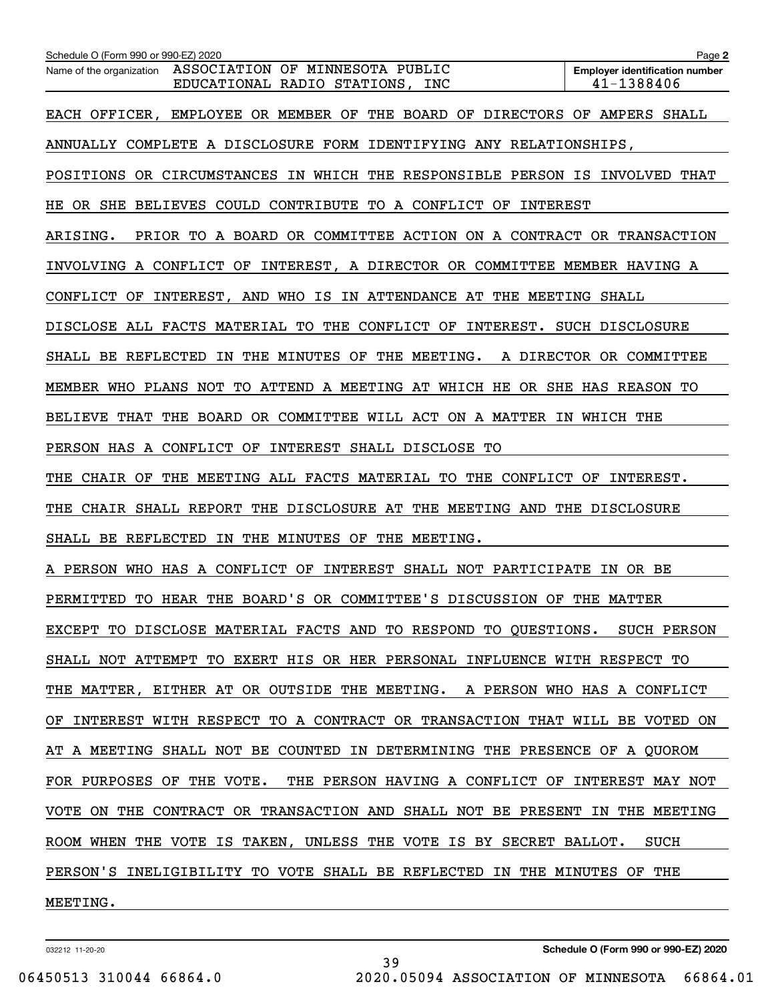| Name of the organization ASSOCIATION OF MINNESOTA PUBLIC<br><b>Employer identification number</b><br>41-1388406<br>EDUCATIONAL RADIO STATIONS, INC<br>EACH OFFICER, EMPLOYEE OR MEMBER OF THE BOARD OF DIRECTORS OF AMPERS SHALL<br>ANNUALLY COMPLETE A DISCLOSURE FORM IDENTIFYING ANY RELATIONSHIPS,<br>POSITIONS OR CIRCUMSTANCES IN WHICH THE RESPONSIBLE PERSON IS INVOLVED THAT<br>HE OR SHE BELIEVES COULD CONTRIBUTE TO A CONFLICT OF INTEREST<br>PRIOR TO A BOARD OR COMMITTEE ACTION ON A CONTRACT OR TRANSACTION<br>ARISING.<br>INVOLVING A CONFLICT OF INTEREST, A DIRECTOR OR COMMITTEE MEMBER HAVING A<br>CONFLICT OF INTEREST, AND WHO IS IN ATTENDANCE AT THE MEETING SHALL<br>DISCLOSE ALL FACTS MATERIAL TO THE CONFLICT OF INTEREST. SUCH DISCLOSURE<br>SHALL BE REFLECTED IN THE MINUTES OF THE MEETING.<br>A DIRECTOR OR COMMITTEE<br>MEMBER WHO PLANS NOT TO ATTEND A MEETING AT WHICH HE OR SHE HAS REASON TO<br>BELIEVE THAT THE BOARD OR COMMITTEE WILL ACT ON A MATTER IN WHICH THE<br>PERSON HAS A CONFLICT OF INTEREST SHALL DISCLOSE TO<br>THE CHAIR OF THE MEETING ALL FACTS MATERIAL TO THE CONFLICT OF INTEREST.<br>THE CHAIR SHALL REPORT THE DISCLOSURE AT THE MEETING AND THE DISCLOSURE<br>SHALL BE REFLECTED IN THE MINUTES OF THE MEETING.<br>A PERSON WHO HAS A CONFLICT OF INTEREST SHALL NOT PARTICIPATE IN OR BE<br>PERMITTED TO HEAR THE BOARD'S OR COMMITTEE'S DISCUSSION OF THE MATTER<br>EXCEPT TO DISCLOSE MATERIAL FACTS AND TO RESPOND TO QUESTIONS. SUCH PERSON |
|-------------------------------------------------------------------------------------------------------------------------------------------------------------------------------------------------------------------------------------------------------------------------------------------------------------------------------------------------------------------------------------------------------------------------------------------------------------------------------------------------------------------------------------------------------------------------------------------------------------------------------------------------------------------------------------------------------------------------------------------------------------------------------------------------------------------------------------------------------------------------------------------------------------------------------------------------------------------------------------------------------------------------------------------------------------------------------------------------------------------------------------------------------------------------------------------------------------------------------------------------------------------------------------------------------------------------------------------------------------------------------------------------------------------------------------------------------------------------------------------------------------------|
|                                                                                                                                                                                                                                                                                                                                                                                                                                                                                                                                                                                                                                                                                                                                                                                                                                                                                                                                                                                                                                                                                                                                                                                                                                                                                                                                                                                                                                                                                                                   |
|                                                                                                                                                                                                                                                                                                                                                                                                                                                                                                                                                                                                                                                                                                                                                                                                                                                                                                                                                                                                                                                                                                                                                                                                                                                                                                                                                                                                                                                                                                                   |
|                                                                                                                                                                                                                                                                                                                                                                                                                                                                                                                                                                                                                                                                                                                                                                                                                                                                                                                                                                                                                                                                                                                                                                                                                                                                                                                                                                                                                                                                                                                   |
|                                                                                                                                                                                                                                                                                                                                                                                                                                                                                                                                                                                                                                                                                                                                                                                                                                                                                                                                                                                                                                                                                                                                                                                                                                                                                                                                                                                                                                                                                                                   |
|                                                                                                                                                                                                                                                                                                                                                                                                                                                                                                                                                                                                                                                                                                                                                                                                                                                                                                                                                                                                                                                                                                                                                                                                                                                                                                                                                                                                                                                                                                                   |
|                                                                                                                                                                                                                                                                                                                                                                                                                                                                                                                                                                                                                                                                                                                                                                                                                                                                                                                                                                                                                                                                                                                                                                                                                                                                                                                                                                                                                                                                                                                   |
|                                                                                                                                                                                                                                                                                                                                                                                                                                                                                                                                                                                                                                                                                                                                                                                                                                                                                                                                                                                                                                                                                                                                                                                                                                                                                                                                                                                                                                                                                                                   |
|                                                                                                                                                                                                                                                                                                                                                                                                                                                                                                                                                                                                                                                                                                                                                                                                                                                                                                                                                                                                                                                                                                                                                                                                                                                                                                                                                                                                                                                                                                                   |
|                                                                                                                                                                                                                                                                                                                                                                                                                                                                                                                                                                                                                                                                                                                                                                                                                                                                                                                                                                                                                                                                                                                                                                                                                                                                                                                                                                                                                                                                                                                   |
|                                                                                                                                                                                                                                                                                                                                                                                                                                                                                                                                                                                                                                                                                                                                                                                                                                                                                                                                                                                                                                                                                                                                                                                                                                                                                                                                                                                                                                                                                                                   |
|                                                                                                                                                                                                                                                                                                                                                                                                                                                                                                                                                                                                                                                                                                                                                                                                                                                                                                                                                                                                                                                                                                                                                                                                                                                                                                                                                                                                                                                                                                                   |
|                                                                                                                                                                                                                                                                                                                                                                                                                                                                                                                                                                                                                                                                                                                                                                                                                                                                                                                                                                                                                                                                                                                                                                                                                                                                                                                                                                                                                                                                                                                   |
|                                                                                                                                                                                                                                                                                                                                                                                                                                                                                                                                                                                                                                                                                                                                                                                                                                                                                                                                                                                                                                                                                                                                                                                                                                                                                                                                                                                                                                                                                                                   |
|                                                                                                                                                                                                                                                                                                                                                                                                                                                                                                                                                                                                                                                                                                                                                                                                                                                                                                                                                                                                                                                                                                                                                                                                                                                                                                                                                                                                                                                                                                                   |
|                                                                                                                                                                                                                                                                                                                                                                                                                                                                                                                                                                                                                                                                                                                                                                                                                                                                                                                                                                                                                                                                                                                                                                                                                                                                                                                                                                                                                                                                                                                   |
|                                                                                                                                                                                                                                                                                                                                                                                                                                                                                                                                                                                                                                                                                                                                                                                                                                                                                                                                                                                                                                                                                                                                                                                                                                                                                                                                                                                                                                                                                                                   |
|                                                                                                                                                                                                                                                                                                                                                                                                                                                                                                                                                                                                                                                                                                                                                                                                                                                                                                                                                                                                                                                                                                                                                                                                                                                                                                                                                                                                                                                                                                                   |
|                                                                                                                                                                                                                                                                                                                                                                                                                                                                                                                                                                                                                                                                                                                                                                                                                                                                                                                                                                                                                                                                                                                                                                                                                                                                                                                                                                                                                                                                                                                   |
|                                                                                                                                                                                                                                                                                                                                                                                                                                                                                                                                                                                                                                                                                                                                                                                                                                                                                                                                                                                                                                                                                                                                                                                                                                                                                                                                                                                                                                                                                                                   |
| SHALL NOT ATTEMPT TO EXERT HIS OR HER PERSONAL INFLUENCE WITH RESPECT TO                                                                                                                                                                                                                                                                                                                                                                                                                                                                                                                                                                                                                                                                                                                                                                                                                                                                                                                                                                                                                                                                                                                                                                                                                                                                                                                                                                                                                                          |
| THE MATTER, EITHER AT OR OUTSIDE THE MEETING. A PERSON WHO HAS A CONFLICT                                                                                                                                                                                                                                                                                                                                                                                                                                                                                                                                                                                                                                                                                                                                                                                                                                                                                                                                                                                                                                                                                                                                                                                                                                                                                                                                                                                                                                         |
| OF INTEREST WITH RESPECT TO A CONTRACT OR TRANSACTION THAT WILL BE VOTED ON                                                                                                                                                                                                                                                                                                                                                                                                                                                                                                                                                                                                                                                                                                                                                                                                                                                                                                                                                                                                                                                                                                                                                                                                                                                                                                                                                                                                                                       |
| AT A MEETING SHALL NOT BE COUNTED IN DETERMINING THE PRESENCE OF A QUOROM                                                                                                                                                                                                                                                                                                                                                                                                                                                                                                                                                                                                                                                                                                                                                                                                                                                                                                                                                                                                                                                                                                                                                                                                                                                                                                                                                                                                                                         |
| FOR PURPOSES OF THE VOTE.<br>THE PERSON HAVING A CONFLICT OF INTEREST MAY NOT                                                                                                                                                                                                                                                                                                                                                                                                                                                                                                                                                                                                                                                                                                                                                                                                                                                                                                                                                                                                                                                                                                                                                                                                                                                                                                                                                                                                                                     |
| VOTE ON THE CONTRACT OR TRANSACTION AND SHALL NOT BE PRESENT IN THE MEETING                                                                                                                                                                                                                                                                                                                                                                                                                                                                                                                                                                                                                                                                                                                                                                                                                                                                                                                                                                                                                                                                                                                                                                                                                                                                                                                                                                                                                                       |
| ROOM WHEN THE VOTE IS TAKEN, UNLESS THE VOTE IS BY SECRET BALLOT.<br>SUCH                                                                                                                                                                                                                                                                                                                                                                                                                                                                                                                                                                                                                                                                                                                                                                                                                                                                                                                                                                                                                                                                                                                                                                                                                                                                                                                                                                                                                                         |
| PERSON'S INELIGIBILITY TO VOTE SHALL BE REFLECTED IN THE MINUTES OF THE                                                                                                                                                                                                                                                                                                                                                                                                                                                                                                                                                                                                                                                                                                                                                                                                                                                                                                                                                                                                                                                                                                                                                                                                                                                                                                                                                                                                                                           |
| MEETING.                                                                                                                                                                                                                                                                                                                                                                                                                                                                                                                                                                                                                                                                                                                                                                                                                                                                                                                                                                                                                                                                                                                                                                                                                                                                                                                                                                                                                                                                                                          |

032212 11-20-20